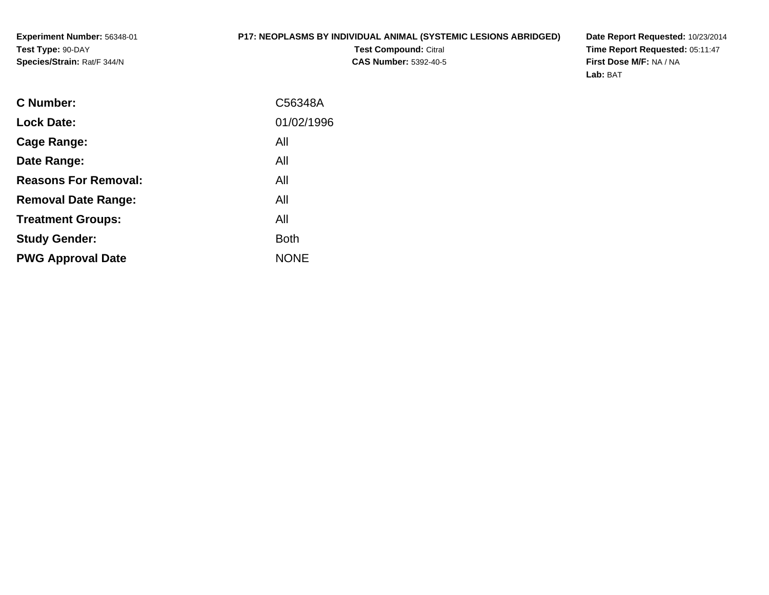### **P17: NEOPLASMS BY INDIVIDUAL ANIMAL (SYSTEMIC LESIONS ABRIDGED)**

**Test Compound:** Citral **CAS Number:** 5392-40-5 **Date Report Requested:** 10/23/2014 **Time Report Requested:** 05:11:47**First Dose M/F:** NA / NA**Lab:** BAT

| <b>C</b> Number:            | C56348A     |
|-----------------------------|-------------|
| <b>Lock Date:</b>           | 01/02/1996  |
| Cage Range:                 | All         |
| Date Range:                 | All         |
| <b>Reasons For Removal:</b> | All         |
| <b>Removal Date Range:</b>  | All         |
| <b>Treatment Groups:</b>    | All         |
| <b>Study Gender:</b>        | <b>Both</b> |
| <b>PWG Approval Date</b>    | <b>NONE</b> |
|                             |             |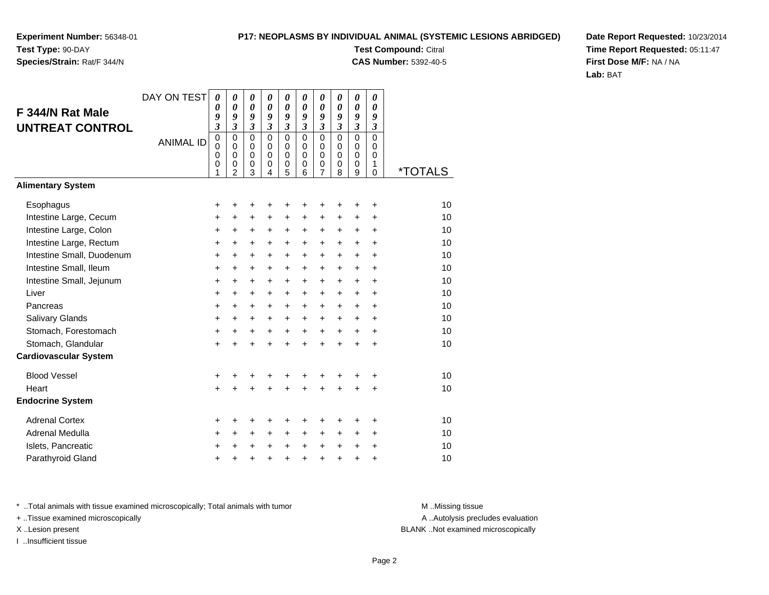# **Species/Strain:** Rat/F 344/N

### **P17: NEOPLASMS BY INDIVIDUAL ANIMAL (SYSTEMIC LESIONS ABRIDGED)**

**Test Compound:** Citral **CAS Number:** 5392-40-5

**Date Report Requested:** 10/23/2014**Time Report Requested:** 05:11:47**First Dose M/F:** NA / NA**Lab:** BAT

| F 344/N Rat Male<br><b>UNTREAT CONTROL</b> | DAY ON TEST<br><b>ANIMAL ID</b> | $\boldsymbol{\theta}$<br>0<br>9<br>3<br>$\mathbf 0$<br>$\mathbf 0$<br>0<br>$\mathbf 0$<br>1 | $\boldsymbol{\theta}$<br>$\boldsymbol{\theta}$<br>9<br>$\mathfrak{z}$<br>$\mathbf 0$<br>$\Omega$<br>0<br>0<br>2 | 0<br>0<br>9<br>$\boldsymbol{\beta}$<br>$\mathbf 0$<br>$\mathbf 0$<br>0<br>$\mathbf 0$<br>3 | $\boldsymbol{\theta}$<br>$\boldsymbol{\theta}$<br>9<br>$\boldsymbol{\mathfrak{z}}$<br>$\mathbf 0$<br>$\mathbf 0$<br>$\mathbf 0$<br>0<br>4 | $\boldsymbol{\theta}$<br>$\boldsymbol{\theta}$<br>9<br>$\boldsymbol{\beta}$<br>$\mathbf 0$<br>$\mathbf 0$<br>0<br>$\,0\,$<br>5 | 0<br>$\boldsymbol{\theta}$<br>9<br>$\boldsymbol{\beta}$<br>$\Omega$<br>$\Omega$<br>$\mathbf 0$<br>0<br>6 | $\pmb{\theta}$<br>0<br>9<br>3<br>$\mathbf 0$<br>$\mathbf 0$<br>0<br>$\boldsymbol{0}$<br>$\overline{7}$ | 0<br>0<br>9<br>3<br>$\mathbf 0$<br>0<br>$\mathbf 0$<br>0<br>8 | 0<br>0<br>9<br>3<br>0<br>$\mathbf 0$<br>0<br>0<br>9 | 0<br>0<br>9<br>$\boldsymbol{\beta}$<br>$\mathbf 0$<br>$\Omega$<br>$\mathbf 0$<br>1<br>0 | <i><b>*TOTALS</b></i> |
|--------------------------------------------|---------------------------------|---------------------------------------------------------------------------------------------|-----------------------------------------------------------------------------------------------------------------|--------------------------------------------------------------------------------------------|-------------------------------------------------------------------------------------------------------------------------------------------|--------------------------------------------------------------------------------------------------------------------------------|----------------------------------------------------------------------------------------------------------|--------------------------------------------------------------------------------------------------------|---------------------------------------------------------------|-----------------------------------------------------|-----------------------------------------------------------------------------------------|-----------------------|
| <b>Alimentary System</b>                   |                                 |                                                                                             |                                                                                                                 |                                                                                            |                                                                                                                                           |                                                                                                                                |                                                                                                          |                                                                                                        |                                                               |                                                     |                                                                                         |                       |
| Esophagus                                  |                                 | +                                                                                           | +                                                                                                               | +                                                                                          | +                                                                                                                                         | +                                                                                                                              | +                                                                                                        | +                                                                                                      | +                                                             | +                                                   | +                                                                                       | 10                    |
| Intestine Large, Cecum                     |                                 | +                                                                                           | +                                                                                                               | +                                                                                          | +                                                                                                                                         | +                                                                                                                              | +                                                                                                        | +                                                                                                      | +                                                             | +                                                   | +                                                                                       | 10                    |
| Intestine Large, Colon                     |                                 | +                                                                                           | $\ddot{}$                                                                                                       | $\ddot{}$                                                                                  | +                                                                                                                                         | +                                                                                                                              | +                                                                                                        | +                                                                                                      | +                                                             | $\ddot{}$                                           | $\ddot{}$                                                                               | 10                    |
| Intestine Large, Rectum                    |                                 | +                                                                                           | +                                                                                                               | +                                                                                          | +                                                                                                                                         | +                                                                                                                              | +                                                                                                        | +                                                                                                      | +                                                             | +                                                   | +                                                                                       | 10                    |
| Intestine Small, Duodenum                  |                                 | +                                                                                           | +                                                                                                               | +                                                                                          | +                                                                                                                                         | +                                                                                                                              | +                                                                                                        | +                                                                                                      | +                                                             | +                                                   | +                                                                                       | 10                    |
| Intestine Small, Ileum                     |                                 | +                                                                                           | +                                                                                                               | $\ddot{}$                                                                                  | +                                                                                                                                         | $\ddot{}$                                                                                                                      | $\ddot{}$                                                                                                | +                                                                                                      | $\ddot{}$                                                     | +                                                   | $\ddot{}$                                                                               | 10                    |
| Intestine Small, Jejunum                   |                                 | +                                                                                           | $\ddot{}$                                                                                                       | $\ddot{}$                                                                                  | $\ddot{}$                                                                                                                                 | $\ddot{}$                                                                                                                      | $\ddot{}$                                                                                                | $\ddot{}$                                                                                              | +                                                             | +                                                   | $\ddot{}$                                                                               | 10                    |
| Liver                                      |                                 | +                                                                                           | +                                                                                                               | $\ddot{}$                                                                                  | +                                                                                                                                         | +                                                                                                                              | +                                                                                                        | +                                                                                                      | +                                                             | +                                                   | +                                                                                       | 10                    |
| Pancreas                                   |                                 | $\ddot{}$                                                                                   | $\ddot{}$                                                                                                       | $\ddot{}$                                                                                  | +                                                                                                                                         | $\ddot{}$                                                                                                                      | $\ddot{}$                                                                                                | $\ddot{}$                                                                                              | $\ddot{}$                                                     | +                                                   | +                                                                                       | 10                    |
| <b>Salivary Glands</b>                     |                                 | +                                                                                           | +                                                                                                               | +                                                                                          | +                                                                                                                                         | +                                                                                                                              | +                                                                                                        | +                                                                                                      | +                                                             | +                                                   | +                                                                                       | 10                    |
| Stomach, Forestomach                       |                                 | +                                                                                           | $\ddot{}$                                                                                                       | $\ddot{}$                                                                                  | $\ddot{}$                                                                                                                                 | $\ddot{}$                                                                                                                      | $\ddot{}$                                                                                                | $\ddot{}$                                                                                              | $\ddot{}$                                                     | $\ddot{}$                                           | $\ddot{}$                                                                               | 10                    |
| Stomach, Glandular                         |                                 | $\ddot{}$                                                                                   | $\ddot{}$                                                                                                       | $\ddot{}$                                                                                  | $\ddot{}$                                                                                                                                 | $\ddot{}$                                                                                                                      | $\ddot{}$                                                                                                | $+$                                                                                                    | $\ddot{}$                                                     | $\ddot{}$                                           | $\ddot{}$                                                                               | 10                    |
| <b>Cardiovascular System</b>               |                                 |                                                                                             |                                                                                                                 |                                                                                            |                                                                                                                                           |                                                                                                                                |                                                                                                          |                                                                                                        |                                                               |                                                     |                                                                                         |                       |
| <b>Blood Vessel</b>                        |                                 | +                                                                                           |                                                                                                                 | +                                                                                          | +                                                                                                                                         | +                                                                                                                              |                                                                                                          | +                                                                                                      |                                                               | +                                                   | +                                                                                       | 10                    |
| Heart                                      |                                 | $\ddot{}$                                                                                   |                                                                                                                 | $\ddot{}$                                                                                  | ÷                                                                                                                                         | $\ddot{}$                                                                                                                      | $\ddot{}$                                                                                                | $\ddot{}$                                                                                              | ÷                                                             | $\ddot{}$                                           | $\ddot{}$                                                                               | 10                    |
| <b>Endocrine System</b>                    |                                 |                                                                                             |                                                                                                                 |                                                                                            |                                                                                                                                           |                                                                                                                                |                                                                                                          |                                                                                                        |                                                               |                                                     |                                                                                         |                       |
| <b>Adrenal Cortex</b>                      |                                 | +                                                                                           | +                                                                                                               | +                                                                                          | +                                                                                                                                         | +                                                                                                                              | +                                                                                                        |                                                                                                        |                                                               | +                                                   | +                                                                                       | 10                    |
| Adrenal Medulla                            |                                 | +                                                                                           | $\ddot{}$                                                                                                       | +                                                                                          | $\ddot{}$                                                                                                                                 | +                                                                                                                              | $\ddot{}$                                                                                                | $\ddot{}$                                                                                              | $\pm$                                                         | $\pm$                                               | $\ddot{}$                                                                               | 10                    |
| Islets, Pancreatic                         |                                 | +                                                                                           |                                                                                                                 | +                                                                                          | +                                                                                                                                         | $\ddot{}$                                                                                                                      | $\ddot{}$                                                                                                | $\ddot{}$                                                                                              | $\ddot{}$                                                     | $\ddot{}$                                           | $\ddot{}$                                                                               | 10                    |
| Parathyroid Gland                          |                                 | +                                                                                           | +                                                                                                               | +                                                                                          | +                                                                                                                                         | $\pmb{+}$                                                                                                                      | $\ddot{}$                                                                                                | $\ddot{}$                                                                                              | +                                                             | +                                                   | +                                                                                       | 10                    |

\* ..Total animals with tissue examined microscopically; Total animals with tumor **M** . Missing tissue M ..Missing tissue

+ ..Tissue examined microscopically

I ..Insufficient tissue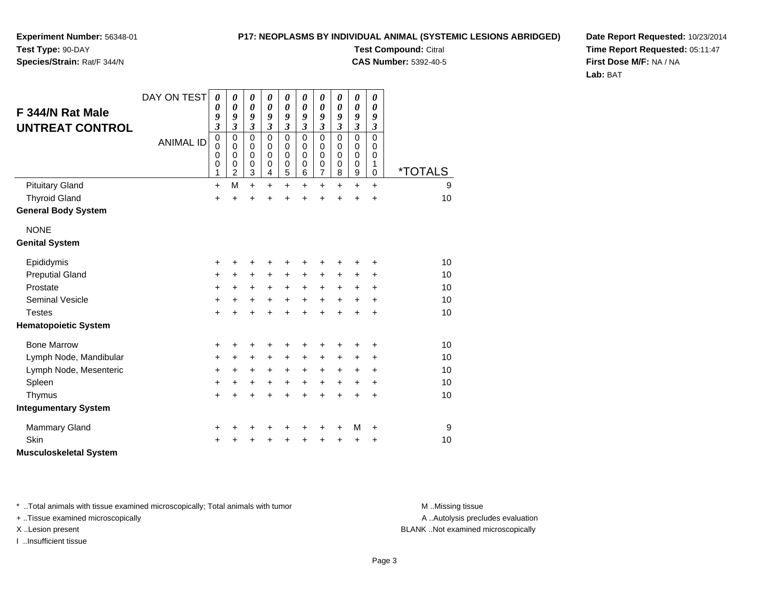### **P17: NEOPLASMS BY INDIVIDUAL ANIMAL (SYSTEMIC LESIONS ABRIDGED)Test Compound:** Citral

**CAS Number:** 5392-40-5

**Experiment Number:** 56348-01**Test Type:** 90-DAY

## **Species/Strain:** Rat/F 344/N

**Date Report Requested:** 10/23/2014**Time Report Requested:** 05:11:47**First Dose M/F:** NA / NA**Lab:** BAT

|                             | DAY ON TEST      | $\boldsymbol{\theta}$      | $\pmb{\theta}$                | $\boldsymbol{\theta}$      | 0                          | $\boldsymbol{\theta}$      | 0                        | $\boldsymbol{\theta}$       | $\pmb{\theta}$             | $\boldsymbol{\theta}$           | $\boldsymbol{\theta}$ |                       |
|-----------------------------|------------------|----------------------------|-------------------------------|----------------------------|----------------------------|----------------------------|--------------------------|-----------------------------|----------------------------|---------------------------------|-----------------------|-----------------------|
| F 344/N Rat Male            |                  | 0<br>9                     | $\boldsymbol{\theta}$<br>9    | $\boldsymbol{\theta}$<br>9 | $\boldsymbol{\theta}$<br>9 | 0<br>9                     | 0<br>9                   | $\boldsymbol{\theta}$<br>9  | $\boldsymbol{\theta}$<br>9 | $\boldsymbol{\theta}$<br>9      | 0<br>9                |                       |
| <b>UNTREAT CONTROL</b>      |                  | 3                          | $\mathfrak{z}$                | $\mathfrak{z}$             | $\mathfrak{z}$             | $\mathfrak{z}$             | 3                        | $\mathfrak{z}$              | $\mathfrak{z}$             | $\mathfrak{z}$                  | $\mathfrak{z}$        |                       |
|                             | <b>ANIMAL ID</b> | $\mathbf 0$<br>$\mathbf 0$ | $\pmb{0}$<br>$\pmb{0}$        | $\mathbf 0$<br>$\mathbf 0$ | $\mathbf 0$<br>$\mathbf 0$ | $\mathbf 0$<br>$\mathbf 0$ | $\mathbf 0$<br>$\pmb{0}$ | $\mathbf 0$<br>$\pmb{0}$    | $\mathbf 0$<br>$\pmb{0}$   | $\mathbf 0$<br>$\pmb{0}$        | $\Omega$<br>0         |                       |
|                             |                  | $\mathbf 0$                | $\mathbf 0$                   | $\mathbf 0$                | 0                          | 0                          | $\mathbf 0$              | $\mathbf 0$                 | $\mathbf 0$                | $\mathbf 0$                     | 0                     |                       |
|                             |                  | 0<br>1                     | $\mathbf 0$<br>$\overline{c}$ | 0<br>3                     | 0<br>4                     | $\mathbf 0$<br>5           | 0<br>6                   | $\pmb{0}$<br>$\overline{7}$ | 0<br>8                     | $\mathbf 0$<br>$\boldsymbol{9}$ | 1<br>$\mathbf 0$      | <i><b>*TOTALS</b></i> |
| <b>Pituitary Gland</b>      |                  | $\ddot{}$                  | M                             | $\ddot{}$                  | $\ddot{}$                  | $\ddot{}$                  | $\ddot{}$                | $\ddot{}$                   | $\ddot{}$                  | $\ddot{}$                       | $\ddot{}$             | 9                     |
| <b>Thyroid Gland</b>        |                  | $\ddot{}$                  | $\ddot{}$                     | $\ddot{}$                  | $\ddot{}$                  | $\ddot{}$                  | $\ddot{}$                | $\ddot{}$                   | $\ddot{}$                  | $\ddot{}$                       | $\ddot{}$             | 10                    |
| <b>General Body System</b>  |                  |                            |                               |                            |                            |                            |                          |                             |                            |                                 |                       |                       |
| <b>NONE</b>                 |                  |                            |                               |                            |                            |                            |                          |                             |                            |                                 |                       |                       |
| <b>Genital System</b>       |                  |                            |                               |                            |                            |                            |                          |                             |                            |                                 |                       |                       |
| Epididymis                  |                  | +                          | +                             | +                          | +                          | +                          | +                        | +                           | +                          | +                               | +                     | 10                    |
| <b>Preputial Gland</b>      |                  | $\ddot{}$                  | $\ddot{}$                     | +                          | $\ddot{}$                  | $\ddot{}$                  | $\ddot{}$                | $\ddot{}$                   | +                          | $\ddot{}$                       | +                     | 10                    |
| Prostate                    |                  | $\ddot{}$                  | $\ddot{}$                     | $\ddot{}$                  | $+$                        | $+$                        | $\ddot{}$                | $\ddot{}$                   | $\ddot{}$                  | $\ddot{}$                       | $\ddot{}$             | 10                    |
| <b>Seminal Vesicle</b>      |                  | +                          | +                             | $\ddot{}$                  | +                          | $\ddot{}$                  | $\ddot{}$                | $\ddot{}$                   | $\ddot{}$                  | $\ddot{}$                       | $\ddot{}$             | 10                    |
| <b>Testes</b>               |                  | $\ddot{}$                  | $\ddot{}$                     | $\ddot{}$                  | $\ddot{}$                  | $\ddot{}$                  | $\ddot{}$                | $\ddot{}$                   | $\ddot{}$                  | $\ddot{}$                       | $\ddot{}$             | 10                    |
| <b>Hematopoietic System</b> |                  |                            |                               |                            |                            |                            |                          |                             |                            |                                 |                       |                       |
| <b>Bone Marrow</b>          |                  | +                          | +                             | +                          | +                          |                            | +                        | +                           | +                          | +                               | +                     | 10                    |
| Lymph Node, Mandibular      |                  | $\ddot{}$                  | $\ddot{}$                     | $\ddot{}$                  | $\ddot{}$                  | $\ddot{}$                  | $\ddot{}$                | $\ddot{}$                   | $\ddot{}$                  | $\ddot{}$                       | $\ddot{}$             | 10                    |
| Lymph Node, Mesenteric      |                  | +                          | $\ddot{}$                     | $\ddot{}$                  | $\ddot{}$                  | $\ddot{}$                  | $\ddot{}$                | $\ddot{}$                   | +                          | $\ddot{}$                       | $\ddot{}$             | 10                    |
| Spleen                      |                  | +                          | +                             | $\ddot{}$                  | +                          | $\ddot{}$                  | $\ddot{}$                | $\ddot{}$                   | +                          | $\ddot{}$                       | $\ddot{}$             | 10                    |
| Thymus                      |                  | +                          | $\ddot{}$                     | +                          | +                          | ÷                          | $\ddot{}$                | +                           | +                          | +                               | $\ddot{}$             | 10                    |
| <b>Integumentary System</b> |                  |                            |                               |                            |                            |                            |                          |                             |                            |                                 |                       |                       |
| <b>Mammary Gland</b>        |                  |                            |                               |                            |                            |                            |                          | +                           | +                          | M                               | $\ddot{}$             | 9                     |
| Skin                        |                  | +                          | +                             | +                          | +                          | +                          | +                        | +                           | +                          | +                               | +                     | 10                    |

**Musculoskeletal System**

\* ..Total animals with tissue examined microscopically; Total animals with tumor **M** . Missing tissue M ..Missing tissue

+ ..Tissue examined microscopically

I ..Insufficient tissue

A ..Autolysis precludes evaluation

X ..Lesion present BLANK ..Not examined microscopically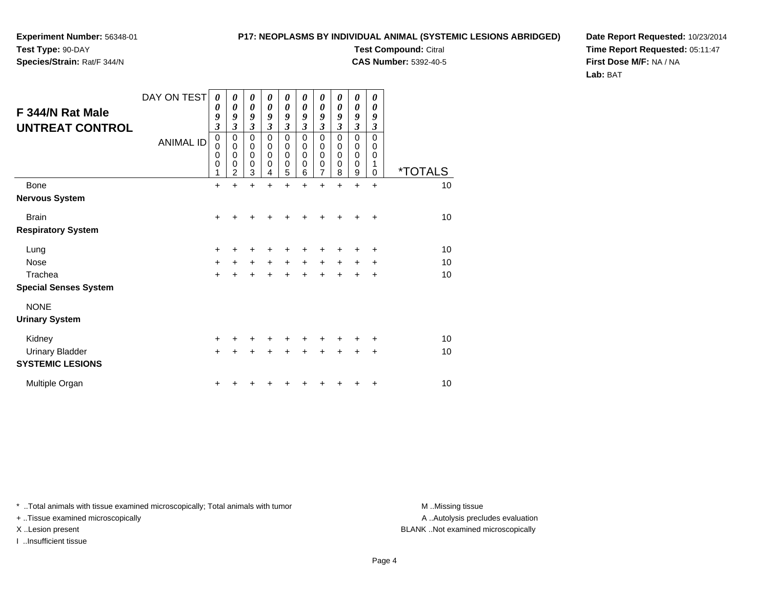**Experiment Number:** 56348-01**Test Type:** 90-DAY

**Species/Strain:** Rat/F 344/N

**Test Compound:** Citral **CAS Number:** 5392-40-5

**Date Report Requested:** 10/23/2014**Time Report Requested:** 05:11:47**First Dose M/F:** NA / NA**Lab:** BAT

| F 344/N Rat Male<br><b>UNTREAT CONTROL</b>        | DAY ON TEST<br><b>ANIMAL ID</b> | $\boldsymbol{\theta}$<br>0<br>9<br>$\mathfrak{z}$<br>$\mathbf 0$<br>$\mathbf 0$<br>0<br>0<br>1 | $\boldsymbol{\theta}$<br>$\boldsymbol{\theta}$<br>9<br>$\mathfrak{z}$<br>0<br>$\mathbf 0$<br>$\mathbf 0$<br>$\mathbf 0$<br>$\overline{2}$ | $\boldsymbol{\theta}$<br>$\boldsymbol{\theta}$<br>9<br>$\mathfrak{z}$<br>0<br>$\mathbf 0$<br>$\mathbf 0$<br>$\mathbf 0$<br>3 | $\boldsymbol{\theta}$<br>$\boldsymbol{\theta}$<br>9<br>$\mathfrak{z}$<br>$\mathbf 0$<br>$\pmb{0}$<br>$\mathbf 0$<br>0<br>4 | $\boldsymbol{\theta}$<br>$\boldsymbol{\theta}$<br>9<br>$\mathfrak{z}$<br>$\mathbf 0$<br>$\mathbf 0$<br>$\mathbf 0$<br>$\mathbf 0$<br>5 | 0<br>$\boldsymbol{\theta}$<br>9<br>$\mathfrak{z}$<br>$\mathbf 0$<br>$\mathbf 0$<br>$\mathbf 0$<br>$\mathbf 0$<br>6 | 0<br>0<br>9<br>$\mathfrak{z}$<br>$\mathbf 0$<br>0<br>$\mathbf 0$<br>$\boldsymbol{0}$<br>$\overline{7}$ | 0<br>0<br>9<br>$\mathfrak{z}$<br>$\mathbf 0$<br>0<br>0<br>0<br>8 | 0<br>0<br>9<br>$\mathfrak{z}$<br>$\mathbf 0$<br>0<br>$\mathbf 0$<br>0<br>9 | 0<br>$\boldsymbol{\theta}$<br>9<br>3<br>$\Omega$<br>$\Omega$<br>$\Omega$<br>1<br>$\Omega$ | <i><b>*TOTALS</b></i> |
|---------------------------------------------------|---------------------------------|------------------------------------------------------------------------------------------------|-------------------------------------------------------------------------------------------------------------------------------------------|------------------------------------------------------------------------------------------------------------------------------|----------------------------------------------------------------------------------------------------------------------------|----------------------------------------------------------------------------------------------------------------------------------------|--------------------------------------------------------------------------------------------------------------------|--------------------------------------------------------------------------------------------------------|------------------------------------------------------------------|----------------------------------------------------------------------------|-------------------------------------------------------------------------------------------|-----------------------|
| <b>Bone</b>                                       |                                 | $\ddot{}$                                                                                      | $\ddot{}$                                                                                                                                 | $\ddot{}$                                                                                                                    | $\ddot{}$                                                                                                                  | $\ddot{}$                                                                                                                              | $\ddot{}$                                                                                                          | $\ddot{}$                                                                                              | $\ddot{}$                                                        | $\ddot{}$                                                                  | $\ddot{}$                                                                                 | 10                    |
| <b>Nervous System</b>                             |                                 |                                                                                                |                                                                                                                                           |                                                                                                                              |                                                                                                                            |                                                                                                                                        |                                                                                                                    |                                                                                                        |                                                                  |                                                                            |                                                                                           |                       |
| <b>Brain</b>                                      |                                 | $\ddot{}$                                                                                      |                                                                                                                                           | +                                                                                                                            |                                                                                                                            |                                                                                                                                        |                                                                                                                    | +                                                                                                      |                                                                  | +                                                                          | $\ddot{}$                                                                                 | 10                    |
| <b>Respiratory System</b>                         |                                 |                                                                                                |                                                                                                                                           |                                                                                                                              |                                                                                                                            |                                                                                                                                        |                                                                                                                    |                                                                                                        |                                                                  |                                                                            |                                                                                           |                       |
| Lung                                              |                                 | $\ddot{}$                                                                                      | ٠                                                                                                                                         | ٠                                                                                                                            |                                                                                                                            | ٠                                                                                                                                      | ٠                                                                                                                  | +                                                                                                      | +                                                                | +                                                                          | ÷                                                                                         | 10                    |
| <b>Nose</b>                                       |                                 | +                                                                                              | +                                                                                                                                         | $\ddot{}$                                                                                                                    | $\ddot{}$                                                                                                                  | $\ddot{}$                                                                                                                              | $\ddot{}$                                                                                                          | $\ddot{}$                                                                                              | $\ddot{}$                                                        | $\pm$                                                                      | $\ddot{}$                                                                                 | 10                    |
| Trachea                                           |                                 | $\ddot{}$                                                                                      |                                                                                                                                           |                                                                                                                              |                                                                                                                            |                                                                                                                                        |                                                                                                                    |                                                                                                        |                                                                  | +                                                                          | +                                                                                         | 10                    |
| <b>Special Senses System</b>                      |                                 |                                                                                                |                                                                                                                                           |                                                                                                                              |                                                                                                                            |                                                                                                                                        |                                                                                                                    |                                                                                                        |                                                                  |                                                                            |                                                                                           |                       |
| <b>NONE</b><br><b>Urinary System</b>              |                                 |                                                                                                |                                                                                                                                           |                                                                                                                              |                                                                                                                            |                                                                                                                                        |                                                                                                                    |                                                                                                        |                                                                  |                                                                            |                                                                                           |                       |
| Kidney                                            |                                 | $\ddot{}$                                                                                      |                                                                                                                                           |                                                                                                                              |                                                                                                                            |                                                                                                                                        |                                                                                                                    |                                                                                                        |                                                                  |                                                                            | ٠                                                                                         | 10                    |
| <b>Urinary Bladder</b><br><b>SYSTEMIC LESIONS</b> |                                 | $\ddot{}$                                                                                      |                                                                                                                                           |                                                                                                                              |                                                                                                                            |                                                                                                                                        |                                                                                                                    |                                                                                                        |                                                                  | +                                                                          | +                                                                                         | 10                    |
| Multiple Organ                                    |                                 | +                                                                                              |                                                                                                                                           |                                                                                                                              |                                                                                                                            |                                                                                                                                        |                                                                                                                    |                                                                                                        |                                                                  |                                                                            | ٠                                                                                         | 10                    |

\* ..Total animals with tissue examined microscopically; Total animals with tumor **M** . Missing tissue M ..Missing tissue

+ ..Tissue examined microscopically

I ..Insufficient tissue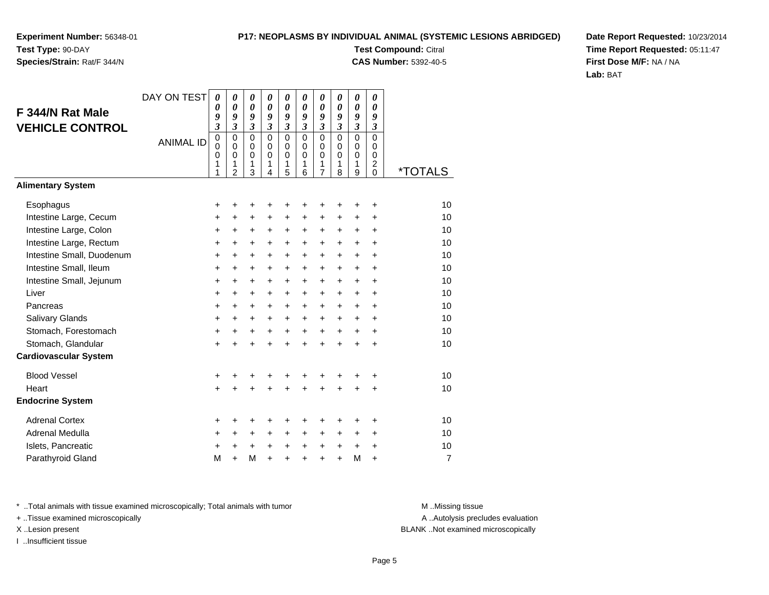# **Species/Strain:** Rat/F 344/N

### **P17: NEOPLASMS BY INDIVIDUAL ANIMAL (SYSTEMIC LESIONS ABRIDGED)**

**Test Compound:** Citral **CAS Number:** 5392-40-5

**Date Report Requested:** 10/23/2014**Time Report Requested:** 05:11:47**First Dose M/F:** NA / NA**Lab:** BAT

| F 344/N Rat Male<br><b>VEHICLE CONTROL</b><br><b>Alimentary System</b> | DAY ON TEST<br><b>ANIMAL ID</b> | $\boldsymbol{\theta}$<br>0<br>9<br>$\overline{\mathbf{3}}$<br>$\mathbf 0$<br>$\mathbf 0$<br>0<br>1<br>1 | 0<br>$\boldsymbol{\theta}$<br>9<br>$\mathfrak{z}$<br>0<br>$\mathbf 0$<br>0<br>1<br>$\overline{2}$ | $\boldsymbol{\theta}$<br>$\boldsymbol{\theta}$<br>9<br>$\mathfrak{z}$<br>$\mathbf 0$<br>$\mathbf 0$<br>$\mathbf 0$<br>1<br>3 | $\boldsymbol{\theta}$<br>$\boldsymbol{\theta}$<br>9<br>$\mathfrak{z}$<br>$\Omega$<br>$\mathbf 0$<br>$\mathbf 0$<br>1<br>4 | 0<br>$\boldsymbol{\theta}$<br>9<br>$\overline{\mathbf{3}}$<br>$\mathbf 0$<br>$\mathbf 0$<br>0<br>1<br>5 | 0<br>0<br>9<br>$\mathfrak{z}$<br>$\mathbf 0$<br>$\mathbf 0$<br>$\mathbf 0$<br>1<br>6 | 0<br>0<br>9<br>$\mathfrak{z}$<br>$\mathbf 0$<br>$\mathbf 0$<br>$\mathbf 0$<br>1<br>$\overline{7}$ | 0<br>0<br>9<br>$\mathfrak{z}$<br>$\mathbf 0$<br>$\Omega$<br>$\mathbf 0$<br>1<br>8 | 0<br>$\boldsymbol{\theta}$<br>9<br>$\mathfrak{z}$<br>$\mathbf 0$<br>$\pmb{0}$<br>$\mathbf 0$<br>1<br>9 | 0<br>$\boldsymbol{\theta}$<br>9<br>$\mathfrak{z}$<br>$\mathbf 0$<br>$\Omega$<br>$\mathbf 0$<br>$\overline{c}$<br>$\Omega$ | <i><b>*TOTALS</b></i> |
|------------------------------------------------------------------------|---------------------------------|---------------------------------------------------------------------------------------------------------|---------------------------------------------------------------------------------------------------|------------------------------------------------------------------------------------------------------------------------------|---------------------------------------------------------------------------------------------------------------------------|---------------------------------------------------------------------------------------------------------|--------------------------------------------------------------------------------------|---------------------------------------------------------------------------------------------------|-----------------------------------------------------------------------------------|--------------------------------------------------------------------------------------------------------|---------------------------------------------------------------------------------------------------------------------------|-----------------------|
|                                                                        |                                 |                                                                                                         |                                                                                                   |                                                                                                                              |                                                                                                                           |                                                                                                         |                                                                                      |                                                                                                   |                                                                                   |                                                                                                        |                                                                                                                           |                       |
| Esophagus                                                              |                                 | +                                                                                                       | +                                                                                                 | +                                                                                                                            |                                                                                                                           |                                                                                                         | +                                                                                    | +                                                                                                 | +                                                                                 | +                                                                                                      | +                                                                                                                         | 10                    |
| Intestine Large, Cecum                                                 |                                 | +                                                                                                       | $\ddot{}$                                                                                         | $\ddot{}$                                                                                                                    | $\ddot{}$                                                                                                                 | $\ddot{}$                                                                                               | $\ddot{}$                                                                            | $\ddot{}$                                                                                         | +                                                                                 | $\ddot{}$                                                                                              | $\ddot{}$                                                                                                                 | 10                    |
| Intestine Large, Colon                                                 |                                 | +                                                                                                       | +                                                                                                 | +                                                                                                                            | +                                                                                                                         | +                                                                                                       | +                                                                                    | +                                                                                                 | +                                                                                 | +                                                                                                      | $\ddot{}$                                                                                                                 | 10                    |
| Intestine Large, Rectum                                                |                                 | +                                                                                                       | $\ddot{}$                                                                                         | +                                                                                                                            | $\ddot{}$                                                                                                                 | +                                                                                                       | $\ddot{}$                                                                            | +                                                                                                 | $\pm$                                                                             | $\ddot{}$                                                                                              | $\ddot{}$                                                                                                                 | 10                    |
| Intestine Small, Duodenum                                              |                                 | +                                                                                                       | $\ddot{}$                                                                                         | $\ddot{}$                                                                                                                    | $\ddot{}$                                                                                                                 | $\ddot{}$                                                                                               | $\ddot{}$                                                                            | $\ddot{}$                                                                                         | $\ddot{}$                                                                         | $\ddot{}$                                                                                              | $\ddot{}$                                                                                                                 | 10                    |
| Intestine Small, Ileum                                                 |                                 | +                                                                                                       | +                                                                                                 | +                                                                                                                            | $\ddot{}$                                                                                                                 | $\ddot{}$                                                                                               | +                                                                                    | $\ddot{}$                                                                                         | +                                                                                 | $\ddot{}$                                                                                              | $\ddot{}$                                                                                                                 | 10                    |
| Intestine Small, Jejunum                                               |                                 | $\ddot{}$                                                                                               | $\ddot{}$                                                                                         | +                                                                                                                            | +                                                                                                                         | $\ddot{}$                                                                                               | $\ddot{}$                                                                            | $\ddot{}$                                                                                         | $\ddot{}$                                                                         | $\ddot{}$                                                                                              | $\ddot{}$                                                                                                                 | 10                    |
| Liver                                                                  |                                 | $\ddot{}$                                                                                               | $\ddot{}$                                                                                         | $\ddot{}$                                                                                                                    | $\ddot{}$                                                                                                                 | $\ddot{}$                                                                                               | $\ddot{}$                                                                            | $\ddot{}$                                                                                         | $\ddot{}$                                                                         | $\ddot{}$                                                                                              | $\ddot{}$                                                                                                                 | 10                    |
| Pancreas                                                               |                                 | +                                                                                                       | +                                                                                                 | +                                                                                                                            | +                                                                                                                         | +                                                                                                       | +                                                                                    | +                                                                                                 | $\ddot{}$                                                                         | +                                                                                                      | $\ddot{}$                                                                                                                 | 10                    |
| <b>Salivary Glands</b>                                                 |                                 | +                                                                                                       | $\ddot{}$                                                                                         | $\ddot{}$                                                                                                                    | $\ddot{}$                                                                                                                 | $\ddot{}$                                                                                               | $\ddot{}$                                                                            | +                                                                                                 | $\ddot{}$                                                                         | $\ddot{}$                                                                                              | $\ddot{}$                                                                                                                 | 10                    |
| Stomach, Forestomach                                                   |                                 | +                                                                                                       | +                                                                                                 | +                                                                                                                            | +                                                                                                                         | $\ddot{}$                                                                                               | +                                                                                    | +                                                                                                 | $\ddot{}$                                                                         | $\ddot{}$                                                                                              | $\ddot{}$                                                                                                                 | 10                    |
| Stomach, Glandular                                                     |                                 | $\ddot{}$                                                                                               |                                                                                                   | +                                                                                                                            |                                                                                                                           | $\ddot{}$                                                                                               | Ŧ.                                                                                   | $\ddot{}$                                                                                         | $\ddot{}$                                                                         | $\ddot{}$                                                                                              | $\ddot{}$                                                                                                                 | 10                    |
| <b>Cardiovascular System</b>                                           |                                 |                                                                                                         |                                                                                                   |                                                                                                                              |                                                                                                                           |                                                                                                         |                                                                                      |                                                                                                   |                                                                                   |                                                                                                        |                                                                                                                           |                       |
| <b>Blood Vessel</b>                                                    |                                 | +                                                                                                       | +                                                                                                 | +                                                                                                                            | +                                                                                                                         | +                                                                                                       | +                                                                                    | +                                                                                                 | +                                                                                 | +                                                                                                      | +                                                                                                                         | 10                    |
| Heart                                                                  |                                 | $\ddot{}$                                                                                               |                                                                                                   | $\ddot{}$                                                                                                                    |                                                                                                                           | $\ddot{}$                                                                                               |                                                                                      | $\ddot{}$                                                                                         | $\ddot{}$                                                                         | $\ddot{}$                                                                                              | $\ddot{}$                                                                                                                 | 10                    |
| <b>Endocrine System</b>                                                |                                 |                                                                                                         |                                                                                                   |                                                                                                                              |                                                                                                                           |                                                                                                         |                                                                                      |                                                                                                   |                                                                                   |                                                                                                        |                                                                                                                           |                       |
| <b>Adrenal Cortex</b>                                                  |                                 | +                                                                                                       | +                                                                                                 | +                                                                                                                            | +                                                                                                                         | +                                                                                                       | +                                                                                    | +                                                                                                 | +                                                                                 | +                                                                                                      | +                                                                                                                         | 10                    |
| Adrenal Medulla                                                        |                                 | +                                                                                                       | $\ddot{}$                                                                                         | +                                                                                                                            | $\ddot{}$                                                                                                                 | +                                                                                                       | +                                                                                    | +                                                                                                 | +                                                                                 | $\ddot{}$                                                                                              | $\ddot{}$                                                                                                                 | 10                    |
| Islets, Pancreatic                                                     |                                 | +                                                                                                       | +                                                                                                 | $\ddot{}$                                                                                                                    | $\ddot{}$                                                                                                                 | $\ddot{}$                                                                                               | +                                                                                    | +                                                                                                 | +                                                                                 | $\ddot{}$                                                                                              | $\ddot{}$                                                                                                                 | 10                    |
| Parathyroid Gland                                                      |                                 | M                                                                                                       | $\ddot{}$                                                                                         | M                                                                                                                            | $\ddot{}$                                                                                                                 | $\ddot{}$                                                                                               | $\ddot{}$                                                                            | $\ddot{}$                                                                                         | $\ddot{}$                                                                         | M                                                                                                      | $\ddot{}$                                                                                                                 | $\overline{7}$        |

\* ..Total animals with tissue examined microscopically; Total animals with tumor **M** . Missing tissue M ..Missing tissue

+ ..Tissue examined microscopically

I ..Insufficient tissue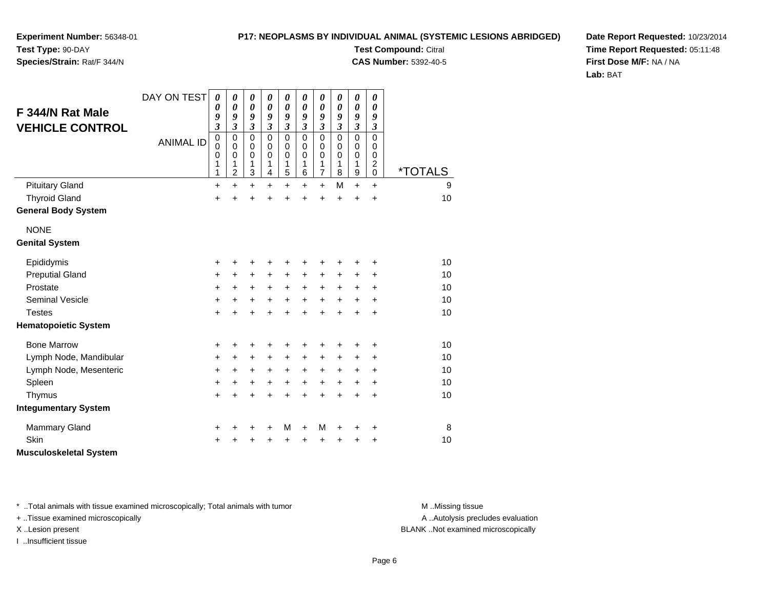**Experiment Number:** 56348-01**Test Type:** 90-DAY

**Species/Strain:** Rat/F 344/N

**Test Compound:** Citral **CAS Number:** 5392-40-5

**Date Report Requested:** 10/23/2014**Time Report Requested:** 05:11:48**First Dose M/F:** NA / NA**Lab:** BAT

| F 344/N Rat Male<br><b>VEHICLE CONTROL</b><br><b>Pituitary Gland</b> | DAY ON TEST<br><b>ANIMAL ID</b> | 0<br>0<br>9<br>3<br>$\mathbf 0$<br>0<br>$\mathbf 0$<br>1<br>1<br>$\ddot{}$ | 0<br>$\boldsymbol{\theta}$<br>9<br>3<br>0<br>0<br>$\mathbf 0$<br>1<br>$\overline{c}$<br>$\ddot{}$ | 0<br>$\pmb{\theta}$<br>9<br>$\overline{\mathbf{3}}$<br>$\mathbf 0$<br>0<br>$\mathbf 0$<br>1<br>3<br>$\ddot{}$ | 0<br>0<br>9<br>$\overline{\mathbf{3}}$<br>$\mathbf 0$<br>0<br>$\Omega$<br>1<br>4<br>$\ddot{}$ | 0<br>$\boldsymbol{\theta}$<br>9<br>$\overline{\mathbf{3}}$<br>$\mathbf 0$<br>0<br>$\mathbf 0$<br>1<br>5<br>$\ddot{}$ | 0<br>0<br>9<br>$\overline{\mathbf{3}}$<br>$\mathbf 0$<br>0<br>$\mathbf 0$<br>1<br>6<br>$\ddot{}$ | 0<br>$\boldsymbol{\theta}$<br>9<br>$\mathfrak{z}$<br>$\mathbf 0$<br>0<br>$\mathbf 0$<br>$\mathbf{1}$<br>$\overline{7}$<br>$\ddot{}$ | 0<br>0<br>9<br>$\mathfrak{z}$<br>$\Omega$<br>0<br>0<br>1<br>8<br>M | 0<br>0<br>9<br>$\mathfrak{z}$<br>0<br>0<br>$\mathbf 0$<br>1<br>$\boldsymbol{9}$<br>$\ddot{}$ | 0<br>0<br>9<br>3<br>$\Omega$<br>0<br>$\mathbf 0$<br>$\overline{c}$<br>$\mathbf 0$<br>$\ddot{}$ | <i><b>*TOTALS</b></i><br>9 |
|----------------------------------------------------------------------|---------------------------------|----------------------------------------------------------------------------|---------------------------------------------------------------------------------------------------|---------------------------------------------------------------------------------------------------------------|-----------------------------------------------------------------------------------------------|----------------------------------------------------------------------------------------------------------------------|--------------------------------------------------------------------------------------------------|-------------------------------------------------------------------------------------------------------------------------------------|--------------------------------------------------------------------|----------------------------------------------------------------------------------------------|------------------------------------------------------------------------------------------------|----------------------------|
| <b>Thyroid Gland</b>                                                 |                                 | $\ddot{}$                                                                  | $\ddot{}$                                                                                         | $\ddot{}$                                                                                                     | Ŧ.                                                                                            | +                                                                                                                    | $\ddot{}$                                                                                        | $\ddot{}$                                                                                                                           | $\ddot{}$                                                          | $\ddot{}$                                                                                    | $\ddot{}$                                                                                      | 10                         |
| <b>General Body System</b>                                           |                                 |                                                                            |                                                                                                   |                                                                                                               |                                                                                               |                                                                                                                      |                                                                                                  |                                                                                                                                     |                                                                    |                                                                                              |                                                                                                |                            |
| <b>NONE</b><br><b>Genital System</b>                                 |                                 |                                                                            |                                                                                                   |                                                                                                               |                                                                                               |                                                                                                                      |                                                                                                  |                                                                                                                                     |                                                                    |                                                                                              |                                                                                                |                            |
| Epididymis                                                           |                                 | $\ddot{}$                                                                  | +                                                                                                 | +                                                                                                             | +                                                                                             | +                                                                                                                    |                                                                                                  | +                                                                                                                                   | +                                                                  | +                                                                                            | +                                                                                              | 10                         |
| <b>Preputial Gland</b>                                               |                                 | +                                                                          | $\ddot{}$                                                                                         | $\ddot{}$                                                                                                     | +                                                                                             | $\ddot{}$                                                                                                            | +                                                                                                | +                                                                                                                                   | +                                                                  | +                                                                                            | +                                                                                              | 10                         |
| Prostate                                                             |                                 | +                                                                          | $\ddot{}$                                                                                         | +                                                                                                             | $\ddot{}$                                                                                     | $\ddot{}$                                                                                                            | $\ddot{}$                                                                                        | $\ddot{}$                                                                                                                           | +                                                                  | +                                                                                            | $\ddot{}$                                                                                      | 10                         |
| <b>Seminal Vesicle</b>                                               |                                 | $\ddot{}$                                                                  | $\ddot{}$                                                                                         | $\ddot{}$                                                                                                     | $\ddot{}$                                                                                     | $\ddot{}$                                                                                                            | $\ddot{}$                                                                                        | $\ddot{}$                                                                                                                           | $\ddot{}$                                                          | $\ddot{}$                                                                                    | $\ddot{}$                                                                                      | 10                         |
| <b>Testes</b>                                                        |                                 | $\ddot{}$                                                                  | $\ddot{}$                                                                                         | $\ddot{}$                                                                                                     | $\ddot{}$                                                                                     | $\ddot{}$                                                                                                            | $\ddot{}$                                                                                        | $\ddot{}$                                                                                                                           | $\ddot{}$                                                          | $\ddot{}$                                                                                    | $\ddot{}$                                                                                      | 10                         |
| <b>Hematopoietic System</b>                                          |                                 |                                                                            |                                                                                                   |                                                                                                               |                                                                                               |                                                                                                                      |                                                                                                  |                                                                                                                                     |                                                                    |                                                                                              |                                                                                                |                            |
| <b>Bone Marrow</b>                                                   |                                 | +                                                                          | +                                                                                                 | +                                                                                                             | +                                                                                             | +                                                                                                                    | +                                                                                                | +                                                                                                                                   | +                                                                  | +                                                                                            | +                                                                                              | 10                         |
| Lymph Node, Mandibular                                               |                                 | +                                                                          | $\ddot{}$                                                                                         | $\ddot{}$                                                                                                     | +                                                                                             | $\ddot{}$                                                                                                            | $\ddot{}$                                                                                        | $\ddot{}$                                                                                                                           | +                                                                  | +                                                                                            | +                                                                                              | 10                         |
| Lymph Node, Mesenteric                                               |                                 | +                                                                          | $\ddot{}$                                                                                         | $\ddot{}$                                                                                                     | +                                                                                             | +                                                                                                                    | +                                                                                                | $\ddot{}$                                                                                                                           | +                                                                  | +                                                                                            | +                                                                                              | 10                         |
| Spleen                                                               |                                 | +                                                                          | $\ddot{}$                                                                                         | +                                                                                                             | $\ddot{}$                                                                                     | $\ddot{}$                                                                                                            | $\ddot{}$                                                                                        | $\ddot{}$                                                                                                                           | $\ddot{}$                                                          | $\ddot{}$                                                                                    | $\ddot{}$                                                                                      | 10                         |
| Thymus                                                               |                                 | +                                                                          | $\ddot{}$                                                                                         | $\ddot{}$                                                                                                     | $\ddot{}$                                                                                     | $\ddot{}$                                                                                                            | $\ddot{}$                                                                                        | $\ddot{}$                                                                                                                           | $\ddot{}$                                                          | $\ddot{}$                                                                                    | $\ddot{}$                                                                                      | 10                         |
| <b>Integumentary System</b>                                          |                                 |                                                                            |                                                                                                   |                                                                                                               |                                                                                               |                                                                                                                      |                                                                                                  |                                                                                                                                     |                                                                    |                                                                                              |                                                                                                |                            |
| <b>Mammary Gland</b>                                                 |                                 | +                                                                          | +                                                                                                 | +                                                                                                             | +                                                                                             | М                                                                                                                    | $\ddot{}$                                                                                        | M                                                                                                                                   | +                                                                  | +                                                                                            | +                                                                                              | 8                          |
| Skin                                                                 |                                 | +                                                                          |                                                                                                   | +                                                                                                             | +                                                                                             | +                                                                                                                    | +                                                                                                | +                                                                                                                                   | +                                                                  | +                                                                                            | +                                                                                              | 10                         |
| <b>Musculoskeletal System</b>                                        |                                 |                                                                            |                                                                                                   |                                                                                                               |                                                                                               |                                                                                                                      |                                                                                                  |                                                                                                                                     |                                                                    |                                                                                              |                                                                                                |                            |

\* ..Total animals with tissue examined microscopically; Total animals with tumor **M** . Missing tissue M ..Missing tissue

+ ..Tissue examined microscopically

I ..Insufficient tissue

A ..Autolysis precludes evaluation

X ..Lesion present BLANK ..Not examined microscopically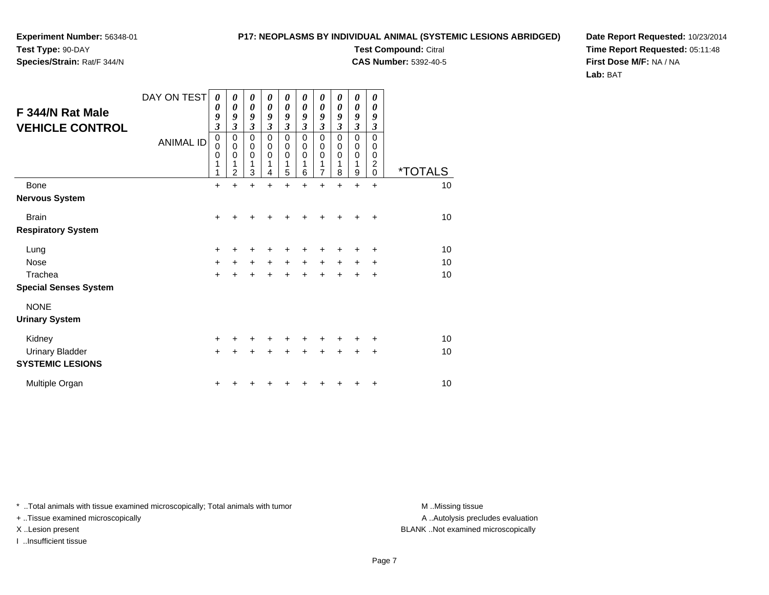**Experiment Number:** 56348-01**Test Type:** 90-DAY

**Species/Strain:** Rat/F 344/N

**Test Compound:** Citral **CAS Number:** 5392-40-5

**Date Report Requested:** 10/23/2014**Time Report Requested:** 05:11:48**First Dose M/F:** NA / NA**Lab:** BAT

| F 344/N Rat Male<br><b>VEHICLE CONTROL</b> | DAY ON TEST<br><b>ANIMAL ID</b> | 0<br>0<br>9<br>$\overline{\mathbf{3}}$<br>$\mathbf 0$<br>0<br>$\mathbf 0$<br>1<br>1 | 0<br>$\boldsymbol{\theta}$<br>9<br>3<br>$\mathbf 0$<br>$\pmb{0}$<br>$\mathbf 0$<br>$\overline{2}$ | 0<br>$\boldsymbol{\theta}$<br>9<br>$\mathfrak{z}$<br>$\mathbf 0$<br>$\pmb{0}$<br>$\Omega$<br>1<br>3 | 0<br>$\boldsymbol{\theta}$<br>9<br>$\overline{\mathbf{3}}$<br>$\mathbf 0$<br>$\mathbf 0$<br>$\Omega$<br>1<br>4 | 0<br>$\boldsymbol{\theta}$<br>9<br>$\mathfrak{z}$<br>$\mathbf 0$<br>$\pmb{0}$<br>$\Omega$<br>1<br>5 | 0<br>$\theta$<br>9<br>$\boldsymbol{\beta}$<br>$\mathbf 0$<br>0<br>$\Omega$<br>1<br>6 | 0<br>$\boldsymbol{\theta}$<br>9<br>$\mathfrak{z}$<br>$\mathbf 0$<br>$\pmb{0}$<br>$\mathbf 0$<br>1<br>$\overline{7}$ | 0<br>$\boldsymbol{\theta}$<br>9<br>$\boldsymbol{\beta}$<br>$\mathbf 0$<br>0<br>$\mathbf 0$<br>1<br>8 | 0<br>$\boldsymbol{\theta}$<br>9<br>$\mathfrak{z}$<br>$\mathbf 0$<br>$\pmb{0}$<br>$\mathbf 0$<br>1<br>$\boldsymbol{9}$ | 0<br>0<br>9<br>$\boldsymbol{\mathfrak{z}}$<br>$\mathbf 0$<br>0<br>$\pmb{0}$<br>$\boldsymbol{2}$<br>$\mathbf 0$ | <i><b>*TOTALS</b></i> |
|--------------------------------------------|---------------------------------|-------------------------------------------------------------------------------------|---------------------------------------------------------------------------------------------------|-----------------------------------------------------------------------------------------------------|----------------------------------------------------------------------------------------------------------------|-----------------------------------------------------------------------------------------------------|--------------------------------------------------------------------------------------|---------------------------------------------------------------------------------------------------------------------|------------------------------------------------------------------------------------------------------|-----------------------------------------------------------------------------------------------------------------------|----------------------------------------------------------------------------------------------------------------|-----------------------|
| Bone                                       |                                 | $\ddot{}$                                                                           | $\ddot{}$                                                                                         | $\ddot{}$                                                                                           | ÷                                                                                                              | $\ddot{}$                                                                                           | $\ddot{}$                                                                            | $\ddot{}$                                                                                                           | $\ddot{}$                                                                                            | $\ddot{}$                                                                                                             | $\ddot{}$                                                                                                      | 10                    |
| <b>Nervous System</b>                      |                                 |                                                                                     |                                                                                                   |                                                                                                     |                                                                                                                |                                                                                                     |                                                                                      |                                                                                                                     |                                                                                                      |                                                                                                                       |                                                                                                                |                       |
| <b>Brain</b>                               |                                 | $\ddot{}$                                                                           |                                                                                                   |                                                                                                     |                                                                                                                |                                                                                                     |                                                                                      |                                                                                                                     |                                                                                                      |                                                                                                                       | ÷                                                                                                              | 10                    |
| <b>Respiratory System</b>                  |                                 |                                                                                     |                                                                                                   |                                                                                                     |                                                                                                                |                                                                                                     |                                                                                      |                                                                                                                     |                                                                                                      |                                                                                                                       |                                                                                                                |                       |
| Lung                                       |                                 | $\pm$                                                                               |                                                                                                   | +                                                                                                   |                                                                                                                |                                                                                                     |                                                                                      |                                                                                                                     |                                                                                                      |                                                                                                                       | ٠                                                                                                              | 10                    |
| <b>Nose</b>                                |                                 | $\ddot{}$                                                                           | $+$                                                                                               | $\ddot{}$                                                                                           | $\ddot{}$                                                                                                      | $\ddot{}$                                                                                           | $\ddot{}$                                                                            | $\ddot{}$                                                                                                           | $\ddot{}$                                                                                            | ÷                                                                                                                     | ٠                                                                                                              | 10                    |
| Trachea                                    |                                 | $\ddot{}$                                                                           |                                                                                                   | $\ddot{}$                                                                                           | +                                                                                                              | $\ddot{}$                                                                                           | ÷                                                                                    | $\ddot{}$                                                                                                           |                                                                                                      | +                                                                                                                     | +                                                                                                              | 10                    |
| <b>Special Senses System</b>               |                                 |                                                                                     |                                                                                                   |                                                                                                     |                                                                                                                |                                                                                                     |                                                                                      |                                                                                                                     |                                                                                                      |                                                                                                                       |                                                                                                                |                       |
| <b>NONE</b>                                |                                 |                                                                                     |                                                                                                   |                                                                                                     |                                                                                                                |                                                                                                     |                                                                                      |                                                                                                                     |                                                                                                      |                                                                                                                       |                                                                                                                |                       |
| <b>Urinary System</b>                      |                                 |                                                                                     |                                                                                                   |                                                                                                     |                                                                                                                |                                                                                                     |                                                                                      |                                                                                                                     |                                                                                                      |                                                                                                                       |                                                                                                                |                       |
| Kidney                                     |                                 | +                                                                                   |                                                                                                   |                                                                                                     |                                                                                                                |                                                                                                     |                                                                                      |                                                                                                                     |                                                                                                      |                                                                                                                       |                                                                                                                | 10                    |
| <b>Urinary Bladder</b>                     |                                 | +                                                                                   |                                                                                                   | +                                                                                                   | +                                                                                                              | $\ddot{}$                                                                                           |                                                                                      |                                                                                                                     |                                                                                                      | ÷                                                                                                                     | +                                                                                                              | 10                    |
| <b>SYSTEMIC LESIONS</b>                    |                                 |                                                                                     |                                                                                                   |                                                                                                     |                                                                                                                |                                                                                                     |                                                                                      |                                                                                                                     |                                                                                                      |                                                                                                                       |                                                                                                                |                       |
| Multiple Organ                             |                                 | +                                                                                   |                                                                                                   |                                                                                                     |                                                                                                                |                                                                                                     |                                                                                      |                                                                                                                     |                                                                                                      |                                                                                                                       | +                                                                                                              | 10                    |

\* ..Total animals with tissue examined microscopically; Total animals with tumor **M** . Missing tissue M ..Missing tissue

+ ..Tissue examined microscopically

I ..Insufficient tissue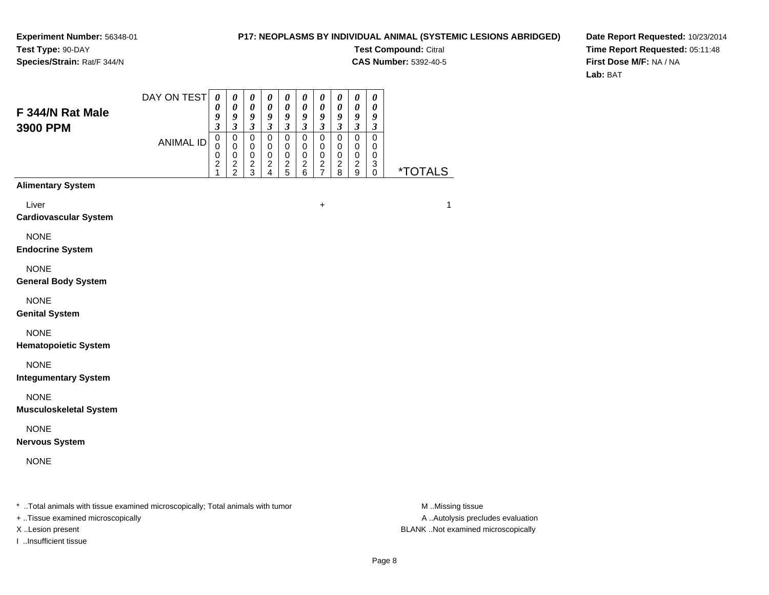### **P17: NEOPLASMS BY INDIVIDUAL ANIMAL (SYSTEMIC LESIONS ABRIDGED)**

**Test Compound:** Citral

**CAS Number:** 5392-40-5

**Date Report Requested:** 10/23/2014**Time Report Requested:** 05:11:48**First Dose M/F:** NA / NA**Lab:** BAT

| F 344/N Rat Male<br>3900 PPM                                                   | DAY ON TEST      | $\boldsymbol{\theta}$<br>0<br>9<br>$\mathfrak{z}$                | $\boldsymbol{\theta}$<br>$\pmb{\theta}$<br>9<br>$\mathfrak{z}$ | $\boldsymbol{\theta}$<br>$\boldsymbol{\theta}$<br>$\boldsymbol{g}$<br>$\boldsymbol{\mathfrak{z}}$ | $\boldsymbol{\theta}$<br>$\pmb{\theta}$<br>$\boldsymbol{g}$<br>$\mathfrak{z}$ | 0<br>$\pmb{\theta}$<br>9<br>$\overline{\mathbf{3}}$              | $\boldsymbol{\theta}$<br>$\pmb{\theta}$<br>9<br>$\mathfrak{z}$   | $\pmb{\theta}$<br>$\pmb{\theta}$<br>9<br>$\mathfrak{z}$    | 0<br>$\pmb{\theta}$<br>9<br>3        | $\boldsymbol{\theta}$<br>$\pmb{\theta}$<br>$\boldsymbol{9}$<br>$\mathfrak{z}$ | $\boldsymbol{\theta}$<br>$\pmb{\theta}$<br>9<br>3             |                       |
|--------------------------------------------------------------------------------|------------------|------------------------------------------------------------------|----------------------------------------------------------------|---------------------------------------------------------------------------------------------------|-------------------------------------------------------------------------------|------------------------------------------------------------------|------------------------------------------------------------------|------------------------------------------------------------|--------------------------------------|-------------------------------------------------------------------------------|---------------------------------------------------------------|-----------------------|
|                                                                                | <b>ANIMAL ID</b> | $\mathbf 0$<br>$\mathbf 0$<br>$\mathbf 0$<br>$\overline{c}$<br>1 | $\mathbf 0$<br>$\pmb{0}$<br>$\,0\,$<br>$\frac{2}{2}$           | $\mathbf 0$<br>$\pmb{0}$<br>$\pmb{0}$<br>$\overline{c}$<br>$\mathbf{3}$                           | $\mathbf 0$<br>$\mathbf 0$<br>$\mathbf 0$<br>$\overline{c}$<br>$\overline{4}$ | $\mathbf 0$<br>$\mathbf 0$<br>$\pmb{0}$<br>$\boldsymbol{2}$<br>5 | $\mathbf 0$<br>$\mathbf 0$<br>$\pmb{0}$<br>$\boldsymbol{2}$<br>6 | $\mathbf 0$<br>$\pmb{0}$<br>$\,0\,$<br>$\overline{c}$<br>7 | 0<br>$\pmb{0}$<br>0<br>$\frac{2}{8}$ | $\pmb{0}$<br>$\mathbf 0$<br>$\pmb{0}$<br>$\overline{c}$<br>9                  | $\mathbf 0$<br>$\mathbf 0$<br>$\mathbf 0$<br>3<br>$\mathbf 0$ | <i><b>*TOTALS</b></i> |
| <b>Alimentary System</b>                                                       |                  |                                                                  |                                                                |                                                                                                   |                                                                               |                                                                  |                                                                  |                                                            |                                      |                                                                               |                                                               |                       |
| Liver<br><b>Cardiovascular System</b>                                          |                  |                                                                  |                                                                |                                                                                                   |                                                                               |                                                                  |                                                                  | +                                                          |                                      |                                                                               |                                                               | 1                     |
| <b>NONE</b><br><b>Endocrine System</b>                                         |                  |                                                                  |                                                                |                                                                                                   |                                                                               |                                                                  |                                                                  |                                                            |                                      |                                                                               |                                                               |                       |
| <b>NONE</b><br><b>General Body System</b>                                      |                  |                                                                  |                                                                |                                                                                                   |                                                                               |                                                                  |                                                                  |                                                            |                                      |                                                                               |                                                               |                       |
| <b>NONE</b><br><b>Genital System</b>                                           |                  |                                                                  |                                                                |                                                                                                   |                                                                               |                                                                  |                                                                  |                                                            |                                      |                                                                               |                                                               |                       |
| <b>NONE</b><br><b>Hematopoietic System</b>                                     |                  |                                                                  |                                                                |                                                                                                   |                                                                               |                                                                  |                                                                  |                                                            |                                      |                                                                               |                                                               |                       |
| <b>NONE</b><br><b>Integumentary System</b>                                     |                  |                                                                  |                                                                |                                                                                                   |                                                                               |                                                                  |                                                                  |                                                            |                                      |                                                                               |                                                               |                       |
| <b>NONE</b><br><b>Musculoskeletal System</b>                                   |                  |                                                                  |                                                                |                                                                                                   |                                                                               |                                                                  |                                                                  |                                                            |                                      |                                                                               |                                                               |                       |
| <b>NONE</b><br><b>Nervous System</b>                                           |                  |                                                                  |                                                                |                                                                                                   |                                                                               |                                                                  |                                                                  |                                                            |                                      |                                                                               |                                                               |                       |
| <b>NONE</b>                                                                    |                  |                                                                  |                                                                |                                                                                                   |                                                                               |                                                                  |                                                                  |                                                            |                                      |                                                                               |                                                               |                       |
| * Total animals with tissue examined microscopically; Total animals with tumor |                  |                                                                  |                                                                |                                                                                                   |                                                                               |                                                                  |                                                                  |                                                            |                                      |                                                                               |                                                               | M Missing tissue      |

+ ..Tissue examined microscopically

I ..Insufficient tissue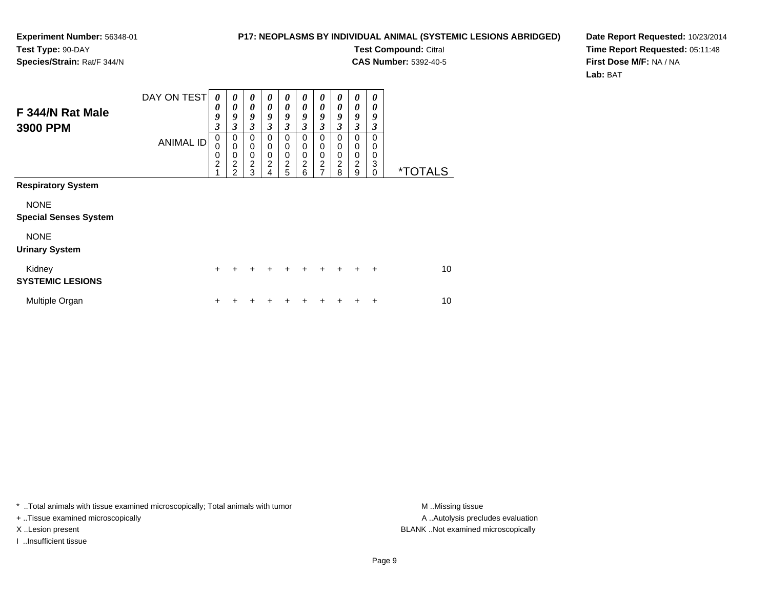### **P17: NEOPLASMS BY INDIVIDUAL ANIMAL (SYSTEMIC LESIONS ABRIDGED)**

**Test Compound:** Citral

**CAS Number:** 5392-40-5

**Date Report Requested:** 10/23/2014**Time Report Requested:** 05:11:48**First Dose M/F:** NA / NA**Lab:** BAT

| F 344/N Rat Male<br>3900 PPM                | DAY ON TEST<br><b>ANIMAL ID</b> | 0<br>0<br>9<br>3<br>0<br>0<br>0<br>$\overline{c}$<br>4 | $\boldsymbol{\theta}$<br>$\boldsymbol{\theta}$<br>9<br>3<br>0<br>$\mathbf 0$<br>0<br>$\overline{c}$<br>$\mathfrak{p}$ | $\boldsymbol{\theta}$<br>$\boldsymbol{\theta}$<br>9<br>3<br>$\mathbf 0$<br>$\pmb{0}$<br>$\mathbf 0$<br>$\overline{c}$<br>3 | 0<br>$\theta$<br>9<br>3<br>$\mathbf 0$<br>$\mathbf 0$<br>$\mathbf 0$<br>$\overline{c}$<br>4 | $\boldsymbol{\theta}$<br>$\theta$<br>9<br>$\mathfrak{z}$<br>$\mathbf 0$<br>$\mathbf 0$<br>$\mathbf 0$<br>$\overline{2}$<br>5 | $\boldsymbol{\theta}$<br>$\theta$<br>9<br>$\mathfrak{z}$<br>0<br>$\mathbf 0$<br>$\mathbf 0$<br>$\overline{2}$<br>6 | $\boldsymbol{\theta}$<br>$\boldsymbol{\theta}$<br>9<br>$\mathfrak{z}$<br>0<br>$\mathbf 0$<br>$\mathbf 0$<br>$\overline{c}$<br>7 | 0<br>0<br>9<br>3<br>$\mathbf 0$<br>0<br>0<br>2<br>8 | 0<br>0<br>9<br>3<br>$\mathbf 0$<br>$\pmb{0}$<br>0<br>$\overline{c}$<br>9 | 0<br>0<br>9<br>3<br>0<br>0<br>0<br>3<br>$\Omega$ | <i><b>*TOTALS</b></i> |
|---------------------------------------------|---------------------------------|--------------------------------------------------------|-----------------------------------------------------------------------------------------------------------------------|----------------------------------------------------------------------------------------------------------------------------|---------------------------------------------------------------------------------------------|------------------------------------------------------------------------------------------------------------------------------|--------------------------------------------------------------------------------------------------------------------|---------------------------------------------------------------------------------------------------------------------------------|-----------------------------------------------------|--------------------------------------------------------------------------|--------------------------------------------------|-----------------------|
| <b>Respiratory System</b>                   |                                 |                                                        |                                                                                                                       |                                                                                                                            |                                                                                             |                                                                                                                              |                                                                                                                    |                                                                                                                                 |                                                     |                                                                          |                                                  |                       |
| <b>NONE</b><br><b>Special Senses System</b> |                                 |                                                        |                                                                                                                       |                                                                                                                            |                                                                                             |                                                                                                                              |                                                                                                                    |                                                                                                                                 |                                                     |                                                                          |                                                  |                       |
| <b>NONE</b><br><b>Urinary System</b>        |                                 |                                                        |                                                                                                                       |                                                                                                                            |                                                                                             |                                                                                                                              |                                                                                                                    |                                                                                                                                 |                                                     |                                                                          |                                                  |                       |
| Kidney<br><b>SYSTEMIC LESIONS</b>           |                                 | $\ddot{}$                                              | ÷                                                                                                                     | $\pm$                                                                                                                      | $\ddot{}$                                                                                   | $\ddot{}$                                                                                                                    | $\ddot{}$                                                                                                          | $\pm$                                                                                                                           | $\ddot{}$                                           | $\ddot{}$                                                                | $\ddot{}$                                        | 10                    |
| Multiple Organ                              |                                 | +                                                      |                                                                                                                       |                                                                                                                            |                                                                                             |                                                                                                                              |                                                                                                                    |                                                                                                                                 |                                                     |                                                                          | +                                                | 10                    |

\* ..Total animals with tissue examined microscopically; Total animals with tumor **M** . Missing tissue M ..Missing tissue

+ ..Tissue examined microscopically

I ..Insufficient tissue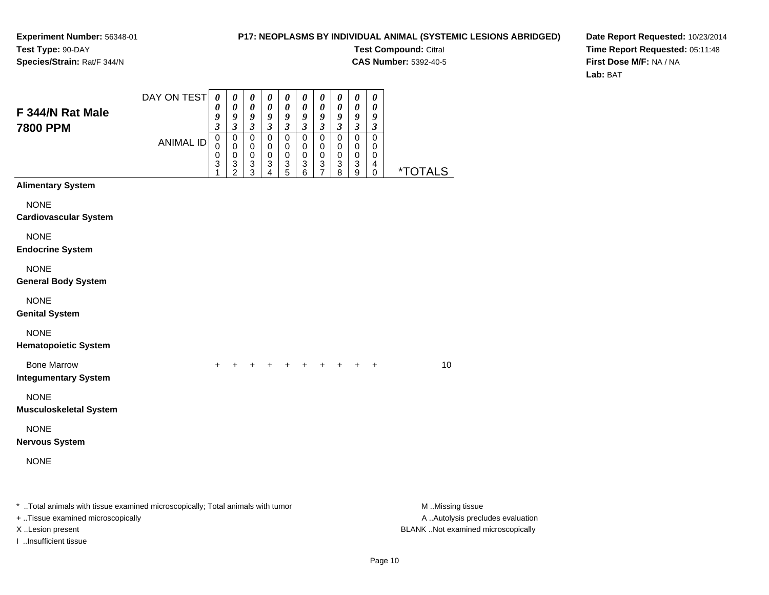I ..Insufficient tissue

### **P17: NEOPLASMS BY INDIVIDUAL ANIMAL (SYSTEMIC LESIONS ABRIDGED)**

**Test Compound:** Citral

**CAS Number:** 5392-40-5

**Date Report Requested:** 10/23/2014**Time Report Requested:** 05:11:48**First Dose M/F:** NA / NA**Lab:** BAT

| F 344/N Rat Male<br><b>7800 PPM</b>                                                                                 | DAY ON TEST      | $\boldsymbol{\theta}$<br>0<br>9<br>$\boldsymbol{\beta}$ | $\pmb{\theta}$<br>0<br>9<br>3 | $\boldsymbol{\theta}$<br>$\boldsymbol{\theta}$<br>$\boldsymbol{g}$<br>$\boldsymbol{\beta}$ | 0<br>$\pmb{\theta}$<br>9<br>$\boldsymbol{\beta}$           | $\boldsymbol{\theta}$<br>0<br>9<br>$\mathfrak{z}$ | 0<br>0<br>9<br>$\mathfrak{z}$          | $\pmb{\theta}$<br>$\boldsymbol{\theta}$<br>9<br>$\mathfrak{z}$       | 0<br>0<br>9<br>$\boldsymbol{\beta}$     | 0<br>0<br>9<br>$\boldsymbol{\mathfrak{z}}$ | 0<br>0<br>9<br>3      |                                                       |
|---------------------------------------------------------------------------------------------------------------------|------------------|---------------------------------------------------------|-------------------------------|--------------------------------------------------------------------------------------------|------------------------------------------------------------|---------------------------------------------------|----------------------------------------|----------------------------------------------------------------------|-----------------------------------------|--------------------------------------------|-----------------------|-------------------------------------------------------|
|                                                                                                                     | <b>ANIMAL ID</b> | $\pmb{0}$<br>0<br>0<br>3<br>1                           | 0<br>0<br>0<br>$\frac{3}{2}$  | $\pmb{0}$<br>0<br>0<br>$\ensuremath{\mathsf{3}}$<br>$\mathbf{3}$                           | $\mathbf 0$<br>$\mathbf 0$<br>$\mathbf 0$<br>$\frac{3}{4}$ | $\mathbf 0$<br>0<br>0<br>$\frac{3}{5}$            | $\mathbf 0$<br>0<br>0<br>$\frac{3}{6}$ | $\mathbf 0$<br>0<br>0<br>$\ensuremath{\mathsf{3}}$<br>$\overline{7}$ | $\pmb{0}$<br>$\mathbf 0$<br>0<br>3<br>8 | $\mathbf 0$<br>0<br>0<br>3<br>9            | 0<br>0<br>0<br>4<br>0 | <i><b>*TOTALS</b></i>                                 |
| <b>Alimentary System</b>                                                                                            |                  |                                                         |                               |                                                                                            |                                                            |                                                   |                                        |                                                                      |                                         |                                            |                       |                                                       |
| <b>NONE</b><br><b>Cardiovascular System</b>                                                                         |                  |                                                         |                               |                                                                                            |                                                            |                                                   |                                        |                                                                      |                                         |                                            |                       |                                                       |
| <b>NONE</b><br><b>Endocrine System</b>                                                                              |                  |                                                         |                               |                                                                                            |                                                            |                                                   |                                        |                                                                      |                                         |                                            |                       |                                                       |
| <b>NONE</b><br><b>General Body System</b>                                                                           |                  |                                                         |                               |                                                                                            |                                                            |                                                   |                                        |                                                                      |                                         |                                            |                       |                                                       |
| <b>NONE</b><br><b>Genital System</b>                                                                                |                  |                                                         |                               |                                                                                            |                                                            |                                                   |                                        |                                                                      |                                         |                                            |                       |                                                       |
| <b>NONE</b><br><b>Hematopoietic System</b>                                                                          |                  |                                                         |                               |                                                                                            |                                                            |                                                   |                                        |                                                                      |                                         |                                            |                       |                                                       |
| <b>Bone Marrow</b><br><b>Integumentary System</b>                                                                   |                  | $\pm$                                                   |                               |                                                                                            |                                                            |                                                   | $+$                                    |                                                                      | $+$ $+$                                 | $+$                                        | $+$                   | 10                                                    |
| <b>NONE</b><br><b>Musculoskeletal System</b>                                                                        |                  |                                                         |                               |                                                                                            |                                                            |                                                   |                                        |                                                                      |                                         |                                            |                       |                                                       |
| <b>NONE</b><br><b>Nervous System</b>                                                                                |                  |                                                         |                               |                                                                                            |                                                            |                                                   |                                        |                                                                      |                                         |                                            |                       |                                                       |
| <b>NONE</b>                                                                                                         |                  |                                                         |                               |                                                                                            |                                                            |                                                   |                                        |                                                                      |                                         |                                            |                       |                                                       |
| * Total animals with tissue examined microscopically; Total animals with tumor<br>+ Tissue examined microscopically |                  |                                                         |                               |                                                                                            |                                                            |                                                   |                                        |                                                                      |                                         |                                            |                       | M Missing tissue<br>A  Autolysis precludes evaluation |

X ..Lesion present BLANK ..Not examined microscopically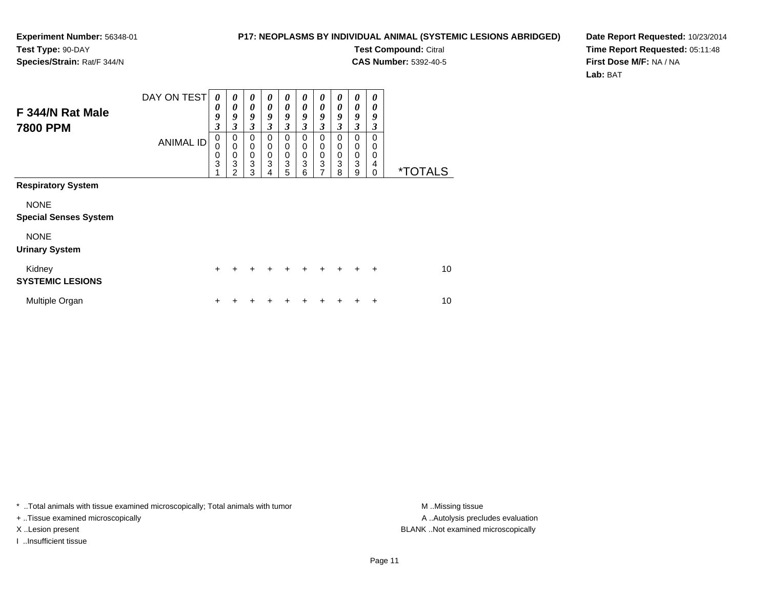### **P17: NEOPLASMS BY INDIVIDUAL ANIMAL (SYSTEMIC LESIONS ABRIDGED)**

**Test Compound:** Citral

**CAS Number:** 5392-40-5

**Date Report Requested:** 10/23/2014**Time Report Requested:** 05:11:48**First Dose M/F:** NA / NA**Lab:** BAT

| F 344/N Rat Male<br><b>7800 PPM</b>         | DAY ON TEST<br><b>ANIMAL ID</b> | $\boldsymbol{\theta}$<br>0<br>9<br>$\mathfrak{z}$<br>0<br>0<br>0<br>3 | 0<br>0<br>9<br>3<br>0<br>$\mathbf 0$<br>$\mathbf 0$<br>3<br>2 | 0<br>$\theta$<br>9<br>$\mathfrak{z}$<br>0<br>$\mathbf 0$<br>$\mathbf 0$<br>3<br>3 | 0<br>0<br>9<br>3<br>0<br>$\mathbf 0$<br>$\mathbf 0$<br>3<br>4 | 0<br>$\theta$<br>9<br>3<br>0<br>$\mathbf 0$<br>$\mathbf 0$<br>3<br>5 | 0<br>$\theta$<br>9<br>3<br>0<br>0<br>$\mathbf 0$<br>3<br>6 | 0<br>$\theta$<br>9<br>$\mathfrak{z}$<br>$\mathbf 0$<br>$\mathbf 0$<br>$\pmb{0}$<br>3<br>7 | 0<br>0<br>9<br>3<br>$\Omega$<br>0<br>$\mathbf 0$<br>3<br>8 | 0<br>0<br>9<br>$\mathfrak{z}$<br>$\mathbf 0$<br>0<br>$\mathbf 0$<br>3<br>9 | 0<br>0<br>9<br>3<br>0<br>0<br>0<br>4<br>$\Omega$ | <i><b>*TOTALS</b></i> |
|---------------------------------------------|---------------------------------|-----------------------------------------------------------------------|---------------------------------------------------------------|-----------------------------------------------------------------------------------|---------------------------------------------------------------|----------------------------------------------------------------------|------------------------------------------------------------|-------------------------------------------------------------------------------------------|------------------------------------------------------------|----------------------------------------------------------------------------|--------------------------------------------------|-----------------------|
| <b>Respiratory System</b>                   |                                 |                                                                       |                                                               |                                                                                   |                                                               |                                                                      |                                                            |                                                                                           |                                                            |                                                                            |                                                  |                       |
| <b>NONE</b><br><b>Special Senses System</b> |                                 |                                                                       |                                                               |                                                                                   |                                                               |                                                                      |                                                            |                                                                                           |                                                            |                                                                            |                                                  |                       |
| <b>NONE</b><br><b>Urinary System</b>        |                                 |                                                                       |                                                               |                                                                                   |                                                               |                                                                      |                                                            |                                                                                           |                                                            |                                                                            |                                                  |                       |
| Kidney<br><b>SYSTEMIC LESIONS</b>           |                                 | $\ddot{}$                                                             | $\ddot{}$                                                     | $\ddot{}$                                                                         | $\pm$                                                         | $\ddot{}$                                                            | $\ddot{}$                                                  | $\ddot{}$                                                                                 | $+$                                                        | $\ddot{}$                                                                  | $\ddot{}$                                        | 10                    |
| Multiple Organ                              |                                 | +                                                                     |                                                               |                                                                                   |                                                               | ┿                                                                    |                                                            |                                                                                           |                                                            |                                                                            | ٠                                                | 10                    |

\* ..Total animals with tissue examined microscopically; Total animals with tumor **M** . Missing tissue M ..Missing tissue

+ ..Tissue examined microscopically

I ..Insufficient tissue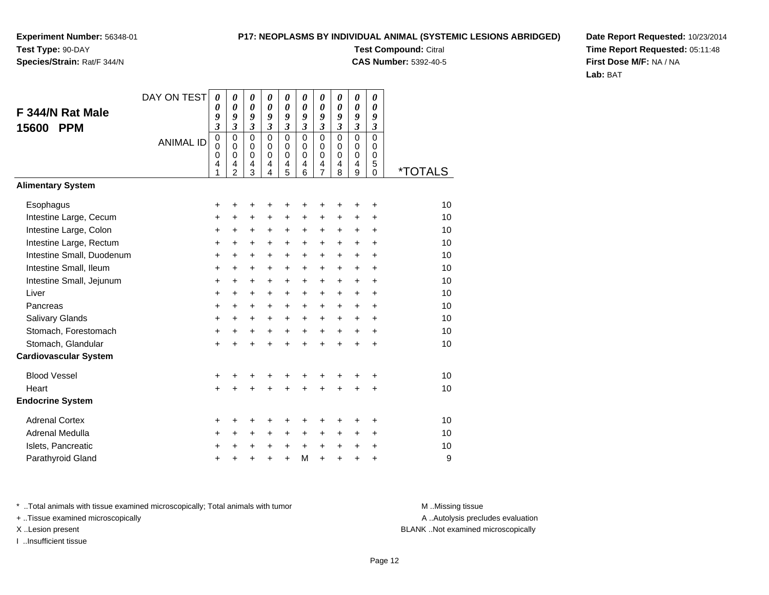## **Species/Strain:** Rat/F 344/N

### **P17: NEOPLASMS BY INDIVIDUAL ANIMAL (SYSTEMIC LESIONS ABRIDGED)**

**Test Compound:** Citral **CAS Number:** 5392-40-5

**Date Report Requested:** 10/23/2014**Time Report Requested:** 05:11:48**First Dose M/F:** NA / NA**Lab:** BAT

| F 344/N Rat Male<br><b>PPM</b><br>15600 | DAY ON TEST      | $\boldsymbol{\theta}$<br>$\boldsymbol{\theta}$<br>9<br>3<br>$\mathbf 0$ | $\boldsymbol{\theta}$<br>0<br>9<br>$\overline{\mathbf{3}}$<br>$\mathbf 0$ | 0<br>$\boldsymbol{\theta}$<br>9<br>$\overline{\mathbf{3}}$<br>$\mathbf 0$ | 0<br>0<br>9<br>$\mathfrak{z}$<br>$\mathbf 0$   | 0<br>$\boldsymbol{\theta}$<br>9<br>$\mathfrak{z}$<br>0 | 0<br>$\boldsymbol{\theta}$<br>9<br>$\mathfrak{z}$<br>$\mathbf 0$ | 0<br>0<br>9<br>$\mathfrak{z}$<br>$\mathbf 0$ | 0<br>0<br>9<br>$\overline{\mathbf{3}}$<br>$\mathbf 0$ | 0<br>$\boldsymbol{\theta}$<br>9<br>$\overline{\mathbf{3}}$<br>$\mathbf 0$ | 0<br>$\boldsymbol{\theta}$<br>9<br>$\mathfrak{z}$<br>$\mathbf 0$ |                       |
|-----------------------------------------|------------------|-------------------------------------------------------------------------|---------------------------------------------------------------------------|---------------------------------------------------------------------------|------------------------------------------------|--------------------------------------------------------|------------------------------------------------------------------|----------------------------------------------|-------------------------------------------------------|---------------------------------------------------------------------------|------------------------------------------------------------------|-----------------------|
|                                         | <b>ANIMAL ID</b> | $\mathbf 0$<br>$\mathbf 0$<br>4<br>1                                    | $\mathbf 0$<br>$\mathbf 0$<br>4<br>$\mathfrak{p}$                         | $\mathbf 0$<br>$\mathbf 0$<br>4<br>3                                      | $\mathbf 0$<br>$\Omega$<br>4<br>$\overline{4}$ | $\mathbf 0$<br>$\mathbf 0$<br>4<br>$\overline{5}$      | $\mathbf 0$<br>$\Omega$<br>4<br>6                                | 0<br>$\mathbf 0$<br>4<br>$\overline{7}$      | 0<br>$\Omega$<br>4<br>8                               | $\mathbf 0$<br>$\mathbf 0$<br>4<br>9                                      | 0<br>0<br>5<br>$\Omega$                                          | <i><b>*TOTALS</b></i> |
| <b>Alimentary System</b>                |                  |                                                                         |                                                                           |                                                                           |                                                |                                                        |                                                                  |                                              |                                                       |                                                                           |                                                                  |                       |
| Esophagus                               |                  | +                                                                       | +                                                                         | +                                                                         | +                                              | +                                                      | +                                                                | +                                            | +                                                     | +                                                                         | +                                                                | 10                    |
| Intestine Large, Cecum                  |                  | +                                                                       | $\ddot{}$                                                                 | $\ddot{}$                                                                 | $\ddot{}$                                      | +                                                      | $\ddot{}$                                                        | $\ddot{}$                                    | $\ddot{}$                                             | $\ddot{}$                                                                 | +                                                                | 10                    |
| Intestine Large, Colon                  |                  | +                                                                       | +                                                                         | +                                                                         | $\pm$                                          | $\ddot{}$                                              | $\ddot{}$                                                        | $\ddot{}$                                    | $\pm$                                                 | $\pm$                                                                     | +                                                                | 10                    |
| Intestine Large, Rectum                 |                  | +                                                                       | $\ddot{}$                                                                 | $\ddot{}$                                                                 | $\ddot{}$                                      | $\ddot{}$                                              | $\ddot{}$                                                        | $\ddot{}$                                    | $\ddot{}$                                             | $\ddot{}$                                                                 | $\ddot{}$                                                        | 10                    |
| Intestine Small, Duodenum               |                  | $\ddot{}$                                                               | $\ddot{}$                                                                 | $\ddot{}$                                                                 | $\ddot{}$                                      | $\ddot{}$                                              | $\ddot{}$                                                        | $\ddot{}$                                    | $\ddot{}$                                             | +                                                                         | $\ddot{}$                                                        | 10                    |
| Intestine Small, Ileum                  |                  | $\ddot{}$                                                               | $\ddot{}$                                                                 | $\ddot{}$                                                                 | $\ddot{}$                                      | $\ddot{}$                                              | $\ddot{}$                                                        | $\ddot{}$                                    | $\ddot{}$                                             | $\ddot{}$                                                                 | $\ddot{}$                                                        | 10                    |
| Intestine Small, Jejunum                |                  | +                                                                       | +                                                                         | +                                                                         | +                                              | +                                                      | $\ddot{}$                                                        | +                                            | +                                                     | +                                                                         | +                                                                | 10                    |
| Liver                                   |                  | $\ddot{}$                                                               | $\ddot{}$                                                                 | $\ddot{}$                                                                 | $\ddot{}$                                      | $+$                                                    | $\ddot{}$                                                        | $\ddot{}$                                    | $\ddot{}$                                             | $\ddot{}$                                                                 | $\ddot{}$                                                        | 10                    |
| Pancreas                                |                  | $\ddot{}$                                                               | $\ddot{}$                                                                 | $\ddot{}$                                                                 | $\ddot{}$                                      | +                                                      | $\ddot{}$                                                        | $\ddot{}$                                    | $\ddot{}$                                             | $\ddot{}$                                                                 | +                                                                | 10                    |
| Salivary Glands                         |                  | +                                                                       | +                                                                         | $\ddot{}$                                                                 | +                                              | +                                                      | +                                                                | +                                            | +                                                     | $\ddot{}$                                                                 | +                                                                | 10                    |
| Stomach, Forestomach                    |                  | $\ddot{}$                                                               | +                                                                         | $\ddot{}$                                                                 | +                                              | $\ddot{}$                                              | $\ddot{}$                                                        | $\ddot{}$                                    | $\ddot{}$                                             | +                                                                         | $\ddot{}$                                                        | 10                    |
| Stomach, Glandular                      |                  | $\ddot{}$                                                               |                                                                           | $\ddot{}$                                                                 | $\ddot{}$                                      | $\ddot{}$                                              | $\ddot{}$                                                        | $\ddot{}$                                    | $\ddot{}$                                             | $\ddot{}$                                                                 | $\ddot{}$                                                        | 10                    |
| <b>Cardiovascular System</b>            |                  |                                                                         |                                                                           |                                                                           |                                                |                                                        |                                                                  |                                              |                                                       |                                                                           |                                                                  |                       |
| <b>Blood Vessel</b>                     |                  | +                                                                       | +                                                                         | +                                                                         | +                                              | +                                                      | +                                                                | +                                            | +                                                     | +                                                                         | +                                                                | 10                    |
| Heart                                   |                  | $\ddot{}$                                                               |                                                                           | $\ddot{}$                                                                 |                                                | $\ddot{}$                                              |                                                                  | $\ddot{}$                                    | $\ddot{}$                                             | $\ddot{}$                                                                 | $\ddot{}$                                                        | 10                    |
| <b>Endocrine System</b>                 |                  |                                                                         |                                                                           |                                                                           |                                                |                                                        |                                                                  |                                              |                                                       |                                                                           |                                                                  |                       |
| <b>Adrenal Cortex</b>                   |                  | +                                                                       | +                                                                         | +                                                                         | +                                              | +                                                      | +                                                                | +                                            | +                                                     | +                                                                         | +                                                                | 10                    |
| Adrenal Medulla                         |                  | $\ddot{}$                                                               | +                                                                         | +                                                                         | +                                              | +                                                      | +                                                                | +                                            | +                                                     | +                                                                         | +                                                                | 10                    |
| Islets, Pancreatic                      |                  | +                                                                       | +                                                                         | +                                                                         | +                                              | +                                                      | $\ddot{}$                                                        | +                                            | $\ddot{}$                                             | +                                                                         | +                                                                | 10                    |
| Parathyroid Gland                       |                  | +                                                                       |                                                                           |                                                                           | +                                              | $\ddot{}$                                              | M                                                                | $\ddot{}$                                    | ÷                                                     | $\ddot{}$                                                                 | +                                                                | 9                     |

\* ..Total animals with tissue examined microscopically; Total animals with tumor **M** . Missing tissue M ..Missing tissue

+ ..Tissue examined microscopically

I ..Insufficient tissue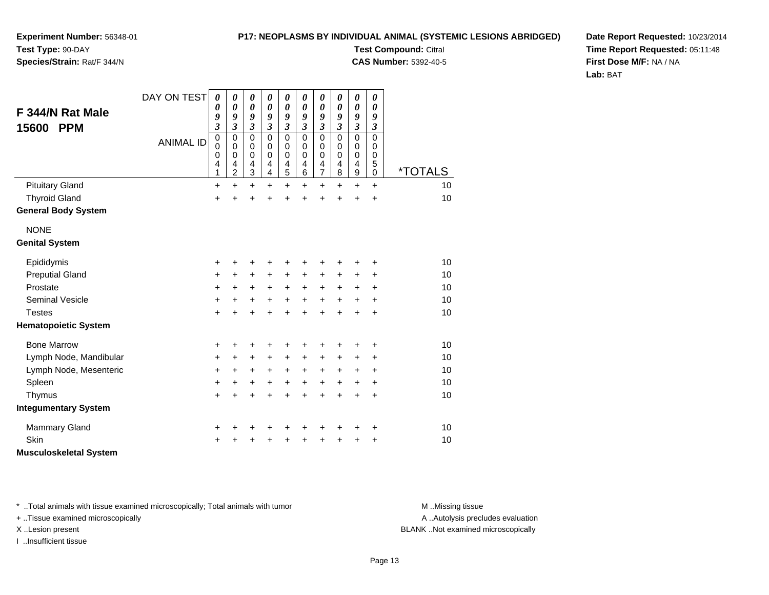**Experiment Number:** 56348-01**Test Type:** 90-DAY

## **Species/Strain:** Rat/F 344/N

**Test Compound:** Citral

**CAS Number:** 5392-40-5

**Date Report Requested:** 10/23/2014**Time Report Requested:** 05:11:48**First Dose M/F:** NA / NA**Lab:** BAT

| F 344/N Rat Male<br><b>PPM</b><br>15600 | DAY ON TEST<br><b>ANIMAL ID</b> | 0<br>0<br>9<br>$\overline{\mathbf{3}}$<br>$\mathbf 0$<br>0<br>0<br>4<br>1 | 0<br>0<br>9<br>3<br>$\pmb{0}$<br>0<br>$\mathbf 0$<br>4<br>2 | 0<br>$\boldsymbol{\theta}$<br>9<br>$\mathfrak{z}$<br>$\mathbf 0$<br>0<br>$\mathbf 0$<br>4<br>3 | $\boldsymbol{\theta}$<br>0<br>9<br>$\mathfrak{z}$<br>$\mathbf 0$<br>0<br>$\mathbf 0$<br>4<br>4 | $\boldsymbol{\theta}$<br>$\boldsymbol{\theta}$<br>9<br>$\mathfrak{z}$<br>$\mathbf 0$<br>0<br>$\mathbf 0$<br>$\overline{\mathbf{4}}$<br>5 | 0<br>0<br>9<br>$\mathfrak{z}$<br>$\mathbf 0$<br>0<br>$\mathbf 0$<br>4<br>6 | 0<br>$\boldsymbol{\theta}$<br>9<br>$\boldsymbol{\mathfrak{z}}$<br>$\mathbf 0$<br>0<br>$\mathbf 0$<br>$\overline{\mathbf{4}}$<br>$\overline{7}$ | 0<br>0<br>9<br>$\mathfrak{z}$<br>$\mathbf 0$<br>0<br>$\mathbf 0$<br>$\overline{\mathbf{4}}$<br>8 | $\boldsymbol{\theta}$<br>$\boldsymbol{\theta}$<br>9<br>$\boldsymbol{\mathfrak{z}}$<br>$\mathbf 0$<br>0<br>$\mathbf 0$<br>$\overline{\mathbf{4}}$<br>9 | 0<br>0<br>9<br>$\mathfrak{z}$<br>$\mathbf 0$<br>0<br>$\mathbf 0$<br>5<br>$\mathbf 0$ | <i><b>*TOTALS</b></i> |
|-----------------------------------------|---------------------------------|---------------------------------------------------------------------------|-------------------------------------------------------------|------------------------------------------------------------------------------------------------|------------------------------------------------------------------------------------------------|------------------------------------------------------------------------------------------------------------------------------------------|----------------------------------------------------------------------------|------------------------------------------------------------------------------------------------------------------------------------------------|--------------------------------------------------------------------------------------------------|-------------------------------------------------------------------------------------------------------------------------------------------------------|--------------------------------------------------------------------------------------|-----------------------|
| <b>Pituitary Gland</b>                  |                                 | +                                                                         | $\ddot{}$                                                   | $\ddot{}$                                                                                      | $\ddot{}$                                                                                      | $\ddot{}$                                                                                                                                | $\ddot{}$                                                                  | $\ddot{}$                                                                                                                                      | +                                                                                                | +                                                                                                                                                     | $\ddot{}$                                                                            | 10                    |
| <b>Thyroid Gland</b>                    |                                 | $\ddot{}$                                                                 | ÷                                                           | $\ddot{}$                                                                                      | $\ddot{}$                                                                                      | $\ddot{}$                                                                                                                                | $\ddot{}$                                                                  | $\ddot{}$                                                                                                                                      | $\ddot{}$                                                                                        | $\ddot{}$                                                                                                                                             | $\ddot{}$                                                                            | 10                    |
| <b>General Body System</b>              |                                 |                                                                           |                                                             |                                                                                                |                                                                                                |                                                                                                                                          |                                                                            |                                                                                                                                                |                                                                                                  |                                                                                                                                                       |                                                                                      |                       |
| <b>NONE</b>                             |                                 |                                                                           |                                                             |                                                                                                |                                                                                                |                                                                                                                                          |                                                                            |                                                                                                                                                |                                                                                                  |                                                                                                                                                       |                                                                                      |                       |
| <b>Genital System</b>                   |                                 |                                                                           |                                                             |                                                                                                |                                                                                                |                                                                                                                                          |                                                                            |                                                                                                                                                |                                                                                                  |                                                                                                                                                       |                                                                                      |                       |
| Epididymis                              |                                 | +                                                                         | +                                                           | +                                                                                              | +                                                                                              | +                                                                                                                                        |                                                                            | +                                                                                                                                              |                                                                                                  | +                                                                                                                                                     | +                                                                                    | 10                    |
| <b>Preputial Gland</b>                  |                                 | +                                                                         | +                                                           | +                                                                                              | +                                                                                              | +                                                                                                                                        | +                                                                          | +                                                                                                                                              | +                                                                                                | +                                                                                                                                                     | ٠                                                                                    | 10                    |
| Prostate                                |                                 | +                                                                         | +                                                           | +                                                                                              | +                                                                                              | $\ddot{}$                                                                                                                                | $\ddot{}$                                                                  | $\ddot{}$                                                                                                                                      | $\ddot{}$                                                                                        | $\ddot{}$                                                                                                                                             | $\ddot{}$                                                                            | 10                    |
| <b>Seminal Vesicle</b>                  |                                 | +                                                                         | +                                                           | +                                                                                              | $\ddot{}$                                                                                      | $\ddot{}$                                                                                                                                | $\ddot{}$                                                                  | $\ddot{}$                                                                                                                                      | $\ddot{}$                                                                                        | $\ddot{}$                                                                                                                                             | +                                                                                    | 10                    |
| <b>Testes</b>                           |                                 | +                                                                         | +                                                           | $\ddot{}$                                                                                      | +                                                                                              | $\ddot{}$                                                                                                                                | $\ddot{}$                                                                  | $\ddot{}$                                                                                                                                      | $\ddot{}$                                                                                        | $\ddot{}$                                                                                                                                             | +                                                                                    | 10                    |
| <b>Hematopoietic System</b>             |                                 |                                                                           |                                                             |                                                                                                |                                                                                                |                                                                                                                                          |                                                                            |                                                                                                                                                |                                                                                                  |                                                                                                                                                       |                                                                                      |                       |
| <b>Bone Marrow</b>                      |                                 | +                                                                         | +                                                           | +                                                                                              | +                                                                                              | +                                                                                                                                        |                                                                            | +                                                                                                                                              | +                                                                                                | +                                                                                                                                                     | +                                                                                    | 10                    |
| Lymph Node, Mandibular                  |                                 | +                                                                         | +                                                           | $\ddot{}$                                                                                      | $\ddot{}$                                                                                      | $\ddot{}$                                                                                                                                | $\ddot{}$                                                                  | +                                                                                                                                              | $\ddot{}$                                                                                        | +                                                                                                                                                     | $\ddot{}$                                                                            | 10                    |
| Lymph Node, Mesenteric                  |                                 | +                                                                         | +                                                           | $\ddot{}$                                                                                      | +                                                                                              | $\ddot{}$                                                                                                                                | $\ddot{}$                                                                  | $\ddot{}$                                                                                                                                      | +                                                                                                | +                                                                                                                                                     | $\ddot{}$                                                                            | 10                    |
| Spleen                                  |                                 | +                                                                         | +                                                           | +                                                                                              | $\ddot{}$                                                                                      | $\ddot{}$                                                                                                                                | $\ddot{}$                                                                  | $\ddot{}$                                                                                                                                      | $\ddot{}$                                                                                        | +                                                                                                                                                     | $\ddot{}$                                                                            | 10                    |
| Thymus                                  |                                 | +                                                                         | +                                                           | $\ddot{}$                                                                                      | +                                                                                              | $\ddot{}$                                                                                                                                | +                                                                          | $\ddot{}$                                                                                                                                      | $\ddot{}$                                                                                        | +                                                                                                                                                     | $\ddot{}$                                                                            | 10                    |
| <b>Integumentary System</b>             |                                 |                                                                           |                                                             |                                                                                                |                                                                                                |                                                                                                                                          |                                                                            |                                                                                                                                                |                                                                                                  |                                                                                                                                                       |                                                                                      |                       |
| <b>Mammary Gland</b>                    |                                 | +                                                                         |                                                             | +                                                                                              | +                                                                                              | +                                                                                                                                        |                                                                            | +                                                                                                                                              |                                                                                                  | +                                                                                                                                                     | +                                                                                    | 10                    |
| <b>Skin</b>                             |                                 | +                                                                         |                                                             | +                                                                                              |                                                                                                | +                                                                                                                                        |                                                                            | +                                                                                                                                              |                                                                                                  | +                                                                                                                                                     | +                                                                                    | 10                    |
| <b>Musculoskeletal System</b>           |                                 |                                                                           |                                                             |                                                                                                |                                                                                                |                                                                                                                                          |                                                                            |                                                                                                                                                |                                                                                                  |                                                                                                                                                       |                                                                                      |                       |

\* ..Total animals with tissue examined microscopically; Total animals with tumor **M** . Missing tissue M ..Missing tissue

+ ..Tissue examined microscopically

I ..Insufficient tissue

A ..Autolysis precludes evaluation

X ..Lesion present BLANK ..Not examined microscopically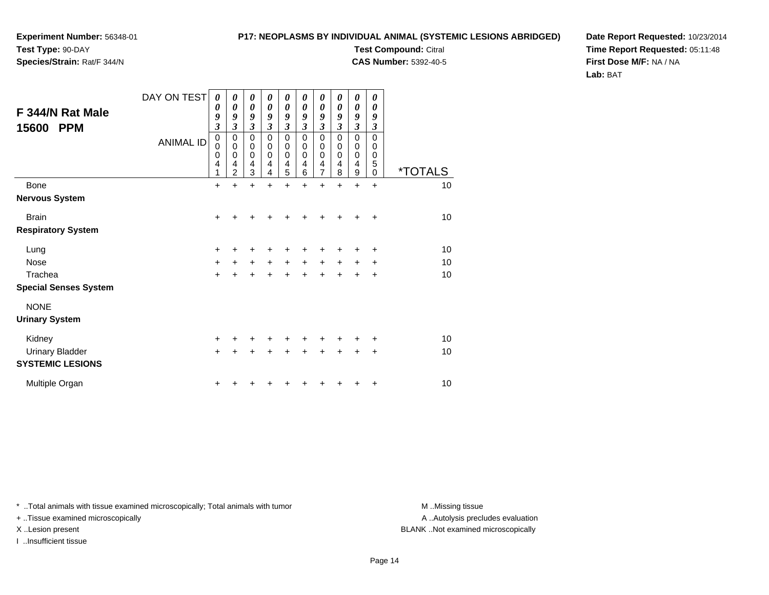**Species/Strain:** Rat/F 344/N

## **P17: NEOPLASMS BY INDIVIDUAL ANIMAL (SYSTEMIC LESIONS ABRIDGED)**

**Test Compound:** Citral

**CAS Number:** 5392-40-5

**Date Report Requested:** 10/23/2014**Time Report Requested:** 05:11:48**First Dose M/F:** NA / NA**Lab:** BAT

| F 344/N Rat Male<br>15600<br><b>PPM</b> | DAY ON TEST<br><b>ANIMAL ID</b> | 0<br>0<br>9<br>$\overline{\mathbf{3}}$<br>$\pmb{0}$<br>0<br>$\mathbf 0$<br>4<br>1 | 0<br>$\boldsymbol{\theta}$<br>9<br>3<br>0<br>0<br>0<br>4<br>$\overline{c}$ | 0<br>$\boldsymbol{\theta}$<br>9<br>3<br>$\mathbf 0$<br>$\boldsymbol{0}$<br>0<br>4<br>3 | 0<br>0<br>9<br>3<br>0<br>0<br>0<br>4<br>4 | 0<br>$\boldsymbol{\theta}$<br>9<br>$\overline{\mathbf{3}}$<br>$\mathbf 0$<br>$\boldsymbol{0}$<br>$\mathbf 0$<br>4<br>5 | 0<br>0<br>9<br>3<br>$\mathbf 0$<br>0<br>0<br>4<br>6 | 0<br>0<br>9<br>$\overline{\mathbf{3}}$<br>0<br>0<br>0<br>$\frac{4}{7}$ | 0<br>0<br>9<br>3<br>0<br>0<br>0<br>4<br>8 | 0<br>0<br>9<br>$\overline{\mathbf{3}}$<br>$\mathsf 0$<br>0<br>0<br>4<br>9 | 0<br>0<br>9<br>3<br>$\mathbf 0$<br>0<br>0<br>5<br>0 | <i><b>*TOTALS</b></i> |
|-----------------------------------------|---------------------------------|-----------------------------------------------------------------------------------|----------------------------------------------------------------------------|----------------------------------------------------------------------------------------|-------------------------------------------|------------------------------------------------------------------------------------------------------------------------|-----------------------------------------------------|------------------------------------------------------------------------|-------------------------------------------|---------------------------------------------------------------------------|-----------------------------------------------------|-----------------------|
| Bone                                    |                                 | $\ddot{}$                                                                         | +                                                                          | $\ddot{}$                                                                              | $\ddot{}$                                 | $\ddot{}$                                                                                                              | $\ddot{}$                                           | $\ddot{}$                                                              | $\ddot{}$                                 | $\ddot{}$                                                                 | $\ddot{}$                                           | 10                    |
| Nervous System                          |                                 |                                                                                   |                                                                            |                                                                                        |                                           |                                                                                                                        |                                                     |                                                                        |                                           |                                                                           |                                                     |                       |
| <b>Brain</b>                            |                                 | $\ddot{}$                                                                         |                                                                            |                                                                                        |                                           |                                                                                                                        |                                                     |                                                                        |                                           |                                                                           | ٠                                                   | 10                    |
| <b>Respiratory System</b>               |                                 |                                                                                   |                                                                            |                                                                                        |                                           |                                                                                                                        |                                                     |                                                                        |                                           |                                                                           |                                                     |                       |
| Lung                                    |                                 | $\ddot{}$                                                                         | +                                                                          | +                                                                                      | +                                         | +                                                                                                                      | +                                                   | +                                                                      | +                                         | +                                                                         | +                                                   | 10                    |
| Nose                                    |                                 | $\ddot{}$                                                                         | +                                                                          | +                                                                                      | $\pm$                                     | +                                                                                                                      | +                                                   | +                                                                      | +                                         | +                                                                         | +                                                   | 10                    |
| Trachea                                 |                                 | $\ddot{}$                                                                         |                                                                            |                                                                                        |                                           |                                                                                                                        |                                                     |                                                                        |                                           |                                                                           | +                                                   | 10                    |
| <b>Special Senses System</b>            |                                 |                                                                                   |                                                                            |                                                                                        |                                           |                                                                                                                        |                                                     |                                                                        |                                           |                                                                           |                                                     |                       |
| <b>NONE</b>                             |                                 |                                                                                   |                                                                            |                                                                                        |                                           |                                                                                                                        |                                                     |                                                                        |                                           |                                                                           |                                                     |                       |
| <b>Urinary System</b>                   |                                 |                                                                                   |                                                                            |                                                                                        |                                           |                                                                                                                        |                                                     |                                                                        |                                           |                                                                           |                                                     |                       |
| Kidney                                  |                                 | $\ddot{}$                                                                         |                                                                            |                                                                                        |                                           |                                                                                                                        |                                                     |                                                                        |                                           |                                                                           | +                                                   | 10                    |
| <b>Urinary Bladder</b>                  |                                 | $+$                                                                               |                                                                            |                                                                                        |                                           | +                                                                                                                      |                                                     | +                                                                      |                                           | +                                                                         | +                                                   | 10                    |
| <b>SYSTEMIC LESIONS</b>                 |                                 |                                                                                   |                                                                            |                                                                                        |                                           |                                                                                                                        |                                                     |                                                                        |                                           |                                                                           |                                                     |                       |
| Multiple Organ                          |                                 | +                                                                                 |                                                                            |                                                                                        |                                           |                                                                                                                        |                                                     |                                                                        |                                           |                                                                           | ٠                                                   | 10                    |

\* ..Total animals with tissue examined microscopically; Total animals with tumor **M** . Missing tissue M ..Missing tissue

+ ..Tissue examined microscopically

I ..Insufficient tissue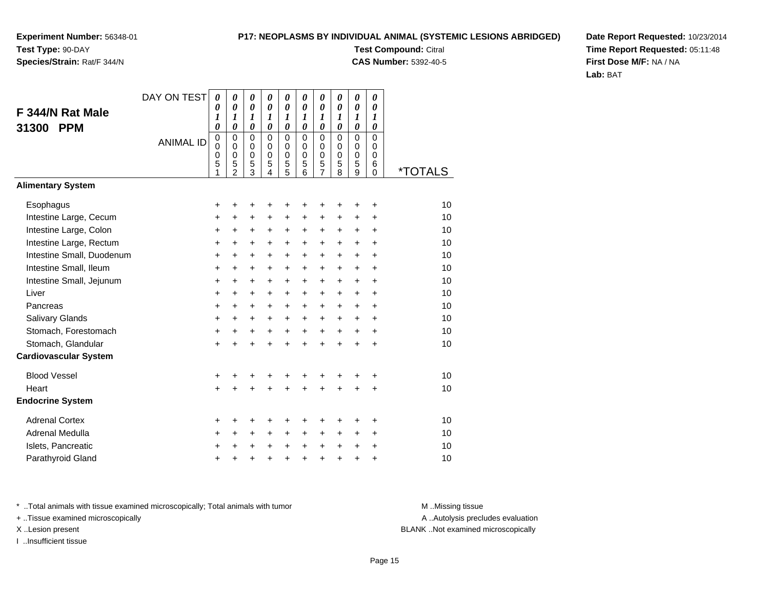## **Species/Strain:** Rat/F 344/N

### **P17: NEOPLASMS BY INDIVIDUAL ANIMAL (SYSTEMIC LESIONS ABRIDGED)**

**Test Compound:** Citral

**CAS Number:** 5392-40-5

**Date Report Requested:** 10/23/2014**Time Report Requested:** 05:11:48**First Dose M/F:** NA / NA**Lab:** BAT

|                              | DAY ON TEST      | $\boldsymbol{\theta}$                     | 0                                                    | 0                                            | 0                                                   | 0                                                            | 0                                                                | 0                                      | 0                                                | $\boldsymbol{\theta}$                                            | 0                                                |                       |
|------------------------------|------------------|-------------------------------------------|------------------------------------------------------|----------------------------------------------|-----------------------------------------------------|--------------------------------------------------------------|------------------------------------------------------------------|----------------------------------------|--------------------------------------------------|------------------------------------------------------------------|--------------------------------------------------|-----------------------|
| F 344/N Rat Male             |                  | 0<br>1                                    | $\boldsymbol{\theta}$<br>$\boldsymbol{l}$            | $\boldsymbol{\theta}$<br>$\boldsymbol{l}$    | $\boldsymbol{\theta}$<br>$\boldsymbol{l}$           | $\pmb{\theta}$<br>$\boldsymbol{l}$                           | $\boldsymbol{\theta}$<br>$\boldsymbol{l}$                        | $\pmb{\theta}$<br>$\boldsymbol{l}$     | $\boldsymbol{\theta}$<br>$\boldsymbol{l}$        | $\boldsymbol{\theta}$<br>$\boldsymbol{l}$                        | $\boldsymbol{\theta}$<br>$\boldsymbol{l}$        |                       |
| 31300<br><b>PPM</b>          |                  | $\boldsymbol{\theta}$                     | $\boldsymbol{\theta}$                                | $\boldsymbol{\theta}$                        | $\boldsymbol{\theta}$                               | $\boldsymbol{\theta}$                                        | $\boldsymbol{\theta}$                                            | $\boldsymbol{\theta}$                  | $\boldsymbol{\theta}$                            | $\boldsymbol{\theta}$                                            | $\boldsymbol{\theta}$                            |                       |
|                              | <b>ANIMAL ID</b> | $\mathbf 0$<br>$\mathbf 0$<br>0<br>5<br>1 | $\mathbf 0$<br>$\pmb{0}$<br>0<br>5<br>$\overline{2}$ | $\mathbf 0$<br>0<br>0<br>5<br>$\overline{3}$ | $\mathbf 0$<br>$\mathbf 0$<br>$\mathbf 0$<br>5<br>4 | $\mathbf 0$<br>$\pmb{0}$<br>$\pmb{0}$<br>5<br>$\overline{5}$ | $\mathbf 0$<br>$\mathbf 0$<br>$\mathbf 0$<br>5<br>$\overline{6}$ | $\mathbf 0$<br>0<br>0<br>$\frac{5}{7}$ | $\Omega$<br>$\mathbf 0$<br>$\mathbf 0$<br>5<br>8 | $\mathbf 0$<br>$\mathbf 0$<br>$\mathbf 0$<br>5<br>$\overline{9}$ | $\mathbf 0$<br>$\mathbf 0$<br>0<br>6<br>$\Omega$ | <i><b>*TOTALS</b></i> |
| <b>Alimentary System</b>     |                  |                                           |                                                      |                                              |                                                     |                                                              |                                                                  |                                        |                                                  |                                                                  |                                                  |                       |
| Esophagus                    |                  | +                                         | +                                                    | +                                            | +                                                   | +                                                            | ٠                                                                | +                                      |                                                  |                                                                  | +                                                | 10                    |
| Intestine Large, Cecum       |                  | +                                         | $\ddot{}$                                            | +                                            | +                                                   | +                                                            | +                                                                | +                                      | +                                                | +                                                                | +                                                | 10                    |
| Intestine Large, Colon       |                  | $\ddot{}$                                 | +                                                    | +                                            | +                                                   | +                                                            | $\ddot{}$                                                        | +                                      | +                                                | $\ddot{}$                                                        | $\ddot{}$                                        | 10                    |
| Intestine Large, Rectum      |                  | +                                         | $\ddot{}$                                            | $\ddot{}$                                    | $\ddot{}$                                           | $\ddot{}$                                                    | $\ddot{}$                                                        | $\ddot{}$                              | $\ddot{}$                                        | $\ddot{}$                                                        | $\ddot{}$                                        | 10                    |
| Intestine Small, Duodenum    |                  | $\ddot{}$                                 | +                                                    | +                                            | +                                                   | $\pm$                                                        | $\ddot{}$                                                        | $\pm$                                  | $\ddot{}$                                        | $\ddot{}$                                                        | +                                                | 10                    |
| Intestine Small, Ileum       |                  | $\ddot{}$                                 | $\ddot{}$                                            | $\ddot{}$                                    | $\ddot{}$                                           | +                                                            | $\ddot{}$                                                        | +                                      | $\ddot{}$                                        | $\ddot{}$                                                        | $\ddot{}$                                        | 10                    |
| Intestine Small, Jejunum     |                  | +                                         | $\ddot{}$                                            | $\ddot{}$                                    | $\ddot{}$                                           | $\ddot{}$                                                    | $\ddot{}$                                                        | $\ddot{}$                              | $\ddot{}$                                        | $\ddot{}$                                                        | $\ddot{}$                                        | 10                    |
| Liver                        |                  | $\ddot{}$                                 | $\ddot{}$                                            | +                                            | $\ddot{}$                                           | $\ddot{}$                                                    | $+$                                                              | $+$                                    | $\ddot{}$                                        | $\ddot{}$                                                        | $\ddot{}$                                        | 10                    |
| Pancreas                     |                  | $\ddot{}$                                 | $\ddot{}$                                            | $\ddot{}$                                    | +                                                   | $\ddot{}$                                                    | $+$                                                              | $\ddot{}$                              | $\ddot{}$                                        | $\ddot{}$                                                        | $\div$                                           | 10                    |
| Salivary Glands              |                  | $\ddot{}$                                 | +                                                    | +                                            | $\ddot{}$                                           | $\pm$                                                        | $\pm$                                                            | $\pm$                                  | $\ddot{}$                                        | $\ddot{}$                                                        | $\ddot{}$                                        | 10                    |
| Stomach, Forestomach         |                  | $\ddot{}$                                 | $\ddot{}$                                            | +                                            | $\ddot{}$                                           | $+$                                                          | $+$                                                              | $+$                                    | $\ddot{}$                                        | $\ddot{}$                                                        | $\ddot{}$                                        | 10                    |
| Stomach, Glandular           |                  | +                                         | $\ddot{}$                                            | $\ddot{}$                                    | $\ddot{}$                                           | $\ddot{}$                                                    | $\ddot{}$                                                        | $\ddot{}$                              | $\ddot{}$                                        | $\ddot{}$                                                        | $\ddot{}$                                        | 10                    |
| <b>Cardiovascular System</b> |                  |                                           |                                                      |                                              |                                                     |                                                              |                                                                  |                                        |                                                  |                                                                  |                                                  |                       |
| <b>Blood Vessel</b>          |                  | +                                         | +                                                    | +                                            | +                                                   | +                                                            |                                                                  | +                                      | +                                                |                                                                  | +                                                | 10                    |
| Heart                        |                  | $\ddot{}$                                 | $\ddot{}$                                            | $\ddot{}$                                    | $\ddot{}$                                           | $\ddot{}$                                                    | ÷                                                                | $\ddot{}$                              | $\ddot{}$                                        | +                                                                | $\ddot{}$                                        | 10                    |
| <b>Endocrine System</b>      |                  |                                           |                                                      |                                              |                                                     |                                                              |                                                                  |                                        |                                                  |                                                                  |                                                  |                       |
| <b>Adrenal Cortex</b>        |                  | +                                         | +                                                    | +                                            | +                                                   | +                                                            | ٠                                                                | +                                      | +                                                |                                                                  | ٠                                                | 10                    |
| Adrenal Medulla              |                  | +                                         | +                                                    | +                                            | $\ddot{}$                                           | +                                                            | $\ddot{}$                                                        | $\pm$                                  | $\ddot{}$                                        | $\ddot{}$                                                        | $\ddot{}$                                        | 10                    |
| Islets, Pancreatic           |                  | +                                         | +                                                    | +                                            | +                                                   | $\ddot{}$                                                    | $\ddot{}$                                                        | $\ddot{}$                              | $\ddot{}$                                        | $\ddot{}$                                                        | +                                                | 10                    |
| Parathyroid Gland            |                  | +                                         | +                                                    | +                                            | +                                                   | $\ddot{}$                                                    | $\ddot{}$                                                        | $\ddot{}$                              | $\ddot{}$                                        | $\ddot{}$                                                        | +                                                | 10                    |

\* ..Total animals with tissue examined microscopically; Total animals with tumor **M** . Missing tissue M ..Missing tissue

+ ..Tissue examined microscopically

I ..Insufficient tissue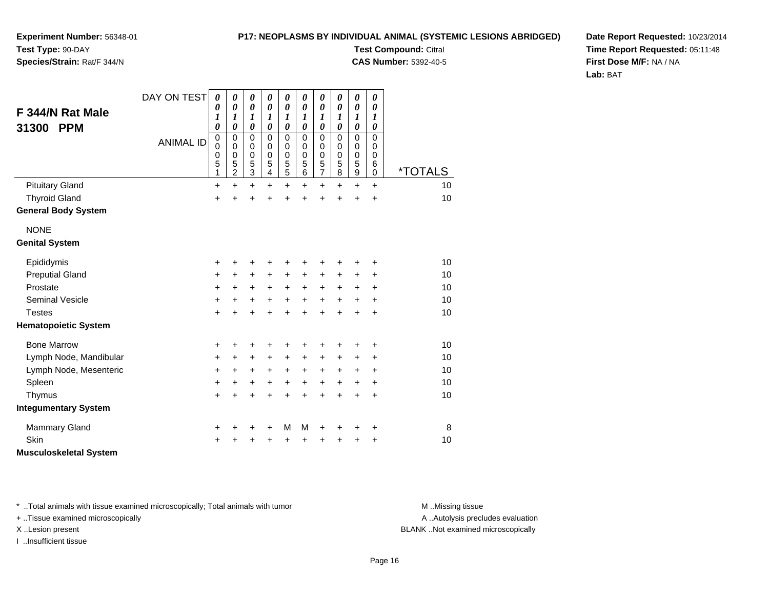### **P17: NEOPLASMS BY INDIVIDUAL ANIMAL (SYSTEMIC LESIONS ABRIDGED)Test Compound:** Citral

**CAS Number:** 5392-40-5

**Experiment Number:** 56348-01**Test Type:** 90-DAY

## **Species/Strain:** Rat/F 344/N

**Date Report Requested:** 10/23/2014**Time Report Requested:** 05:11:48**First Dose M/F:** NA / NA**Lab:** BAT

|                               | DAY ON TEST      | $\boldsymbol{\theta}$<br>0                        | 0<br>$\boldsymbol{\theta}$                             | 0<br>$\boldsymbol{\theta}$                               | 0<br>0                                                 | 0<br>0                                 | 0<br>$\boldsymbol{\theta}$             | $\boldsymbol{\theta}$<br>0                       | 0<br>0                                         | 0<br>0                                                   | 0<br>0                                    |                       |
|-------------------------------|------------------|---------------------------------------------------|--------------------------------------------------------|----------------------------------------------------------|--------------------------------------------------------|----------------------------------------|----------------------------------------|--------------------------------------------------|------------------------------------------------|----------------------------------------------------------|-------------------------------------------|-----------------------|
| F 344/N Rat Male              |                  | 1<br>$\pmb{\theta}$                               | 1<br>0                                                 | 1<br>0                                                   | 1<br>0                                                 | 1<br>0                                 | 1<br>$\boldsymbol{\theta}$             | 1<br>$\boldsymbol{\theta}$                       | 1                                              | 1<br>$\boldsymbol{\theta}$                               | 1<br>0                                    |                       |
| <b>PPM</b><br>31300           | <b>ANIMAL ID</b> | $\pmb{0}$<br>$\mathbf 0$<br>$\mathbf 0$<br>5<br>1 | $\mathbf 0$<br>$\mathbf 0$<br>0<br>5<br>$\overline{2}$ | $\mathbf 0$<br>$\pmb{0}$<br>$\mathbf 0$<br>$\frac{5}{3}$ | $\mathbf 0$<br>$\mathbf 0$<br>0<br>5<br>$\overline{4}$ | 0<br>$\mathbf 0$<br>0<br>$\frac{5}{5}$ | 0<br>$\Omega$<br>$\mathbf 0$<br>5<br>6 | $\mathbf 0$<br>0<br>$\mathbf 0$<br>$\frac{5}{7}$ | 0<br>$\mathbf 0$<br>0<br>$\mathbf 0$<br>5<br>8 | $\mathbf 0$<br>0<br>$\mathbf 0$<br>5<br>$\boldsymbol{9}$ | $\mathbf 0$<br>0<br>0<br>6<br>$\mathbf 0$ | <i><b>*TOTALS</b></i> |
| <b>Pituitary Gland</b>        |                  | $\ddot{}$                                         | $\ddot{}$                                              | $+$                                                      | $+$                                                    | $\ddot{}$                              | $\ddot{}$                              | $\ddot{}$                                        | $\ddot{}$                                      | $\ddot{}$                                                | $\ddot{}$                                 | 10                    |
| <b>Thyroid Gland</b>          |                  | $\ddot{}$                                         | $\ddot{}$                                              | +                                                        | $\ddot{}$                                              | $\ddot{}$                              | $\ddot{}$                              | $\ddot{}$                                        | $\ddot{}$                                      | $\ddot{}$                                                | $\ddot{}$                                 | 10                    |
| <b>General Body System</b>    |                  |                                                   |                                                        |                                                          |                                                        |                                        |                                        |                                                  |                                                |                                                          |                                           |                       |
| <b>NONE</b>                   |                  |                                                   |                                                        |                                                          |                                                        |                                        |                                        |                                                  |                                                |                                                          |                                           |                       |
| <b>Genital System</b>         |                  |                                                   |                                                        |                                                          |                                                        |                                        |                                        |                                                  |                                                |                                                          |                                           |                       |
| Epididymis                    |                  | +                                                 | +                                                      | +                                                        | +                                                      | +                                      | +                                      | +                                                | ٠                                              | +                                                        | +                                         | 10                    |
| <b>Preputial Gland</b>        |                  | $\ddot{}$                                         | +                                                      | +                                                        | $\pm$                                                  | +                                      | +                                      | +                                                | +                                              | +                                                        | +                                         | 10                    |
| Prostate                      |                  | +                                                 | +                                                      | $\ddot{}$                                                | $\ddot{}$                                              | $\ddot{}$                              | $\ddot{}$                              | $\ddot{}$                                        | $\ddot{}$                                      | $\ddot{}$                                                | +                                         | 10                    |
| Seminal Vesicle               |                  | $\ddot{}$                                         | +                                                      | $+$                                                      | $+$                                                    | $\ddot{}$                              | $\ddot{}$                              | $\ddot{}$                                        | $\ddot{}$                                      | $\ddot{}$                                                | +                                         | 10                    |
| <b>Testes</b>                 |                  | $\ddot{}$                                         | $\ddot{}$                                              | $\ddot{}$                                                | $\ddot{}$                                              | $\ddot{}$                              | $\ddot{}$                              | $\ddot{}$                                        | $\ddot{}$                                      | $\ddot{}$                                                | $\ddot{}$                                 | 10                    |
| <b>Hematopoietic System</b>   |                  |                                                   |                                                        |                                                          |                                                        |                                        |                                        |                                                  |                                                |                                                          |                                           |                       |
| <b>Bone Marrow</b>            |                  | +                                                 | +                                                      | +                                                        | ٠                                                      | +                                      | +                                      | +                                                |                                                | ٠                                                        | +                                         | 10                    |
| Lymph Node, Mandibular        |                  | +                                                 | +                                                      | $\ddot{}$                                                | $\pm$                                                  | +                                      | +                                      | +                                                | +                                              | +                                                        | +                                         | 10                    |
| Lymph Node, Mesenteric        |                  | $\ddot{}$                                         | +                                                      | $\ddot{}$                                                | $\pm$                                                  | +                                      | $\ddot{}$                              | +                                                | +                                              | +                                                        | +                                         | 10                    |
| Spleen                        |                  | +                                                 | +                                                      | +                                                        | $\ddot{}$                                              | $\ddot{}$                              | $\ddot{}$                              | $\ddot{}$                                        | $\ddot{}$                                      | $\ddot{}$                                                | +                                         | 10                    |
| Thymus                        |                  | $\ddot{}$                                         | $\ddot{}$                                              | $\ddot{}$                                                | $\ddot{}$                                              | $\ddot{}$                              | $\ddot{}$                              | $\ddot{}$                                        | $\ddot{}$                                      | +                                                        | +                                         | 10                    |
| <b>Integumentary System</b>   |                  |                                                   |                                                        |                                                          |                                                        |                                        |                                        |                                                  |                                                |                                                          |                                           |                       |
| <b>Mammary Gland</b>          |                  | +                                                 | +                                                      | +                                                        | +                                                      | M                                      | M                                      | +                                                |                                                | +                                                        | +                                         | 8                     |
| Skin                          |                  | $\ddot{}$                                         | +                                                      | +                                                        | +                                                      | +                                      | +                                      | +                                                | +                                              | +                                                        | +                                         | 10                    |
| <b>Musculoskeletal System</b> |                  |                                                   |                                                        |                                                          |                                                        |                                        |                                        |                                                  |                                                |                                                          |                                           |                       |

\* ..Total animals with tissue examined microscopically; Total animals with tumor **M** . Missing tissue M ..Missing tissue

+ ..Tissue examined microscopically

I ..Insufficient tissue

A ..Autolysis precludes evaluation

X ..Lesion present BLANK ..Not examined microscopically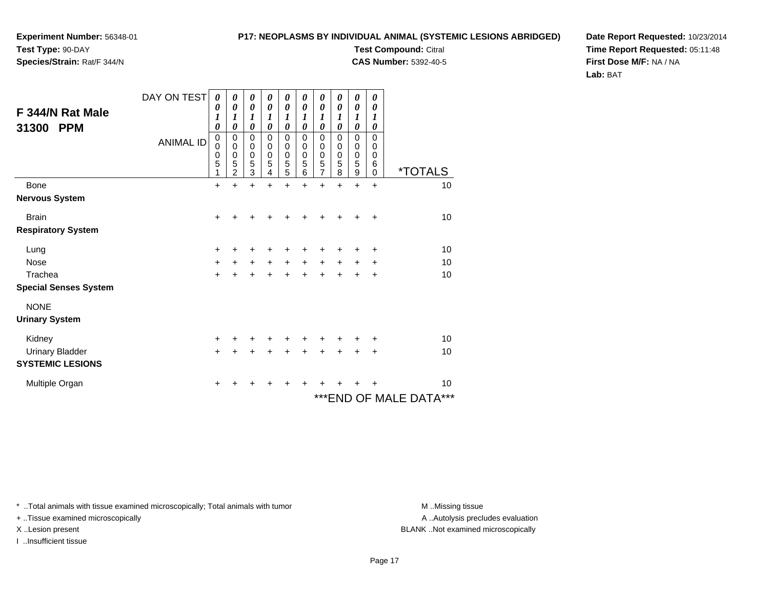**Species/Strain:** Rat/F 344/N

### **P17: NEOPLASMS BY INDIVIDUAL ANIMAL (SYSTEMIC LESIONS ABRIDGED)**

**Test Compound:** Citral

**CAS Number:** 5392-40-5

**Date Report Requested:** 10/23/2014**Time Report Requested:** 05:11:48**First Dose M/F:** NA / NA**Lab:** BAT

| F 344/N Rat Male<br>31300<br><b>PPM</b> | DAY ON TEST<br><b>ANIMAL ID</b> | 0<br>0<br>1<br>$\boldsymbol{\theta}$<br>0<br>$\mathbf 0$<br>0<br>5 | 0<br>0<br>1<br>0<br>0<br>0<br>0<br>5 | 0<br>0<br>1<br>0<br>0<br>0<br>$\mathbf 0$<br>5 | 0<br>0<br>1<br>0<br>0<br>0<br>$\mathbf 0$<br>5 | 0<br>0<br>1<br>0<br>0<br>0<br>0<br>5 | 0<br>$\boldsymbol{\theta}$<br>1<br>0<br>0<br>0<br>0<br>5 | 0<br>$\boldsymbol{\theta}$<br>1<br>0<br>0<br>$\boldsymbol{0}$<br>$\pmb{0}$<br>5 | 0<br>0<br>1<br>0<br>0<br>0<br>0<br>5 | 0<br>$\boldsymbol{\theta}$<br>1<br>$\boldsymbol{\theta}$<br>0<br>$\pmb{0}$<br>$\begin{smallmatrix}0\0\0\end{smallmatrix}$ | 0<br>0<br>1<br>0<br>0<br>0<br>0<br>6 |                         |
|-----------------------------------------|---------------------------------|--------------------------------------------------------------------|--------------------------------------|------------------------------------------------|------------------------------------------------|--------------------------------------|----------------------------------------------------------|---------------------------------------------------------------------------------|--------------------------------------|---------------------------------------------------------------------------------------------------------------------------|--------------------------------------|-------------------------|
|                                         |                                 | 1                                                                  | $\overline{2}$                       | $\overline{3}$                                 | 4                                              | 5                                    | 6                                                        | $\overline{7}$                                                                  | 8                                    | $\boldsymbol{9}$                                                                                                          | 0                                    | <i><b>*TOTALS</b></i>   |
| Bone                                    |                                 | $\ddot{}$                                                          | $\ddot{}$                            | $\ddot{}$                                      | $\ddot{}$                                      | $\ddot{}$                            | $\ddot{}$                                                | $\ddot{}$                                                                       | $\ddot{}$                            | $\ddot{}$                                                                                                                 | $\ddot{}$                            | 10                      |
| <b>Nervous System</b>                   |                                 |                                                                    |                                      |                                                |                                                |                                      |                                                          |                                                                                 |                                      |                                                                                                                           |                                      |                         |
| <b>Brain</b>                            |                                 | $\pm$                                                              |                                      | +                                              | ٠                                              | +                                    | ┿                                                        | +                                                                               |                                      |                                                                                                                           | ÷                                    | 10                      |
| <b>Respiratory System</b>               |                                 |                                                                    |                                      |                                                |                                                |                                      |                                                          |                                                                                 |                                      |                                                                                                                           |                                      |                         |
| Lung                                    |                                 | +                                                                  |                                      | ٠                                              |                                                | +                                    |                                                          | +                                                                               |                                      | +                                                                                                                         | +                                    | 10                      |
| <b>Nose</b>                             |                                 | $\ddot{}$                                                          | +                                    | $\ddot{}$                                      | +                                              | $\ddot{}$                            | +                                                        | $\ddot{}$                                                                       | $\ddot{}$                            | +                                                                                                                         | +                                    | 10                      |
| Trachea                                 |                                 | $\ddot{}$                                                          |                                      |                                                | $\ddot{}$                                      | $\ddot{}$                            | $\ddot{}$                                                | $\ddot{}$                                                                       | $\ddot{}$                            | +                                                                                                                         | $\ddot{}$                            | 10                      |
| <b>Special Senses System</b>            |                                 |                                                                    |                                      |                                                |                                                |                                      |                                                          |                                                                                 |                                      |                                                                                                                           |                                      |                         |
| <b>NONE</b>                             |                                 |                                                                    |                                      |                                                |                                                |                                      |                                                          |                                                                                 |                                      |                                                                                                                           |                                      |                         |
| <b>Urinary System</b>                   |                                 |                                                                    |                                      |                                                |                                                |                                      |                                                          |                                                                                 |                                      |                                                                                                                           |                                      |                         |
| Kidney                                  |                                 | $\ddot{}$                                                          | +                                    | ٠                                              | +                                              | ٠                                    | ٠                                                        | +                                                                               | ٠                                    | +                                                                                                                         | ٠                                    | 10                      |
| <b>Urinary Bladder</b>                  |                                 | $+$                                                                | +                                    | +                                              | +                                              | $\ddot{}$                            | $\ddot{}$                                                | $\ddot{}$                                                                       | $\ddot{}$                            | $\ddot{}$                                                                                                                 | $\ddot{}$                            | 10                      |
| <b>SYSTEMIC LESIONS</b>                 |                                 |                                                                    |                                      |                                                |                                                |                                      |                                                          |                                                                                 |                                      |                                                                                                                           |                                      |                         |
| Multiple Organ                          |                                 | +                                                                  |                                      |                                                |                                                |                                      |                                                          |                                                                                 |                                      |                                                                                                                           |                                      | 10                      |
|                                         |                                 |                                                                    |                                      |                                                |                                                |                                      |                                                          |                                                                                 |                                      |                                                                                                                           |                                      | *** END OF MALE DATA*** |

\* ..Total animals with tissue examined microscopically; Total animals with tumor **M** . Missing tissue M ..Missing tissue

+ ..Tissue examined microscopically

I ..Insufficient tissue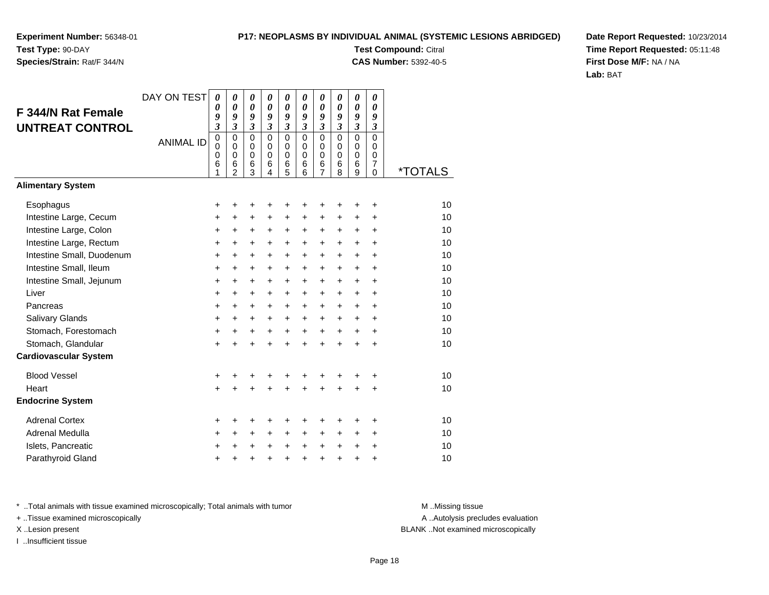## **Species/Strain:** Rat/F 344/N

### **P17: NEOPLASMS BY INDIVIDUAL ANIMAL (SYSTEMIC LESIONS ABRIDGED)**

**Test Compound:** Citral **CAS Number:** 5392-40-5

**Date Report Requested:** 10/23/2014**Time Report Requested:** 05:11:48**First Dose M/F:** NA / NA**Lab:** BAT

| F 344/N Rat Female<br><b>UNTREAT CONTROL</b> | DAY ON TEST<br><b>ANIMAL ID</b> | $\boldsymbol{\theta}$<br>0<br>9<br>$\overline{\mathbf{3}}$<br>0<br>$\mathbf 0$<br>0<br>6<br>1 | 0<br>0<br>9<br>$\overline{\mathbf{3}}$<br>0<br>$\mathbf 0$<br>0<br>6<br>$\overline{2}$ | $\boldsymbol{\theta}$<br>$\boldsymbol{\theta}$<br>9<br>$\mathfrak{z}$<br>$\mathbf 0$<br>$\mathbf 0$<br>$\mathbf 0$<br>$6\phantom{1}6$<br>3 | 0<br>$\boldsymbol{\theta}$<br>9<br>$\mathfrak{z}$<br>$\mathbf 0$<br>0<br>$\mathbf 0$<br>$\,6$<br>4 | 0<br>$\boldsymbol{\theta}$<br>9<br>$\mathfrak{z}$<br>$\mathbf 0$<br>$\mathbf 0$<br>$\mathbf 0$<br>$\,6$<br>5 | 0<br>0<br>9<br>$\overline{\mathbf{3}}$<br>$\mathbf 0$<br>0<br>$\mathbf 0$<br>6<br>6 | 0<br>0<br>9<br>$\boldsymbol{\mathfrak{z}}$<br>$\mathbf 0$<br>$\mathbf 0$<br>$\mathbf 0$<br>6<br>7 | 0<br>0<br>9<br>$\mathfrak{z}$<br>$\mathbf 0$<br>0<br>$\mathbf 0$<br>6<br>8 | $\boldsymbol{\theta}$<br>0<br>9<br>$\overline{\mathbf{3}}$<br>$\overline{0}$<br>$\mathbf 0$<br>$\mathbf 0$<br>6<br>9 | 0<br>0<br>9<br>$\mathfrak{z}$<br>$\overline{0}$<br>$\mathbf 0$<br>0<br>7<br>0 | <i><b>*TOTALS</b></i> |
|----------------------------------------------|---------------------------------|-----------------------------------------------------------------------------------------------|----------------------------------------------------------------------------------------|--------------------------------------------------------------------------------------------------------------------------------------------|----------------------------------------------------------------------------------------------------|--------------------------------------------------------------------------------------------------------------|-------------------------------------------------------------------------------------|---------------------------------------------------------------------------------------------------|----------------------------------------------------------------------------|----------------------------------------------------------------------------------------------------------------------|-------------------------------------------------------------------------------|-----------------------|
| <b>Alimentary System</b>                     |                                 |                                                                                               |                                                                                        |                                                                                                                                            |                                                                                                    |                                                                                                              |                                                                                     |                                                                                                   |                                                                            |                                                                                                                      |                                                                               |                       |
| Esophagus                                    |                                 | +                                                                                             | +                                                                                      | +                                                                                                                                          |                                                                                                    | +                                                                                                            | ٠                                                                                   | +                                                                                                 | +                                                                          | ÷                                                                                                                    | +                                                                             | 10                    |
| Intestine Large, Cecum                       |                                 | +                                                                                             | $\ddot{}$                                                                              | $\ddot{}$                                                                                                                                  | $\ddot{}$                                                                                          | $\ddot{}$                                                                                                    | $\ddot{}$                                                                           | $\ddot{}$                                                                                         | +                                                                          | $\ddot{}$                                                                                                            | +                                                                             | 10                    |
| Intestine Large, Colon                       |                                 | $\ddot{}$                                                                                     | $\ddot{}$                                                                              | $\ddot{}$                                                                                                                                  | $\ddot{}$                                                                                          | +                                                                                                            | $\ddot{}$                                                                           | $\ddot{}$                                                                                         | $\ddot{}$                                                                  | $\ddot{}$                                                                                                            | ÷                                                                             | 10                    |
| Intestine Large, Rectum                      |                                 | +                                                                                             | $\ddot{}$                                                                              | $\ddot{}$                                                                                                                                  | $\ddot{}$                                                                                          | $\ddot{}$                                                                                                    | $+$                                                                                 | +                                                                                                 | $\ddot{}$                                                                  | $\ddot{}$                                                                                                            | +                                                                             | 10                    |
| Intestine Small, Duodenum                    |                                 | $\ddot{}$                                                                                     | $\ddot{}$                                                                              | $\ddot{}$                                                                                                                                  | $\ddot{}$                                                                                          | $\ddot{}$                                                                                                    | $\ddot{}$                                                                           | $\ddot{}$                                                                                         | $\ddot{}$                                                                  | $\ddot{}$                                                                                                            | $\ddot{}$                                                                     | 10                    |
| Intestine Small, Ileum                       |                                 | +                                                                                             | +                                                                                      | +                                                                                                                                          | $\ddot{}$                                                                                          | +                                                                                                            | +                                                                                   | +                                                                                                 | $\ddot{}$                                                                  | +                                                                                                                    | +                                                                             | 10                    |
| Intestine Small, Jejunum                     |                                 | +                                                                                             | +                                                                                      | $\ddot{}$                                                                                                                                  | $\ddot{}$                                                                                          | +                                                                                                            | $\ddot{}$                                                                           | +                                                                                                 | $\ddot{}$                                                                  | $\ddot{}$                                                                                                            | $\ddot{}$                                                                     | 10                    |
| Liver                                        |                                 | $\ddot{}$                                                                                     | $\ddot{}$                                                                              | $\ddot{}$                                                                                                                                  | $\ddot{}$                                                                                          | $\ddot{}$                                                                                                    | $\ddot{}$                                                                           | $\ddot{}$                                                                                         | $\ddot{}$                                                                  | $\ddot{}$                                                                                                            | $\ddot{}$                                                                     | 10                    |
| Pancreas                                     |                                 | +                                                                                             | +                                                                                      | $\ddot{}$                                                                                                                                  | $\ddot{}$                                                                                          | $\ddot{}$                                                                                                    | $\ddot{}$                                                                           | +                                                                                                 | $\ddot{}$                                                                  | $\ddot{}$                                                                                                            | +                                                                             | 10                    |
| Salivary Glands                              |                                 | +                                                                                             | +                                                                                      | +                                                                                                                                          | $\ddot{}$                                                                                          | $\ddot{}$                                                                                                    | +                                                                                   | +                                                                                                 | $\ddot{}$                                                                  | +                                                                                                                    | +                                                                             | 10                    |
| Stomach, Forestomach                         |                                 | $\ddot{}$                                                                                     | $\ddot{}$                                                                              | $\ddot{}$                                                                                                                                  | $\ddot{}$                                                                                          | $\ddot{}$                                                                                                    | $\ddot{}$                                                                           | $\ddot{}$                                                                                         | $\ddot{}$                                                                  | $\ddot{}$                                                                                                            | $\ddot{}$                                                                     | 10                    |
| Stomach, Glandular                           |                                 | $\ddot{}$                                                                                     | $\ddot{}$                                                                              | $\ddot{}$                                                                                                                                  | $\ddot{}$                                                                                          | $\ddot{}$                                                                                                    | $\ddot{}$                                                                           | $\ddot{}$                                                                                         | $\ddot{}$                                                                  | $\ddot{}$                                                                                                            | $\ddot{}$                                                                     | 10                    |
| <b>Cardiovascular System</b>                 |                                 |                                                                                               |                                                                                        |                                                                                                                                            |                                                                                                    |                                                                                                              |                                                                                     |                                                                                                   |                                                                            |                                                                                                                      |                                                                               |                       |
| <b>Blood Vessel</b>                          |                                 | +                                                                                             | +                                                                                      | +                                                                                                                                          |                                                                                                    | +                                                                                                            | +                                                                                   | +                                                                                                 |                                                                            | +                                                                                                                    | ٠                                                                             | 10                    |
| Heart                                        |                                 | $\ddot{}$                                                                                     |                                                                                        | $\ddot{}$                                                                                                                                  |                                                                                                    | $\ddot{}$                                                                                                    | $\ddot{}$                                                                           | $\ddot{}$                                                                                         | $\ddot{}$                                                                  | $\ddot{}$                                                                                                            | +                                                                             | 10                    |
| <b>Endocrine System</b>                      |                                 |                                                                                               |                                                                                        |                                                                                                                                            |                                                                                                    |                                                                                                              |                                                                                     |                                                                                                   |                                                                            |                                                                                                                      |                                                                               |                       |
| <b>Adrenal Cortex</b>                        |                                 | +                                                                                             | ٠                                                                                      | +                                                                                                                                          |                                                                                                    | +                                                                                                            | +                                                                                   | +                                                                                                 |                                                                            | ٠                                                                                                                    | ٠                                                                             | 10                    |
| Adrenal Medulla                              |                                 | +                                                                                             | $\ddot{}$                                                                              | $\ddot{}$                                                                                                                                  | $\ddot{}$                                                                                          | $\ddot{}$                                                                                                    | $\ddot{}$                                                                           | $\ddot{}$                                                                                         | $\ddot{}$                                                                  | +                                                                                                                    | +                                                                             | 10                    |
| Islets, Pancreatic                           |                                 | ٠                                                                                             | +                                                                                      | +                                                                                                                                          |                                                                                                    | $\ddot{}$                                                                                                    | $\ddot{}$                                                                           | +                                                                                                 | $\ddot{}$                                                                  | $\ddot{}$                                                                                                            | +                                                                             | 10                    |
| Parathyroid Gland                            |                                 | +                                                                                             | +                                                                                      | +                                                                                                                                          |                                                                                                    | $\ddot{}$                                                                                                    | $\ddot{}$                                                                           | $\ddot{}$                                                                                         | $\ddot{}$                                                                  | $\ddot{}$                                                                                                            | +                                                                             | 10                    |

\* ..Total animals with tissue examined microscopically; Total animals with tumor **M** . Missing tissue M ..Missing tissue

+ ..Tissue examined microscopically

I ..Insufficient tissue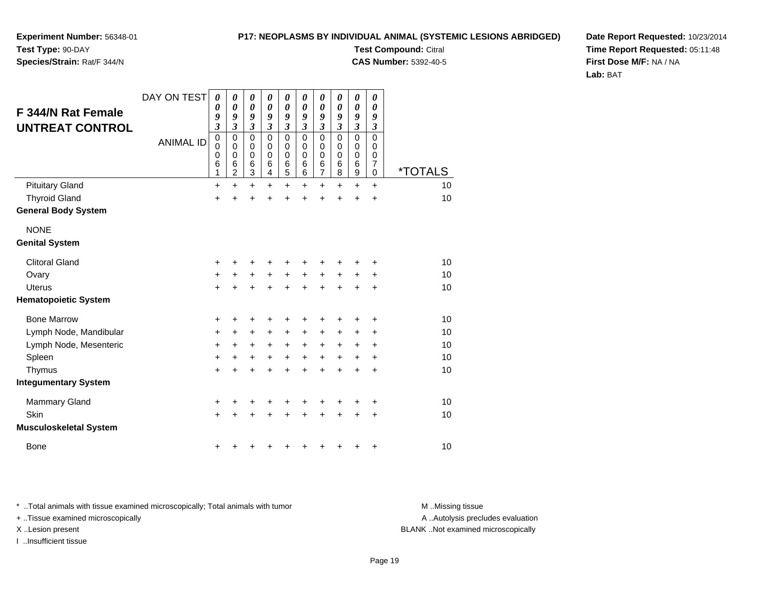**Experiment Number:** 56348-01**Test Type:** 90-DAY

## **Species/Strain:** Rat/F 344/N

**Test Compound:** Citral **CAS Number:** 5392-40-5

**Date Report Requested:** 10/23/2014**Time Report Requested:** 05:11:48**First Dose M/F:** NA / NA**Lab:** BAT

| F 344/N Rat Female<br><b>UNTREAT CONTROL</b> | DAY ON TEST<br><b>ANIMAL ID</b> | 0<br>0<br>9<br>3<br>0<br>0<br>0<br>6 | 0<br>0<br>9<br>$\overline{\mathbf{3}}$<br>$\mathbf 0$<br>0<br>0<br>6 | $\boldsymbol{\theta}$<br>$\boldsymbol{\theta}$<br>9<br>$\boldsymbol{\beta}$<br>$\mathbf 0$<br>0<br>$\mathbf 0$<br>6 | 0<br>0<br>9<br>$\boldsymbol{\beta}$<br>$\mathbf 0$<br>0<br>$\mathbf 0$<br>6 | 0<br>0<br>9<br>$\mathfrak{z}$<br>0<br>0<br>0<br>$\,6$ | 0<br>0<br>9<br>3<br>$\mathbf 0$<br>$\Omega$<br>0<br>6 | 0<br>0<br>9<br>3<br>$\mathbf 0$<br>0<br>0<br>$\,6$ | 0<br>0<br>9<br>3<br>$\mathbf 0$<br>0<br>0<br>6 | 0<br>$\boldsymbol{\theta}$<br>9<br>3<br>0<br>0<br>0<br>6 | 0<br>0<br>9<br>$\boldsymbol{\beta}$<br>$\mathbf 0$<br>0<br>0<br>7 |                       |
|----------------------------------------------|---------------------------------|--------------------------------------|----------------------------------------------------------------------|---------------------------------------------------------------------------------------------------------------------|-----------------------------------------------------------------------------|-------------------------------------------------------|-------------------------------------------------------|----------------------------------------------------|------------------------------------------------|----------------------------------------------------------|-------------------------------------------------------------------|-----------------------|
|                                              |                                 | 1                                    | $\overline{c}$                                                       | $\overline{3}$                                                                                                      | $\overline{\mathbf{4}}$                                                     | $\overline{5}$                                        | 6                                                     | $\overline{7}$                                     | 8                                              | 9                                                        | 0                                                                 | <i><b>*TOTALS</b></i> |
| <b>Pituitary Gland</b>                       |                                 | $\ddot{}$                            | $\ddot{}$                                                            | $\ddot{}$                                                                                                           | $\ddot{}$                                                                   | $\ddot{}$                                             | $\ddot{}$                                             | $\ddot{}$                                          | $+$                                            | $\ddot{}$                                                | $\ddot{}$                                                         | 10                    |
| <b>Thyroid Gland</b>                         |                                 | $\ddot{}$                            | $\ddot{}$                                                            | $\ddot{}$                                                                                                           | Ŧ.                                                                          | $\ddot{}$                                             | $\ddot{}$                                             | $\ddot{}$                                          | $\ddot{}$                                      | $\ddot{}$                                                | $\ddot{}$                                                         | 10                    |
| <b>General Body System</b>                   |                                 |                                      |                                                                      |                                                                                                                     |                                                                             |                                                       |                                                       |                                                    |                                                |                                                          |                                                                   |                       |
| <b>NONE</b>                                  |                                 |                                      |                                                                      |                                                                                                                     |                                                                             |                                                       |                                                       |                                                    |                                                |                                                          |                                                                   |                       |
| <b>Genital System</b>                        |                                 |                                      |                                                                      |                                                                                                                     |                                                                             |                                                       |                                                       |                                                    |                                                |                                                          |                                                                   |                       |
| <b>Clitoral Gland</b>                        |                                 | +                                    | +                                                                    | +                                                                                                                   | +                                                                           | +                                                     | +                                                     | +                                                  | +                                              | +                                                        | +                                                                 | 10                    |
| Ovary                                        |                                 | +                                    | $\ddot{}$                                                            | $\ddot{}$                                                                                                           | $\ddot{}$                                                                   | $\ddot{}$                                             | $\ddot{}$                                             | $\ddot{}$                                          | $\ddot{}$                                      | $\ddot{}$                                                | +                                                                 | 10                    |
| Uterus                                       |                                 | $\ddot{}$                            | $\ddot{}$                                                            | $\ddot{}$                                                                                                           | $\ddot{}$                                                                   | $\ddot{}$                                             | $\ddot{}$                                             | $\ddot{}$                                          | $+$                                            | $\ddot{}$                                                | $\ddot{}$                                                         | 10                    |
| <b>Hematopoietic System</b>                  |                                 |                                      |                                                                      |                                                                                                                     |                                                                             |                                                       |                                                       |                                                    |                                                |                                                          |                                                                   |                       |
| <b>Bone Marrow</b>                           |                                 | +                                    | +                                                                    | +                                                                                                                   |                                                                             | +                                                     | +                                                     | +                                                  |                                                | +                                                        | +                                                                 | 10                    |
| Lymph Node, Mandibular                       |                                 | +                                    | +                                                                    | +                                                                                                                   | ٠                                                                           | +                                                     | +                                                     | +                                                  | +                                              | ٠                                                        | ٠                                                                 | 10                    |
| Lymph Node, Mesenteric                       |                                 | +                                    | +                                                                    | +                                                                                                                   | $\ddot{}$                                                                   | $\ddot{}$                                             | $\ddot{}$                                             | +                                                  | $\ddot{}$                                      | ÷                                                        | +                                                                 | 10                    |
| Spleen                                       |                                 | $\ddot{}$                            | $\ddot{}$                                                            | $\ddot{}$                                                                                                           | $\ddot{}$                                                                   | $\ddot{}$                                             | $\ddot{}$                                             | $\ddot{}$                                          | $\ddot{}$                                      | +                                                        | $\ddot{}$                                                         | 10                    |
| Thymus                                       |                                 | $\ddot{}$                            | $\ddot{}$                                                            | $\ddot{}$                                                                                                           | $\ddot{}$                                                                   | $\ddot{}$                                             | $\ddot{}$                                             | $\ddot{}$                                          | $\ddot{}$                                      | $\ddot{}$                                                | $\ddot{}$                                                         | 10                    |
| <b>Integumentary System</b>                  |                                 |                                      |                                                                      |                                                                                                                     |                                                                             |                                                       |                                                       |                                                    |                                                |                                                          |                                                                   |                       |
| <b>Mammary Gland</b>                         |                                 | +                                    | +                                                                    | +                                                                                                                   |                                                                             | +                                                     | +                                                     | +                                                  |                                                | +                                                        | +                                                                 | 10                    |
| Skin                                         |                                 | $\ddot{}$                            | +                                                                    | $\ddot{}$                                                                                                           |                                                                             | $\ddot{}$                                             | $\ddot{}$                                             | $\ddot{}$                                          | $\ddot{}$                                      | $\ddot{}$                                                | +                                                                 | 10                    |
| <b>Musculoskeletal System</b>                |                                 |                                      |                                                                      |                                                                                                                     |                                                                             |                                                       |                                                       |                                                    |                                                |                                                          |                                                                   |                       |
| <b>Bone</b>                                  |                                 | +                                    |                                                                      |                                                                                                                     |                                                                             | ٠                                                     | +                                                     | +                                                  | ٠                                              | +                                                        | +                                                                 | 10                    |

\* ..Total animals with tissue examined microscopically; Total animals with tumor **M** . Missing tissue M ..Missing tissue

+ ..Tissue examined microscopically

I ..Insufficient tissue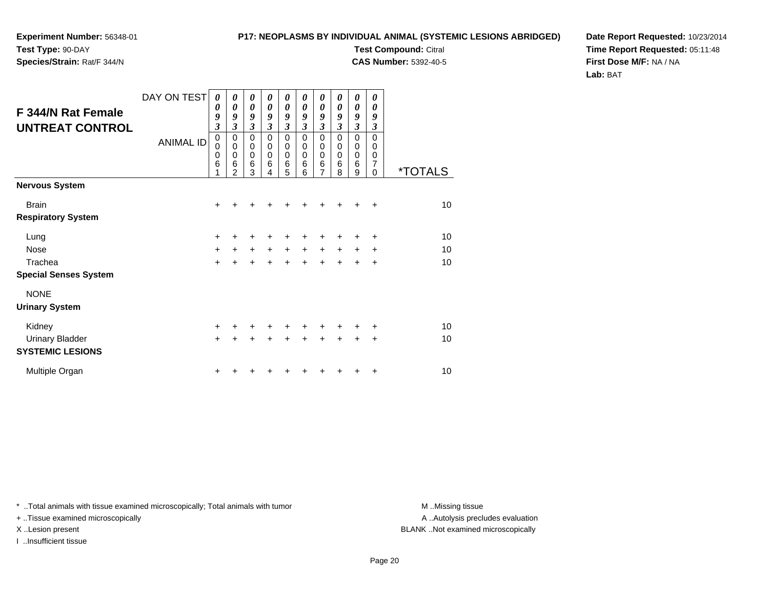**Experiment Number:** 56348-01**Test Type:** 90-DAY

**Species/Strain:** Rat/F 344/N

**Test Compound:** Citral **CAS Number:** 5392-40-5

**Date Report Requested:** 10/23/2014**Time Report Requested:** 05:11:48**First Dose M/F:** NA / NA**Lab:** BAT

| <b>F 344/N Rat Female</b><br><b>UNTREAT CONTROL</b> | DAY ON TEST<br><b>ANIMAL ID</b> | $\boldsymbol{\theta}$<br>0<br>9<br>$\overline{\mathbf{3}}$<br>0<br>0<br>0<br>6 | 0<br>0<br>9<br>3<br>$\pmb{0}$<br>$\pmb{0}$<br>$\mathbf 0$<br>6<br>$\mathfrak{p}$ | 0<br>$\boldsymbol{\theta}$<br>9<br>$\overline{\mathbf{3}}$<br>$\mathbf 0$<br>$\mathbf 0$<br>$\mathbf 0$<br>6<br>3 | 0<br>0<br>9<br>$\mathfrak{z}$<br>$\mathbf 0$<br>0<br>$\mathbf 0$<br>6<br>4 | 0<br>$\boldsymbol{\theta}$<br>9<br>$\mathfrak{z}$<br>0<br>0<br>$\mathbf 0$<br>6<br>5 | 0<br>0<br>9<br>$\boldsymbol{\beta}$<br>$\Omega$<br>0<br>$\mathbf 0$<br>6<br>6 | 0<br>0<br>9<br>$\mathfrak{z}$<br>$\mathbf 0$<br>0<br>$\mathbf 0$<br>6<br>$\overline{7}$ | 0<br>0<br>9<br>$\mathfrak{z}$<br>$\Omega$<br>0<br>0<br>6<br>8 | 0<br>$\boldsymbol{\theta}$<br>9<br>$\mathfrak{z}$<br>$\mathbf 0$<br>0<br>$\mathbf 0$<br>6<br>9 | 0<br>0<br>9<br>3<br>$\Omega$<br>0<br>$\mathbf 0$<br>7<br>0 | <i><b>*TOTALS</b></i> |
|-----------------------------------------------------|---------------------------------|--------------------------------------------------------------------------------|----------------------------------------------------------------------------------|-------------------------------------------------------------------------------------------------------------------|----------------------------------------------------------------------------|--------------------------------------------------------------------------------------|-------------------------------------------------------------------------------|-----------------------------------------------------------------------------------------|---------------------------------------------------------------|------------------------------------------------------------------------------------------------|------------------------------------------------------------|-----------------------|
| <b>Nervous System</b>                               |                                 |                                                                                |                                                                                  |                                                                                                                   |                                                                            |                                                                                      |                                                                               |                                                                                         |                                                               |                                                                                                |                                                            |                       |
| <b>Brain</b>                                        |                                 | $\ddot{}$                                                                      |                                                                                  |                                                                                                                   |                                                                            |                                                                                      |                                                                               | +                                                                                       |                                                               | +                                                                                              | $\ddot{}$                                                  | 10                    |
| <b>Respiratory System</b>                           |                                 |                                                                                |                                                                                  |                                                                                                                   |                                                                            |                                                                                      |                                                                               |                                                                                         |                                                               |                                                                                                |                                                            |                       |
| Lung                                                |                                 | $\ddot{}$                                                                      | +                                                                                | +                                                                                                                 | +                                                                          | +                                                                                    | +                                                                             | +                                                                                       | +                                                             | ÷                                                                                              | $\ddot{}$                                                  | 10                    |
| Nose                                                |                                 | $\ddot{}$                                                                      | $+$                                                                              | $\ddot{}$                                                                                                         | $\ddot{}$                                                                  | $+$                                                                                  | $+$                                                                           | $\ddot{}$                                                                               | $\ddot{}$                                                     | $\pm$                                                                                          | $\ddot{}$                                                  | 10                    |
| Trachea                                             |                                 | $\ddot{}$                                                                      | $\ddot{}$                                                                        | $\ddot{}$                                                                                                         | $\ddot{}$                                                                  | $+$                                                                                  | $\ddot{}$                                                                     | $\ddot{}$                                                                               | $+$                                                           | $\ddot{}$                                                                                      | $\div$                                                     | 10                    |
| <b>Special Senses System</b>                        |                                 |                                                                                |                                                                                  |                                                                                                                   |                                                                            |                                                                                      |                                                                               |                                                                                         |                                                               |                                                                                                |                                                            |                       |
| <b>NONE</b>                                         |                                 |                                                                                |                                                                                  |                                                                                                                   |                                                                            |                                                                                      |                                                                               |                                                                                         |                                                               |                                                                                                |                                                            |                       |
| <b>Urinary System</b>                               |                                 |                                                                                |                                                                                  |                                                                                                                   |                                                                            |                                                                                      |                                                                               |                                                                                         |                                                               |                                                                                                |                                                            |                       |
| Kidney                                              |                                 | $\ddot{}$                                                                      | +                                                                                | +                                                                                                                 | +                                                                          | $\ddot{}$                                                                            | +                                                                             | $\ddot{}$                                                                               | ٠                                                             | +                                                                                              | $\ddot{}$                                                  | 10                    |
| <b>Urinary Bladder</b>                              |                                 | $\ddot{}$                                                                      | +                                                                                | $\ddot{}$                                                                                                         | $\ddot{}$                                                                  | $+$                                                                                  | $\ddot{}$                                                                     | $\ddot{}$                                                                               | $\ddot{}$                                                     | $\ddot{}$                                                                                      | $\ddot{}$                                                  | 10                    |
| <b>SYSTEMIC LESIONS</b>                             |                                 |                                                                                |                                                                                  |                                                                                                                   |                                                                            |                                                                                      |                                                                               |                                                                                         |                                                               |                                                                                                |                                                            |                       |
| Multiple Organ                                      |                                 | +                                                                              |                                                                                  |                                                                                                                   |                                                                            |                                                                                      |                                                                               |                                                                                         |                                                               | +                                                                                              | $\ddot{}$                                                  | 10                    |

\* ..Total animals with tissue examined microscopically; Total animals with tumor **M** . Missing tissue M ..Missing tissue

+ ..Tissue examined microscopically

I ..Insufficient tissue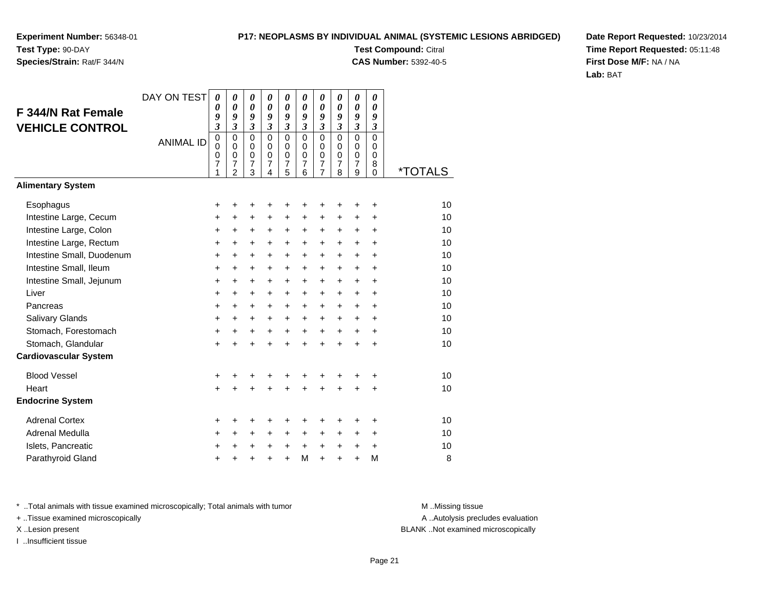## **Species/Strain:** Rat/F 344/N

### **P17: NEOPLASMS BY INDIVIDUAL ANIMAL (SYSTEMIC LESIONS ABRIDGED)**

**Test Compound:** Citral **CAS Number:** 5392-40-5

**Date Report Requested:** 10/23/2014**Time Report Requested:** 05:11:48**First Dose M/F:** NA / NA**Lab:** BAT

|                              | DAY ON TEST      | 0                                         | 0                                                             | 0                                                      | 0                                                | 0                                         | $\theta$                                      | 0                                                                | 0                                                      | 0                                                                 | 0                                                      |                       |
|------------------------------|------------------|-------------------------------------------|---------------------------------------------------------------|--------------------------------------------------------|--------------------------------------------------|-------------------------------------------|-----------------------------------------------|------------------------------------------------------------------|--------------------------------------------------------|-------------------------------------------------------------------|--------------------------------------------------------|-----------------------|
| <b>F 344/N Rat Female</b>    |                  | 0<br>9                                    | 0<br>9                                                        | $\boldsymbol{\theta}$<br>9                             | $\boldsymbol{\theta}$<br>9                       | $\boldsymbol{\theta}$<br>9                | $\boldsymbol{\theta}$<br>9                    | $\boldsymbol{\theta}$<br>9                                       | $\boldsymbol{\theta}$<br>9                             | $\boldsymbol{\theta}$<br>9                                        | 0<br>9                                                 |                       |
| <b>VEHICLE CONTROL</b>       |                  | $\mathfrak{z}$                            | $\overline{\mathbf{3}}$                                       | $\mathfrak{z}$                                         | $\overline{\mathbf{3}}$                          | $\mathfrak{z}$                            | $\overline{\mathbf{3}}$                       | $\mathfrak{z}$                                                   | $\mathfrak{z}$                                         | $\overline{\mathbf{3}}$                                           | $\mathfrak{z}$                                         |                       |
|                              | <b>ANIMAL ID</b> | $\mathbf 0$<br>$\mathbf 0$<br>0<br>7<br>1 | $\mathbf 0$<br>$\Omega$<br>$\mathbf 0$<br>7<br>$\overline{2}$ | $\overline{0}$<br>$\mathbf 0$<br>$\mathbf 0$<br>7<br>3 | $\mathbf 0$<br>$\mathbf 0$<br>$\Omega$<br>7<br>4 | $\mathbf 0$<br>0<br>$\mathbf 0$<br>7<br>5 | $\mathbf 0$<br>$\Omega$<br>$\Omega$<br>7<br>6 | $\mathbf 0$<br>$\mathbf 0$<br>$\mathbf 0$<br>7<br>$\overline{7}$ | $\overline{0}$<br>$\mathbf 0$<br>$\mathbf 0$<br>7<br>8 | $\overline{0}$<br>$\pmb{0}$<br>$\mathbf 0$<br>$\overline{7}$<br>9 | $\overline{0}$<br>0<br>$\mathbf 0$<br>8<br>$\mathbf 0$ | <i><b>*TOTALS</b></i> |
| <b>Alimentary System</b>     |                  |                                           |                                                               |                                                        |                                                  |                                           |                                               |                                                                  |                                                        |                                                                   |                                                        |                       |
| Esophagus                    |                  | +                                         | +                                                             | +                                                      | +                                                | +                                         | +                                             | +                                                                | ٠                                                      | ٠                                                                 | +                                                      | 10                    |
| Intestine Large, Cecum       |                  | +                                         | +                                                             | $\pm$                                                  | $\pm$                                            | $\ddot{}$                                 | $\ddot{}$                                     | $\ddot{}$                                                        | $\ddot{}$                                              | $\ddot{}$                                                         | +                                                      | 10                    |
| Intestine Large, Colon       |                  | $\ddot{}$                                 | +                                                             | $\ddot{}$                                              | $+$                                              | +                                         | $\ddot{}$                                     | $\ddot{}$                                                        | $\ddot{}$                                              | $\ddot{}$                                                         | $\ddot{}$                                              | 10                    |
| Intestine Large, Rectum      |                  | +                                         | +                                                             | $\ddot{}$                                              | $\ddot{}$                                        | +                                         | $\ddot{}$                                     | $\ddot{}$                                                        | $\ddot{}$                                              | +                                                                 | $\ddot{}$                                              | 10                    |
| Intestine Small, Duodenum    |                  | $\ddot{}$                                 | $\ddot{}$                                                     | $\ddot{}$                                              | $+$                                              | $\ddot{}$                                 | $\ddot{}$                                     | $\ddot{}$                                                        | $\ddot{}$                                              | $\ddot{}$                                                         | +                                                      | 10                    |
| Intestine Small, Ileum       |                  | $\ddot{}$                                 | $\ddot{}$                                                     | $\ddot{}$                                              | $\ddot{}$                                        | +                                         | $\ddot{}$                                     | $\ddot{}$                                                        | $\ddot{}$                                              | $\ddot{}$                                                         | $\ddot{}$                                              | 10                    |
| Intestine Small, Jejunum     |                  | $\ddot{}$                                 | $\pm$                                                         | $\pm$                                                  | $\ddot{}$                                        | $\ddot{}$                                 | +                                             | +                                                                | $\pm$                                                  | $\pm$                                                             | +                                                      | 10                    |
| Liver                        |                  | $\ddot{}$                                 | $\ddot{}$                                                     | $\ddot{}$                                              | $+$                                              | +                                         | $\ddot{}$                                     | $\ddot{}$                                                        | $+$                                                    | $\ddot{}$                                                         | $\ddot{}$                                              | 10                    |
| Pancreas                     |                  | $\ddot{}$                                 | +                                                             | $\ddot{}$                                              | $+$                                              | +                                         | $\ddot{}$                                     | $\ddot{}$                                                        | $\ddot{}$                                              | +                                                                 | +                                                      | 10                    |
| Salivary Glands              |                  | $\ddot{}$                                 | +                                                             | $\ddot{}$                                              | $\ddot{}$                                        | +                                         | $\ddot{}$                                     | $\ddot{}$                                                        | $\ddot{}$                                              | $\ddot{}$                                                         | $\ddot{}$                                              | 10                    |
| Stomach, Forestomach         |                  | $\ddot{}$                                 | $\ddot{}$                                                     | +                                                      | $\ddot{}$                                        | +                                         | $\ddot{}$                                     | $\ddot{}$                                                        | $\ddot{}$                                              | +                                                                 | +                                                      | 10                    |
| Stomach, Glandular           |                  | $\ddot{}$                                 | $\ddot{}$                                                     | $\ddot{}$                                              | $\ddot{}$                                        | $\ddot{}$                                 | $\ddot{}$                                     | $\ddot{}$                                                        | $\ddot{}$                                              | $\ddot{}$                                                         | $\ddot{}$                                              | 10                    |
| <b>Cardiovascular System</b> |                  |                                           |                                                               |                                                        |                                                  |                                           |                                               |                                                                  |                                                        |                                                                   |                                                        |                       |
| <b>Blood Vessel</b>          |                  | +                                         | +                                                             | +                                                      | ٠                                                | +                                         | +                                             | +                                                                | ٠                                                      | ٠                                                                 | +                                                      | 10                    |
| Heart                        |                  | $\ddot{}$                                 |                                                               | $\ddot{}$                                              | ÷                                                | $\ddot{}$                                 | $\ddot{}$                                     | $\ddot{}$                                                        | ÷                                                      | $\ddot{}$                                                         | +                                                      | 10                    |
| <b>Endocrine System</b>      |                  |                                           |                                                               |                                                        |                                                  |                                           |                                               |                                                                  |                                                        |                                                                   |                                                        |                       |
| <b>Adrenal Cortex</b>        |                  | +                                         | +                                                             | +                                                      | +                                                | +                                         | +                                             | +                                                                | +                                                      | +                                                                 | +                                                      | 10                    |
| Adrenal Medulla              |                  | +                                         | +                                                             | +                                                      | $\pm$                                            | +                                         | $\ddot{}$                                     | +                                                                | $\ddot{}$                                              | +                                                                 | $\ddot{}$                                              | 10                    |
| Islets, Pancreatic           |                  | +                                         | +                                                             | +                                                      | $\pm$                                            | $\pm$                                     | $\ddot{}$                                     | $\ddot{}$                                                        | $\ddot{}$                                              | +                                                                 | +                                                      | 10                    |
| Parathyroid Gland            |                  | +                                         | +                                                             | +                                                      | +                                                | $\ddot{}$                                 | M                                             | $\ddot{}$                                                        | $\ddot{}$                                              | $\ddot{}$                                                         | M                                                      | 8                     |

\* ..Total animals with tissue examined microscopically; Total animals with tumor **M** . Missing tissue M ..Missing tissue

+ ..Tissue examined microscopically

I ..Insufficient tissue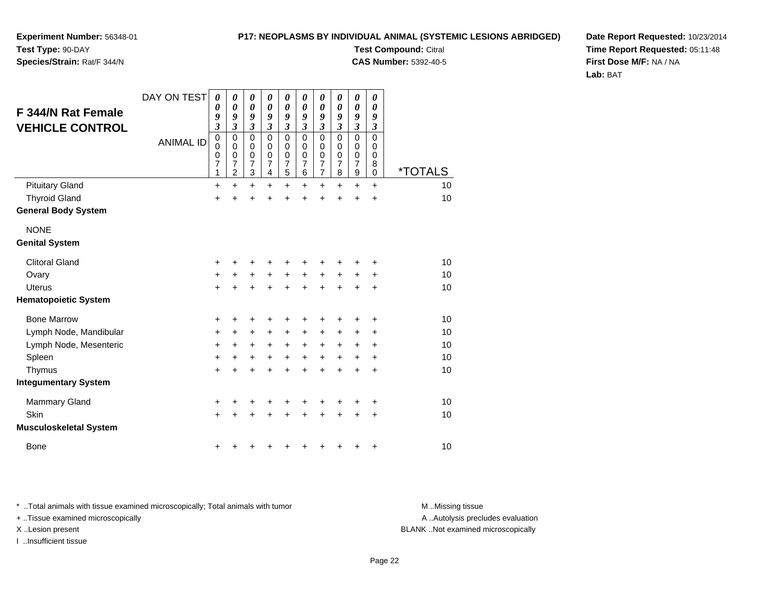**Experiment Number:** 56348-01**Test Type:** 90-DAY

**Species/Strain:** Rat/F 344/N

**Test Compound:** Citral **CAS Number:** 5392-40-5

**Date Report Requested:** 10/23/2014**Time Report Requested:** 05:11:48**First Dose M/F:** NA / NA**Lab:** BAT

| <b>F 344/N Rat Female</b><br><b>VEHICLE CONTROL</b> | DAY ON TEST      | 0<br>0<br>9<br>$\overline{\mathbf{3}}$<br>0 | 0<br>0<br>9<br>$\overline{\mathbf{3}}$<br>$\mathbf 0$ | 0<br>$\boldsymbol{\theta}$<br>9<br>$\overline{\mathbf{3}}$<br>0 | 0<br>0<br>9<br>$\mathfrak{z}$<br>$\Omega$ | 0<br>0<br>9<br>$\overline{\mathbf{3}}$<br>$\mathbf 0$ | 0<br>0<br>9<br>$\mathfrak{z}$<br>$\Omega$ | 0<br>0<br>9<br>3<br>$\mathbf 0$                           | 0<br>0<br>9<br>3<br>$\mathbf 0$ | 0<br>0<br>9<br>$\overline{\mathbf{3}}$<br>0 | 0<br>0<br>9<br>3<br>0 |                       |
|-----------------------------------------------------|------------------|---------------------------------------------|-------------------------------------------------------|-----------------------------------------------------------------|-------------------------------------------|-------------------------------------------------------|-------------------------------------------|-----------------------------------------------------------|---------------------------------|---------------------------------------------|-----------------------|-----------------------|
|                                                     | <b>ANIMAL ID</b> | 0<br>0<br>$\overline{7}$<br>1               | 0<br>0<br>$\overline{7}$<br>2                         | 0<br>$\mathbf 0$<br>$\overline{7}$<br>3                         | 0<br>0<br>$\overline{7}$<br>4             | 0<br>$\boldsymbol{0}$<br>$\overline{7}$<br>5          | 0<br>0<br>$\overline{7}$<br>6             | 0<br>$\boldsymbol{0}$<br>$\overline{7}$<br>$\overline{7}$ | 0<br>0<br>$\overline{7}$<br>8   | 0<br>0<br>$\overline{7}$<br>9               | 0<br>0<br>8<br>0      | <i><b>*TOTALS</b></i> |
| <b>Pituitary Gland</b>                              |                  | +                                           | $\ddot{}$                                             | $\ddot{}$                                                       | $\ddot{}$                                 | $\ddot{}$                                             | +                                         | +                                                         | $\pm$                           | +                                           | +                     | 10                    |
| <b>Thyroid Gland</b>                                |                  | +                                           | Ł                                                     | $\ddot{}$                                                       | $\ddot{}$                                 | $\ddot{}$                                             | $\ddot{}$                                 | $\ddot{}$                                                 | $\ddot{}$                       | $\ddot{}$                                   | $\ddot{}$             | 10                    |
| <b>General Body System</b>                          |                  |                                             |                                                       |                                                                 |                                           |                                                       |                                           |                                                           |                                 |                                             |                       |                       |
| <b>NONE</b>                                         |                  |                                             |                                                       |                                                                 |                                           |                                                       |                                           |                                                           |                                 |                                             |                       |                       |
| <b>Genital System</b>                               |                  |                                             |                                                       |                                                                 |                                           |                                                       |                                           |                                                           |                                 |                                             |                       |                       |
| <b>Clitoral Gland</b>                               |                  | +                                           | +                                                     | +                                                               | +                                         | +                                                     | +                                         | +                                                         | +                               | +                                           | +                     | 10                    |
| Ovary                                               |                  | +                                           | $\ddot{}$                                             | $\ddot{}$                                                       | $\ddot{}$                                 | $\ddot{}$                                             | $\ddot{}$                                 | $\ddot{}$                                                 | $\ddot{}$                       | +                                           | +                     | 10                    |
| <b>Uterus</b>                                       |                  | $\ddot{}$                                   | $\ddot{}$                                             | $\ddot{}$                                                       | $\ddot{}$                                 | $\ddot{}$                                             | $\ddot{}$                                 | $\ddot{}$                                                 | $\ddot{}$                       | $\ddot{}$                                   | +                     | 10                    |
| <b>Hematopoietic System</b>                         |                  |                                             |                                                       |                                                                 |                                           |                                                       |                                           |                                                           |                                 |                                             |                       |                       |
| <b>Bone Marrow</b>                                  |                  | +                                           | +                                                     | +                                                               | ٠                                         | +                                                     | +                                         | +                                                         | +                               | +                                           | +                     | 10                    |
| Lymph Node, Mandibular                              |                  | +                                           | +                                                     | +                                                               | +                                         | +                                                     | +                                         | +                                                         | $\pm$                           | +                                           | +                     | 10                    |
| Lymph Node, Mesenteric                              |                  | +                                           | +                                                     | +                                                               | $\ddot{}$                                 | $\ddot{}$                                             | $\ddot{}$                                 | $\ddot{}$                                                 | $+$                             | +                                           | +                     | 10                    |
| Spleen                                              |                  | $\ddot{}$                                   | $\ddot{}$                                             | $\ddot{}$                                                       | $\ddot{}$                                 | $\ddot{}$                                             | $\ddot{}$                                 | $\ddot{}$                                                 | $\ddot{}$                       | +                                           | $\ddot{}$             | 10                    |
| Thymus                                              |                  | $\ddot{}$                                   | $\ddot{}$                                             | $\ddot{}$                                                       | ÷                                         | $\ddot{}$                                             | $\ddot{}$                                 | $\ddot{}$                                                 | $\ddot{}$                       | $\ddot{}$                                   | $\ddot{}$             | 10                    |
| <b>Integumentary System</b>                         |                  |                                             |                                                       |                                                                 |                                           |                                                       |                                           |                                                           |                                 |                                             |                       |                       |
| <b>Mammary Gland</b>                                |                  | +                                           | +                                                     | +                                                               | +                                         | +                                                     | +                                         | +                                                         | +                               | +                                           | +                     | 10                    |
| Skin                                                |                  | $\ddot{}$                                   | +                                                     | $\ddot{}$                                                       | ÷                                         | $\ddot{}$                                             | $\ddot{}$                                 | $\ddot{}$                                                 | $\ddot{}$                       | +                                           | +                     | 10                    |
| <b>Musculoskeletal System</b>                       |                  |                                             |                                                       |                                                                 |                                           |                                                       |                                           |                                                           |                                 |                                             |                       |                       |
| <b>Bone</b>                                         |                  | +                                           |                                                       |                                                                 |                                           | ٠                                                     | +                                         | +                                                         | ٠                               | +                                           | +                     | 10                    |

\* ..Total animals with tissue examined microscopically; Total animals with tumor **M** . Missing tissue M ..Missing tissue

+ ..Tissue examined microscopically

I ..Insufficient tissue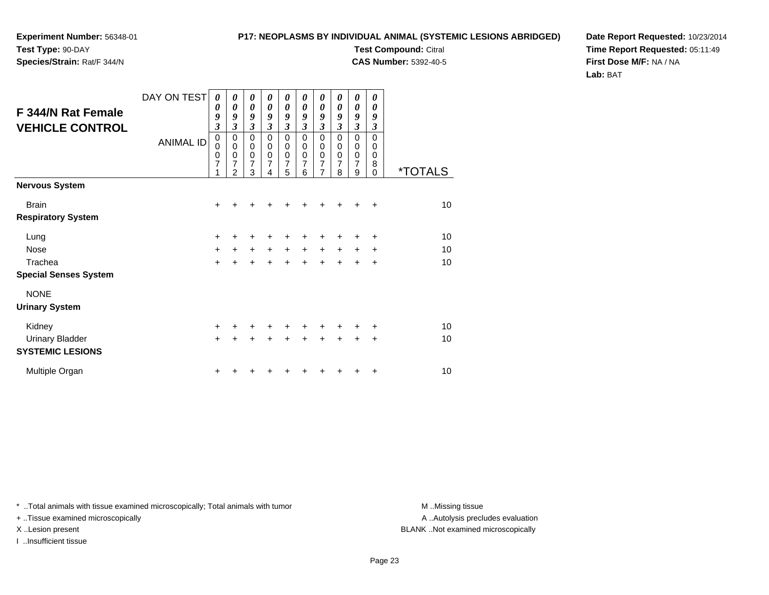**Experiment Number:** 56348-01**Test Type:** 90-DAY**Species/Strain:** Rat/F 344/N

**Test Compound:** Citral **CAS Number:** 5392-40-5

**Date Report Requested:** 10/23/2014**Time Report Requested:** 05:11:49**First Dose M/F:** NA / NA**Lab:** BAT

| F 344/N Rat Female<br><b>VEHICLE CONTROL</b>      | DAY ON TEST<br><b>ANIMAL ID</b> | 0<br>0<br>9<br>$\overline{\mathbf{3}}$<br>$\mathbf 0$<br>$\mathbf 0$<br>$\mathbf 0$<br>$\overline{7}$<br>1 | $\boldsymbol{\theta}$<br>0<br>9<br>$\overline{\mathbf{3}}$<br>0<br>$\mathbf 0$<br>$\mathbf 0$<br>7<br>$\overline{2}$ | 0<br>$\boldsymbol{\theta}$<br>9<br>$\boldsymbol{\mathfrak{z}}$<br>$\pmb{0}$<br>$\pmb{0}$<br>$\pmb{0}$<br>$\overline{7}$<br>3 | 0<br>0<br>9<br>$\mathfrak{z}$<br>$\mathbf 0$<br>$\mathbf 0$<br>$\pmb{0}$<br>$\overline{7}$<br>4 | 0<br>0<br>9<br>$\overline{\mathbf{3}}$<br>0<br>0<br>$\pmb{0}$<br>7<br>5 | 0<br>0<br>9<br>$\mathfrak{z}$<br>$\Omega$<br>0<br>0<br>7<br>6 | 0<br>0<br>9<br>3<br>$\mathbf 0$<br>0<br>$\mathsf 0$<br>$\overline{7}$<br>$\overline{7}$ | 0<br>0<br>9<br>$\mathfrak{z}$<br>$\Omega$<br>0<br>$\pmb{0}$<br>7<br>8 | 0<br>0<br>9<br>$\overline{\mathbf{3}}$<br>0<br>0<br>$\frac{0}{7}$<br>9 | 0<br>0<br>9<br>3<br>$\mathbf 0$<br>$\mathbf 0$<br>0<br>8<br>$\Omega$ | <i><b>*TOTALS</b></i> |
|---------------------------------------------------|---------------------------------|------------------------------------------------------------------------------------------------------------|----------------------------------------------------------------------------------------------------------------------|------------------------------------------------------------------------------------------------------------------------------|-------------------------------------------------------------------------------------------------|-------------------------------------------------------------------------|---------------------------------------------------------------|-----------------------------------------------------------------------------------------|-----------------------------------------------------------------------|------------------------------------------------------------------------|----------------------------------------------------------------------|-----------------------|
| <b>Nervous System</b>                             |                                 |                                                                                                            |                                                                                                                      |                                                                                                                              |                                                                                                 |                                                                         |                                                               |                                                                                         |                                                                       |                                                                        |                                                                      |                       |
| <b>Brain</b>                                      |                                 | $\ddot{}$                                                                                                  |                                                                                                                      |                                                                                                                              |                                                                                                 |                                                                         |                                                               |                                                                                         |                                                                       |                                                                        | $\div$                                                               | 10 <sup>1</sup>       |
| <b>Respiratory System</b>                         |                                 |                                                                                                            |                                                                                                                      |                                                                                                                              |                                                                                                 |                                                                         |                                                               |                                                                                         |                                                                       |                                                                        |                                                                      |                       |
| Lung                                              |                                 | +                                                                                                          | +                                                                                                                    | +                                                                                                                            | +                                                                                               | +                                                                       | +                                                             | +                                                                                       | +                                                                     | ÷                                                                      | +                                                                    | 10                    |
| <b>Nose</b>                                       |                                 | $\ddot{}$                                                                                                  | $+$                                                                                                                  | $+$                                                                                                                          | $+$                                                                                             | $\ddot{}$                                                               | $+$                                                           | $+$                                                                                     | $+$                                                                   | $\ddot{}$                                                              | $\ddot{}$                                                            | 10                    |
| Trachea                                           |                                 | $\ddot{}$                                                                                                  | $\ddot{}$                                                                                                            |                                                                                                                              | $\ddot{}$                                                                                       | $\ddot{}$                                                               | $\ddot{}$                                                     | $\ddot{}$                                                                               | ÷.                                                                    | $\ddot{}$                                                              | $\ddot{}$                                                            | 10                    |
| <b>Special Senses System</b>                      |                                 |                                                                                                            |                                                                                                                      |                                                                                                                              |                                                                                                 |                                                                         |                                                               |                                                                                         |                                                                       |                                                                        |                                                                      |                       |
| <b>NONE</b>                                       |                                 |                                                                                                            |                                                                                                                      |                                                                                                                              |                                                                                                 |                                                                         |                                                               |                                                                                         |                                                                       |                                                                        |                                                                      |                       |
| <b>Urinary System</b>                             |                                 |                                                                                                            |                                                                                                                      |                                                                                                                              |                                                                                                 |                                                                         |                                                               |                                                                                         |                                                                       |                                                                        |                                                                      |                       |
| Kidney                                            |                                 | +                                                                                                          |                                                                                                                      | +                                                                                                                            | ٠                                                                                               | +                                                                       | +                                                             | +                                                                                       | ÷                                                                     | ٠                                                                      | ÷                                                                    | 10                    |
| <b>Urinary Bladder</b><br><b>SYSTEMIC LESIONS</b> |                                 | $+$                                                                                                        | $\ddot{}$                                                                                                            | $\ddot{}$                                                                                                                    | $\ddot{}$                                                                                       | $\ddot{}$                                                               | $\ddot{}$                                                     | $\ddot{}$                                                                               | $\ddot{}$                                                             | $\ddot{}$                                                              | $\ddot{}$                                                            | 10                    |
|                                                   |                                 |                                                                                                            |                                                                                                                      |                                                                                                                              |                                                                                                 |                                                                         |                                                               |                                                                                         |                                                                       |                                                                        |                                                                      |                       |
| Multiple Organ                                    |                                 | +                                                                                                          |                                                                                                                      |                                                                                                                              |                                                                                                 |                                                                         |                                                               |                                                                                         |                                                                       |                                                                        | ÷                                                                    | 10                    |

\* ..Total animals with tissue examined microscopically; Total animals with tumor **M** . Missing tissue M ..Missing tissue

+ ..Tissue examined microscopically

I ..Insufficient tissue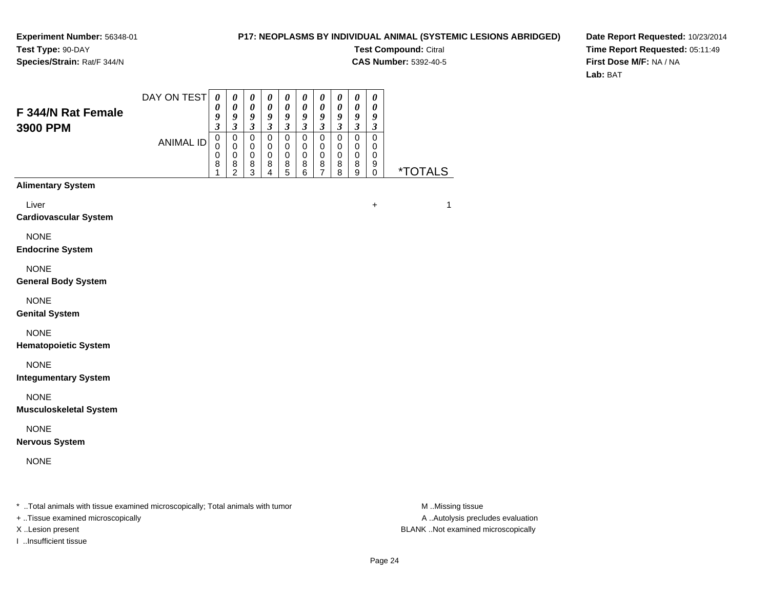### **P17: NEOPLASMS BY INDIVIDUAL ANIMAL (SYSTEMIC LESIONS ABRIDGED)**

**Test Compound:** Citral

**CAS Number:** 5392-40-5

**Date Report Requested:** 10/23/2014**Time Report Requested:** 05:11:49**First Dose M/F:** NA / NA**Lab:** BAT

| <b>F 344/N Rat Female</b>                                                      | DAY ON TEST      | 0<br>0<br>9                                                 | 0<br>$\boldsymbol{\theta}$<br>9                                          | 0<br>$\boldsymbol{\theta}$<br>9                                       | $\boldsymbol{\theta}$<br>$\boldsymbol{\theta}$<br>9                 | 0<br>$\boldsymbol{\theta}$<br>9                                   | $\boldsymbol{\theta}$<br>$\boldsymbol{\theta}$<br>$\boldsymbol{9}$  | $\boldsymbol{\theta}$<br>0<br>9                                       | $\boldsymbol{\theta}$<br>$\boldsymbol{\theta}$<br>9               | $\boldsymbol{\theta}$<br>0<br>$\boldsymbol{9}$                    | $\boldsymbol{\theta}$<br>$\boldsymbol{\theta}$<br>9               |                       |
|--------------------------------------------------------------------------------|------------------|-------------------------------------------------------------|--------------------------------------------------------------------------|-----------------------------------------------------------------------|---------------------------------------------------------------------|-------------------------------------------------------------------|---------------------------------------------------------------------|-----------------------------------------------------------------------|-------------------------------------------------------------------|-------------------------------------------------------------------|-------------------------------------------------------------------|-----------------------|
| 3900 PPM                                                                       | <b>ANIMAL ID</b> | $\mathfrak{z}$<br>$\mathsf 0$<br>$\mathbf 0$<br>0<br>8<br>1 | $\mathfrak{z}$<br>$\mathsf 0$<br>0<br>$\mathbf 0$<br>8<br>$\overline{c}$ | $\mathfrak{z}$<br>$\mathbf 0$<br>$\mathbf 0$<br>$\mathbf 0$<br>8<br>3 | $\mathfrak{z}$<br>$\mathsf 0$<br>$\mathbf 0$<br>$\pmb{0}$<br>8<br>4 | $\mathfrak{z}$<br>$\mathbf 0$<br>$\mathbf 0$<br>$\,0\,$<br>8<br>5 | $\mathfrak{z}$<br>$\pmb{0}$<br>$\mathbf 0$<br>$\mathbf 0$<br>8<br>6 | $\mathfrak{z}$<br>$\mathbf 0$<br>$\mathbf 0$<br>$\mathbf 0$<br>8<br>7 | $\mathfrak{z}$<br>$\mathbf 0$<br>$\pmb{0}$<br>$\pmb{0}$<br>8<br>8 | $\mathfrak{z}$<br>$\pmb{0}$<br>$\mathbf 0$<br>$\pmb{0}$<br>8<br>9 | $\mathfrak{z}$<br>$\mathbf 0$<br>$\pmb{0}$<br>$\pmb{0}$<br>9<br>0 | <i><b>*TOTALS</b></i> |
| <b>Alimentary System</b>                                                       |                  |                                                             |                                                                          |                                                                       |                                                                     |                                                                   |                                                                     |                                                                       |                                                                   |                                                                   |                                                                   |                       |
| Liver<br><b>Cardiovascular System</b>                                          |                  |                                                             |                                                                          |                                                                       |                                                                     |                                                                   |                                                                     |                                                                       |                                                                   |                                                                   | $\ddot{}$                                                         | 1                     |
| <b>NONE</b><br><b>Endocrine System</b>                                         |                  |                                                             |                                                                          |                                                                       |                                                                     |                                                                   |                                                                     |                                                                       |                                                                   |                                                                   |                                                                   |                       |
| <b>NONE</b><br><b>General Body System</b>                                      |                  |                                                             |                                                                          |                                                                       |                                                                     |                                                                   |                                                                     |                                                                       |                                                                   |                                                                   |                                                                   |                       |
| <b>NONE</b><br><b>Genital System</b>                                           |                  |                                                             |                                                                          |                                                                       |                                                                     |                                                                   |                                                                     |                                                                       |                                                                   |                                                                   |                                                                   |                       |
| <b>NONE</b><br><b>Hematopoietic System</b>                                     |                  |                                                             |                                                                          |                                                                       |                                                                     |                                                                   |                                                                     |                                                                       |                                                                   |                                                                   |                                                                   |                       |
| <b>NONE</b><br><b>Integumentary System</b>                                     |                  |                                                             |                                                                          |                                                                       |                                                                     |                                                                   |                                                                     |                                                                       |                                                                   |                                                                   |                                                                   |                       |
| <b>NONE</b><br><b>Musculoskeletal System</b>                                   |                  |                                                             |                                                                          |                                                                       |                                                                     |                                                                   |                                                                     |                                                                       |                                                                   |                                                                   |                                                                   |                       |
| <b>NONE</b><br><b>Nervous System</b>                                           |                  |                                                             |                                                                          |                                                                       |                                                                     |                                                                   |                                                                     |                                                                       |                                                                   |                                                                   |                                                                   |                       |
| <b>NONE</b>                                                                    |                  |                                                             |                                                                          |                                                                       |                                                                     |                                                                   |                                                                     |                                                                       |                                                                   |                                                                   |                                                                   |                       |
| * Total animals with tissue examined microscopically; Total animals with tumor |                  |                                                             |                                                                          |                                                                       |                                                                     |                                                                   |                                                                     |                                                                       |                                                                   |                                                                   |                                                                   | M Missing tissue      |

+ ..Tissue examined microscopically

I ..Insufficient tissue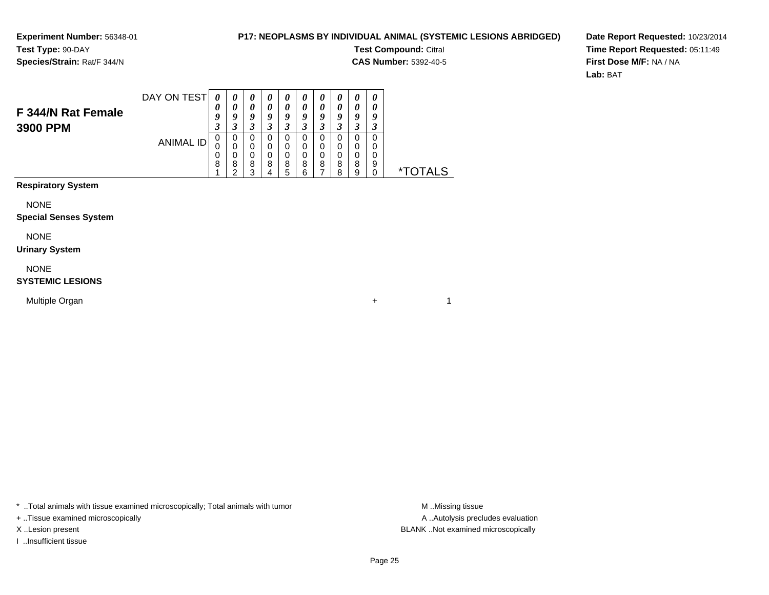### **P17: NEOPLASMS BY INDIVIDUAL ANIMAL (SYSTEMIC LESIONS ABRIDGED)**

**Test Compound:** Citral

**CAS Number:** 5392-40-5

 $+$  1

**Date Report Requested:** 10/23/2014**Time Report Requested:** 05:11:49**First Dose M/F:** NA / NA**Lab:** BAT

| F 344/N Rat Female<br>3900 PPM | DAY ON TEST | $\theta$<br>U<br>Q<br>◠<br>J | C                     | O<br>Δ           |   | U<br>Q<br>◠<br>J |        | U<br>0<br>o<br>◠<br>ັ | U | U<br>U<br>O | U<br>U<br>g<br>J |                    |
|--------------------------------|-------------|------------------------------|-----------------------|------------------|---|------------------|--------|-----------------------|---|-------------|------------------|--------------------|
|                                | ANIMAL ID   | 0<br>0<br>0<br>8             | O<br>U<br>U<br>8<br>◠ | O<br>U<br>8<br>◠ | 8 | O<br>0<br>0<br>8 | 8<br>c | 0<br>8                | 8 | 8           | 9                | $\star^-$<br>TAI S |

**Respiratory System**

NONE

#### **Special Senses System**

NONE

#### **Urinary System**

NONE

#### **SYSTEMIC LESIONS**

Multiple Organn  $+$ 

\* ..Total animals with tissue examined microscopically; Total animals with tumor **M** ...Missing tissue M ...Missing tissue

+ ..Tissue examined microscopically

I ..Insufficient tissue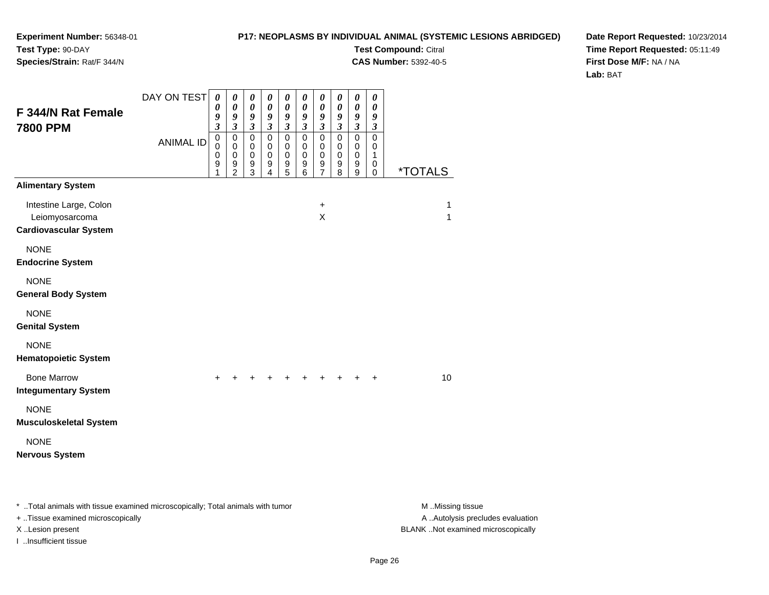### **P17: NEOPLASMS BY INDIVIDUAL ANIMAL (SYSTEMIC LESIONS ABRIDGED)**

**Test Compound:** Citral

**CAS Number:** 5392-40-5

**Date Report Requested:** 10/23/2014**Time Report Requested:** 05:11:49**First Dose M/F:** NA / NA**Lab:** BAT

| F 344/N Rat Female<br><b>7800 PPM</b>                                          | DAY ON TEST      | 0<br>$\boldsymbol{\theta}$<br>9<br>$\boldsymbol{\beta}$  | $\boldsymbol{\theta}$<br>$\boldsymbol{\theta}$<br>9<br>$\mathfrak{z}$ | 0<br>$\pmb{\theta}$<br>9<br>$\boldsymbol{\beta}$                            | 0<br>$\boldsymbol{\theta}$<br>9<br>$\boldsymbol{\beta}$ | 0<br>$\boldsymbol{\theta}$<br>9<br>$\boldsymbol{\beta}$      | $\boldsymbol{\theta}$<br>$\pmb{\theta}$<br>9<br>$\mathfrak{z}$       | 0<br>$\boldsymbol{\theta}$<br>9<br>$\boldsymbol{\beta}$ | 0<br>$\boldsymbol{\theta}$<br>9<br>$\boldsymbol{\beta}$ | $\boldsymbol{\theta}$<br>$\boldsymbol{\theta}$<br>$\boldsymbol{9}$<br>$\boldsymbol{\beta}$ | $\boldsymbol{\theta}$<br>$\boldsymbol{\theta}$<br>9<br>$\boldsymbol{\beta}$ |                       |
|--------------------------------------------------------------------------------|------------------|----------------------------------------------------------|-----------------------------------------------------------------------|-----------------------------------------------------------------------------|---------------------------------------------------------|--------------------------------------------------------------|----------------------------------------------------------------------|---------------------------------------------------------|---------------------------------------------------------|--------------------------------------------------------------------------------------------|-----------------------------------------------------------------------------|-----------------------|
|                                                                                | <b>ANIMAL ID</b> | $\mathsf 0$<br>0<br>$\mathbf 0$<br>$\boldsymbol{9}$<br>1 | $\mathbf 0$<br>$\pmb{0}$<br>$\mathbf 0$<br>9<br>2                     | $\mathbf 0$<br>$\mathbf 0$<br>$\,0\,$<br>$\boldsymbol{9}$<br>$\overline{3}$ | $\mathsf 0$<br>$\mathbf 0$<br>$\mathbf 0$<br>9<br>4     | $\mathbf 0$<br>$\pmb{0}$<br>$\,0\,$<br>$\boldsymbol{9}$<br>5 | $\pmb{0}$<br>$\mathbf 0$<br>$\mathbf 0$<br>$\boldsymbol{9}$<br>$\,6$ | $\mathbf 0$<br>$\mathbf 0$<br>$\pmb{0}$<br>9<br>7       | 0<br>$\mathbf 0$<br>$\,0\,$<br>9<br>8                   | $\mathsf 0$<br>$\mathbf 0$<br>$\mathbf 0$<br>$\boldsymbol{9}$<br>$\boldsymbol{9}$          | $\pmb{0}$<br>$\pmb{0}$<br>1<br>0<br>$\mathbf 0$                             | <i><b>*TOTALS</b></i> |
| <b>Alimentary System</b>                                                       |                  |                                                          |                                                                       |                                                                             |                                                         |                                                              |                                                                      |                                                         |                                                         |                                                                                            |                                                                             |                       |
| Intestine Large, Colon<br>Leiomyosarcoma<br><b>Cardiovascular System</b>       |                  |                                                          |                                                                       |                                                                             |                                                         |                                                              |                                                                      | $\ddot{}$<br>X                                          |                                                         |                                                                                            |                                                                             | 1<br>$\mathbf{1}$     |
| <b>NONE</b><br><b>Endocrine System</b>                                         |                  |                                                          |                                                                       |                                                                             |                                                         |                                                              |                                                                      |                                                         |                                                         |                                                                                            |                                                                             |                       |
| <b>NONE</b><br><b>General Body System</b>                                      |                  |                                                          |                                                                       |                                                                             |                                                         |                                                              |                                                                      |                                                         |                                                         |                                                                                            |                                                                             |                       |
| <b>NONE</b><br><b>Genital System</b>                                           |                  |                                                          |                                                                       |                                                                             |                                                         |                                                              |                                                                      |                                                         |                                                         |                                                                                            |                                                                             |                       |
| <b>NONE</b><br><b>Hematopoietic System</b>                                     |                  |                                                          |                                                                       |                                                                             |                                                         |                                                              |                                                                      |                                                         |                                                         |                                                                                            |                                                                             |                       |
| <b>Bone Marrow</b><br><b>Integumentary System</b>                              |                  | ÷                                                        |                                                                       |                                                                             |                                                         |                                                              |                                                                      |                                                         |                                                         |                                                                                            | $\ddot{}$                                                                   | 10                    |
| <b>NONE</b><br><b>Musculoskeletal System</b>                                   |                  |                                                          |                                                                       |                                                                             |                                                         |                                                              |                                                                      |                                                         |                                                         |                                                                                            |                                                                             |                       |
| <b>NONE</b><br><b>Nervous System</b>                                           |                  |                                                          |                                                                       |                                                                             |                                                         |                                                              |                                                                      |                                                         |                                                         |                                                                                            |                                                                             |                       |
| * Total animals with tissue examined microscopically; Total animals with tumor |                  |                                                          |                                                                       |                                                                             |                                                         |                                                              |                                                                      |                                                         |                                                         |                                                                                            |                                                                             | M Missing tissue      |

+ ..Tissue examined microscopically

I ..Insufficient tissue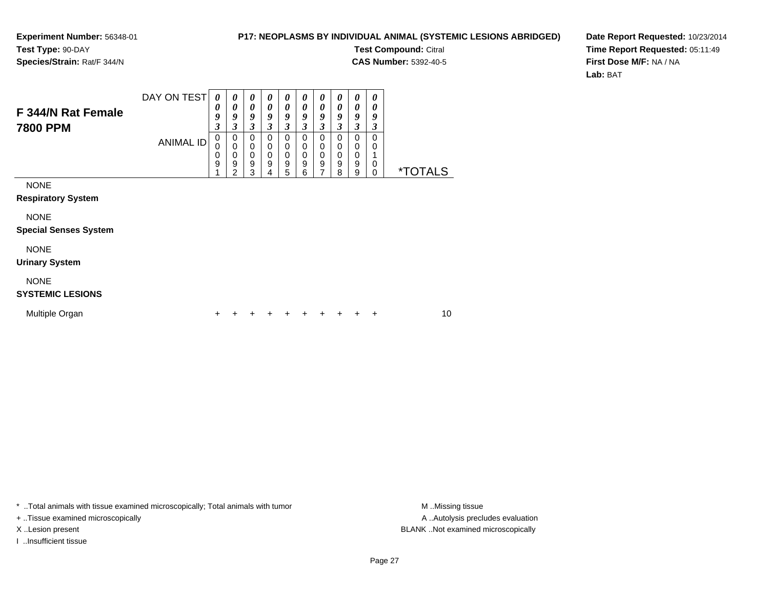### **P17: NEOPLASMS BY INDIVIDUAL ANIMAL (SYSTEMIC LESIONS ABRIDGED)**

**Test Compound:** Citral

 $\overline{\phantom{0}}$ 

**CAS Number:** 5392-40-5

**Date Report Requested:** 10/23/2014**Time Report Requested:** 05:11:49**First Dose M/F:** NA / NA**Lab:** BAT

| F 344/N Rat Female<br>7800 PPM              | DAY ON TEST<br><b>ANIMAL ID</b> | 0<br>0<br>9<br>3<br>0<br>0<br>0 | $\boldsymbol{\theta}$<br>0<br>9<br>3<br>0<br>0<br>$\mathbf 0$ | $\boldsymbol{\theta}$<br>$\boldsymbol{\theta}$<br>9<br>3<br>0<br>0<br>$\mathbf 0$ | $\boldsymbol{\theta}$<br>$\boldsymbol{\theta}$<br>9<br>3<br>0<br>0<br>$\mathbf 0$ | 0<br>0<br>9<br>3<br>0<br>0<br>0 | 0<br>0<br>9<br>3<br>0<br>0<br>0 | 0<br>0<br>9<br>3<br>0<br>0<br>0 | 0<br>0<br>9<br>3<br>0<br>0<br>0 | 0<br>0<br>9<br>3<br>0<br>0<br>0 | 0<br>0<br>9<br>3<br>0<br>0 |                       |    |  |
|---------------------------------------------|---------------------------------|---------------------------------|---------------------------------------------------------------|-----------------------------------------------------------------------------------|-----------------------------------------------------------------------------------|---------------------------------|---------------------------------|---------------------------------|---------------------------------|---------------------------------|----------------------------|-----------------------|----|--|
|                                             |                                 | 9                               | 9<br>2                                                        | 9<br>3                                                                            | $\boldsymbol{9}$<br>4                                                             | 9<br>5                          | 9<br>6                          | 9<br>7                          | 9<br>8                          | 9<br>9                          | 0<br>0                     | <i><b>*TOTALS</b></i> |    |  |
| <b>NONE</b><br><b>Respiratory System</b>    |                                 |                                 |                                                               |                                                                                   |                                                                                   |                                 |                                 |                                 |                                 |                                 |                            |                       |    |  |
| <b>NONE</b><br><b>Special Senses System</b> |                                 |                                 |                                                               |                                                                                   |                                                                                   |                                 |                                 |                                 |                                 |                                 |                            |                       |    |  |
| <b>NONE</b><br><b>Urinary System</b>        |                                 |                                 |                                                               |                                                                                   |                                                                                   |                                 |                                 |                                 |                                 |                                 |                            |                       |    |  |
| <b>NONE</b><br><b>SYSTEMIC LESIONS</b>      |                                 |                                 |                                                               |                                                                                   |                                                                                   |                                 |                                 |                                 |                                 |                                 |                            |                       |    |  |
| Multiple Organ                              |                                 | ٠                               |                                                               |                                                                                   |                                                                                   |                                 | +                               | ٠                               |                                 | ٠                               | +                          |                       | 10 |  |
|                                             |                                 |                                 |                                                               |                                                                                   |                                                                                   |                                 |                                 |                                 |                                 |                                 |                            |                       |    |  |

 $\top$ ┱

\* ..Total animals with tissue examined microscopically; Total animals with tumor **M** . Missing tissue M ..Missing tissue

+ ..Tissue examined microscopically

I ..Insufficient tissue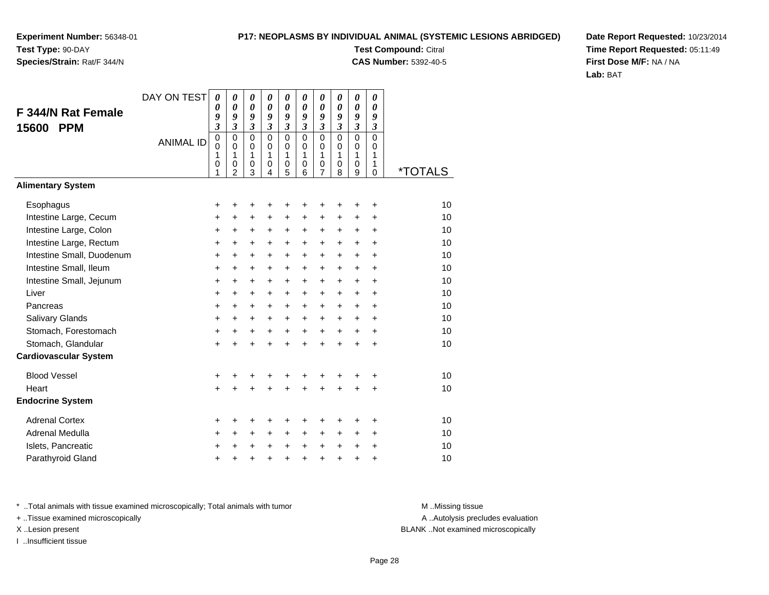## **Species/Strain:** Rat/F 344/N

### **P17: NEOPLASMS BY INDIVIDUAL ANIMAL (SYSTEMIC LESIONS ABRIDGED)**

**Test Compound:** Citral **CAS Number:** 5392-40-5

**Date Report Requested:** 10/23/2014**Time Report Requested:** 05:11:49**First Dose M/F:** NA / NA**Lab:** BAT

| F 344/N Rat Female<br><b>PPM</b><br>15600 | DAY ON TEST      | $\boldsymbol{\theta}$<br>0<br>9<br>$\boldsymbol{\mathfrak{z}}$ | 0<br>$\boldsymbol{\theta}$<br>9<br>$\mathfrak{z}$                | 0<br>$\boldsymbol{\theta}$<br>9<br>$\mathfrak{z}$              | 0<br>0<br>9<br>$\boldsymbol{\mathfrak{z}}$ | 0<br>0<br>9<br>$\boldsymbol{\mathfrak{z}}$ | 0<br>0<br>9<br>$\mathfrak{z}$          | $\boldsymbol{\theta}$<br>0<br>9<br>$\overline{\mathbf{3}}$ | 0<br>$\boldsymbol{\theta}$<br>9<br>$\overline{\mathbf{3}}$ | 0<br>0<br>9<br>$\mathfrak{z}$                       | 0<br>$\boldsymbol{\theta}$<br>9<br>$\boldsymbol{\beta}$ |                       |
|-------------------------------------------|------------------|----------------------------------------------------------------|------------------------------------------------------------------|----------------------------------------------------------------|--------------------------------------------|--------------------------------------------|----------------------------------------|------------------------------------------------------------|------------------------------------------------------------|-----------------------------------------------------|---------------------------------------------------------|-----------------------|
|                                           | <b>ANIMAL ID</b> | $\mathbf 0$<br>$\mathbf 0$<br>1<br>$\mathbf 0$<br>1            | $\mathbf 0$<br>$\mathbf 0$<br>1<br>$\mathbf 0$<br>$\overline{2}$ | $\mathbf 0$<br>$\mathbf 0$<br>$\mathbf{1}$<br>$\mathbf 0$<br>3 | $\mathbf 0$<br>$\Omega$<br>1<br>0<br>4     | $\mathbf 0$<br>$\mathbf 0$<br>1<br>0<br>5  | $\mathbf 0$<br>$\Omega$<br>1<br>0<br>6 | $\overline{0}$<br>$\mathbf 0$<br>1<br>0<br>7               | $\overline{0}$<br>$\Omega$<br>1<br>0<br>8                  | $\overline{0}$<br>$\Omega$<br>1<br>$\mathbf 0$<br>9 | $\mathbf 0$<br>$\Omega$<br>1<br>1<br>0                  | <i><b>*TOTALS</b></i> |
| <b>Alimentary System</b>                  |                  |                                                                |                                                                  |                                                                |                                            |                                            |                                        |                                                            |                                                            |                                                     |                                                         |                       |
| Esophagus                                 |                  | +                                                              | ٠                                                                | +                                                              | +                                          | +                                          | +                                      | +                                                          | +                                                          | +                                                   | +                                                       | 10                    |
| Intestine Large, Cecum                    |                  | $\ddot{}$                                                      | $\ddot{}$                                                        | $\ddot{}$                                                      | $\ddot{}$                                  | +                                          | $\ddot{}$                              | $\ddot{}$                                                  | +                                                          | $\ddot{}$                                           | +                                                       | 10                    |
| Intestine Large, Colon                    |                  | $\ddot{}$                                                      | $\ddot{}$                                                        | +                                                              | +                                          | $\ddot{}$                                  | $\ddot{}$                              | +                                                          | +                                                          | +                                                   | $\ddot{}$                                               | 10                    |
| Intestine Large, Rectum                   |                  | +                                                              | $\ddot{}$                                                        | +                                                              | $\ddot{}$                                  | +                                          | +                                      | +                                                          | +                                                          | +                                                   | +                                                       | 10                    |
| Intestine Small, Duodenum                 |                  | $\ddot{}$                                                      | $\ddot{}$                                                        | $\ddot{}$                                                      | $\ddot{}$                                  | $\ddot{}$                                  | $\ddot{}$                              | $\ddot{}$                                                  | $\ddot{}$                                                  | $\ddot{}$                                           | $\ddot{}$                                               | 10                    |
| Intestine Small, Ileum                    |                  | +                                                              | $\ddot{}$                                                        | +                                                              | +                                          | +                                          | +                                      | +                                                          | +                                                          | $\ddot{}$                                           | +                                                       | 10                    |
| Intestine Small, Jejunum                  |                  | $\ddot{}$                                                      | $\ddot{}$                                                        | $\ddot{}$                                                      | $\ddot{}$                                  | $\ddot{}$                                  | $\ddot{}$                              | $\ddot{}$                                                  | $\ddot{}$                                                  | $\ddot{}$                                           | $\ddot{}$                                               | 10                    |
| Liver                                     |                  | $\ddot{}$                                                      | $\ddot{}$                                                        | $\ddot{}$                                                      | $\ddot{}$                                  | +                                          | $\ddot{}$                              | $\ddot{}$                                                  | +                                                          | $\ddot{}$                                           | $\ddot{}$                                               | 10                    |
| Pancreas                                  |                  | $\ddot{}$                                                      | $+$                                                              | $\ddot{}$                                                      | $\ddot{}$                                  | $\ddot{}$                                  | $\ddot{}$                              | $\ddot{}$                                                  | $\ddot{}$                                                  | $+$                                                 | $\ddot{}$                                               | 10                    |
| Salivary Glands                           |                  | +                                                              | +                                                                | +                                                              | +                                          | $\ddot{}$                                  | $\ddot{}$                              | $\ddot{}$                                                  | $\ddot{}$                                                  | $\pm$                                               | $\ddot{}$                                               | 10                    |
| Stomach, Forestomach                      |                  | $\ddot{}$                                                      | $\ddot{}$                                                        | $\ddot{}$                                                      | $\ddot{}$                                  | $\ddot{}$                                  | $\ddot{}$                              | $\ddot{}$                                                  | $\ddot{}$                                                  | $\ddot{}$                                           | $\ddot{}$                                               | 10                    |
| Stomach, Glandular                        |                  | $\ddot{}$                                                      | $\ddot{}$                                                        | $\ddot{}$                                                      | $\ddot{}$                                  | $\ddot{}$                                  | ÷                                      | $\ddot{}$                                                  | ÷                                                          | $\ddot{}$                                           | $\div$                                                  | 10                    |
| <b>Cardiovascular System</b>              |                  |                                                                |                                                                  |                                                                |                                            |                                            |                                        |                                                            |                                                            |                                                     |                                                         |                       |
| <b>Blood Vessel</b>                       |                  | +                                                              |                                                                  | +                                                              | +                                          | +                                          | +                                      | +                                                          |                                                            | +                                                   | +                                                       | 10                    |
| Heart                                     |                  | $\ddot{}$                                                      |                                                                  | $\ddot{}$                                                      | $\ddot{}$                                  | $\ddot{}$                                  | $\ddot{}$                              | $\ddot{}$                                                  | $\ddot{}$                                                  | +                                                   | +                                                       | 10                    |
| <b>Endocrine System</b>                   |                  |                                                                |                                                                  |                                                                |                                            |                                            |                                        |                                                            |                                                            |                                                     |                                                         |                       |
| <b>Adrenal Cortex</b>                     |                  | +                                                              |                                                                  | +                                                              | ٠                                          | ٠                                          | ٠                                      | ٠                                                          | +                                                          | +                                                   | ٠                                                       | 10                    |
| Adrenal Medulla                           |                  | +                                                              | $\ddot{}$                                                        | $\ddot{}$                                                      | $\ddot{}$                                  | $\ddot{}$                                  | $\ddot{}$                              | +                                                          | $\ddot{}$                                                  | +                                                   | $\ddot{}$                                               | 10                    |
| Islets, Pancreatic                        |                  | +                                                              |                                                                  | +                                                              | +                                          | +                                          | $\ddot{}$                              | $\ddot{}$                                                  | $\pm$                                                      | +                                                   | +                                                       | 10                    |
| Parathyroid Gland                         |                  | $\ddot{}$                                                      |                                                                  | +                                                              | $\ddot{}$                                  | $\ddot{}$                                  | $\ddot{}$                              | $\ddot{}$                                                  | $\ddot{}$                                                  | $\ddot{}$                                           | +                                                       | 10                    |

\* ..Total animals with tissue examined microscopically; Total animals with tumor **M** . Missing tissue M ..Missing tissue

+ ..Tissue examined microscopically

I ..Insufficient tissue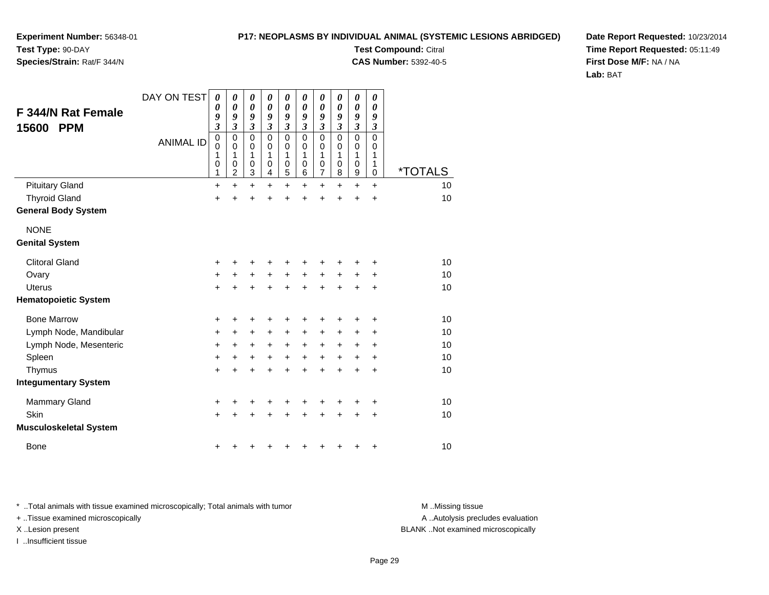**Experiment Number:** 56348-01**Test Type:** 90-DAY

## **Species/Strain:** Rat/F 344/N

**Test Compound:** Citral **CAS Number:** 5392-40-5

**Date Report Requested:** 10/23/2014**Time Report Requested:** 05:11:49**First Dose M/F:** NA / NA**Lab:** BAT

| <b>F 344/N Rat Female</b><br>15600<br><b>PPM</b> | DAY ON TEST<br><b>ANIMAL ID</b> | $\boldsymbol{\theta}$<br>$\boldsymbol{\theta}$<br>9<br>$\overline{\mathbf{3}}$<br>$\mathbf 0$<br>$\mathbf 0$<br>1<br>0<br>1 | 0<br>$\boldsymbol{\theta}$<br>9<br>$\mathfrak{z}$<br>$\mathbf 0$<br>0<br>1<br>$\mathbf 0$<br>$\overline{c}$ | 0<br>$\boldsymbol{\theta}$<br>9<br>$\mathfrak{z}$<br>$\pmb{0}$<br>0<br>1<br>$\mathbf 0$<br>$\overline{3}$ | 0<br>0<br>9<br>$\mathfrak{z}$<br>0<br>$\Omega$<br>1<br>$\mathbf 0$<br>4 | 0<br>0<br>9<br>$\boldsymbol{\beta}$<br>$\mathbf 0$<br>0<br>1<br>$\mathbf 0$<br>5 | 0<br>0<br>9<br>3<br>$\mathbf 0$<br>$\Omega$<br>1<br>$\mathbf 0$<br>6 | 0<br>$\boldsymbol{\theta}$<br>9<br>3<br>$\mathbf 0$<br>0<br>1<br>$\pmb{0}$<br>$\overline{7}$ | 0<br>0<br>9<br>3<br>0<br>0<br>1<br>$\mathbf 0$<br>8 | 0<br>0<br>9<br>$\boldsymbol{\mathfrak{z}}$<br>$\mathbf 0$<br>$\mathbf 0$<br>1<br>0<br>9 | 0<br>0<br>9<br>$\boldsymbol{\beta}$<br>$\mathbf 0$<br>0<br>1<br>1<br>0 | <i><b>*TOTALS</b></i> |
|--------------------------------------------------|---------------------------------|-----------------------------------------------------------------------------------------------------------------------------|-------------------------------------------------------------------------------------------------------------|-----------------------------------------------------------------------------------------------------------|-------------------------------------------------------------------------|----------------------------------------------------------------------------------|----------------------------------------------------------------------|----------------------------------------------------------------------------------------------|-----------------------------------------------------|-----------------------------------------------------------------------------------------|------------------------------------------------------------------------|-----------------------|
| <b>Pituitary Gland</b>                           |                                 | $\ddot{}$                                                                                                                   | $\ddot{}$                                                                                                   | $+$                                                                                                       | $\ddot{}$                                                               | $\ddot{}$                                                                        | $\ddot{}$                                                            | $\ddot{}$                                                                                    | $\ddot{}$                                           | $\ddot{}$                                                                               | $+$                                                                    | 10                    |
| <b>Thyroid Gland</b>                             |                                 | $\ddot{}$                                                                                                                   |                                                                                                             | $\ddot{}$                                                                                                 | $\ddot{}$                                                               | $\ddot{}$                                                                        | $\ddot{}$                                                            | $\ddot{}$                                                                                    | $\ddot{}$                                           | $\ddot{}$                                                                               | $\ddot{}$                                                              | 10                    |
| <b>General Body System</b>                       |                                 |                                                                                                                             |                                                                                                             |                                                                                                           |                                                                         |                                                                                  |                                                                      |                                                                                              |                                                     |                                                                                         |                                                                        |                       |
| <b>NONE</b><br><b>Genital System</b>             |                                 |                                                                                                                             |                                                                                                             |                                                                                                           |                                                                         |                                                                                  |                                                                      |                                                                                              |                                                     |                                                                                         |                                                                        |                       |
| <b>Clitoral Gland</b>                            |                                 | +                                                                                                                           | +                                                                                                           | +                                                                                                         | +                                                                       | +                                                                                | +                                                                    | +                                                                                            | +                                                   |                                                                                         | +                                                                      | 10                    |
| Ovary                                            |                                 | +                                                                                                                           | +                                                                                                           | $\ddot{}$                                                                                                 | $\ddot{}$                                                               | $\ddot{}$                                                                        | $\ddot{}$                                                            | $\ddot{}$                                                                                    | $\ddot{}$                                           | $\ddot{}$                                                                               | $\ddot{}$                                                              | 10                    |
| <b>Uterus</b>                                    |                                 | $+$                                                                                                                         | $\ddot{}$                                                                                                   | $\ddot{}$                                                                                                 | $\ddot{}$                                                               | $\ddot{}$                                                                        | $\ddot{}$                                                            | $+$                                                                                          | $\ddot{}$                                           | $\ddot{}$                                                                               | $\ddot{}$                                                              | 10                    |
| <b>Hematopoietic System</b>                      |                                 |                                                                                                                             |                                                                                                             |                                                                                                           |                                                                         |                                                                                  |                                                                      |                                                                                              |                                                     |                                                                                         |                                                                        |                       |
| <b>Bone Marrow</b>                               |                                 | +                                                                                                                           |                                                                                                             | +                                                                                                         | +                                                                       | +                                                                                | +                                                                    | +                                                                                            | +                                                   | +                                                                                       | +                                                                      | 10                    |
| Lymph Node, Mandibular                           |                                 | +                                                                                                                           | +                                                                                                           | +                                                                                                         | +                                                                       | +                                                                                | +                                                                    | $\pm$                                                                                        | +                                                   | +                                                                                       | +                                                                      | 10                    |
| Lymph Node, Mesenteric                           |                                 | +                                                                                                                           | $\ddot{}$                                                                                                   | $\ddot{}$                                                                                                 | +                                                                       | +                                                                                | $\ddot{}$                                                            | $\ddot{}$                                                                                    | $\pm$                                               | ÷                                                                                       | ÷                                                                      | 10                    |
| Spleen                                           |                                 | $\ddot{}$                                                                                                                   | $\ddot{}$                                                                                                   | $\ddot{}$                                                                                                 | $\ddot{}$                                                               | $\ddot{}$                                                                        | $\ddot{}$                                                            | $\ddot{}$                                                                                    | +                                                   | $\ddot{}$                                                                               | +                                                                      | 10                    |
| Thymus                                           |                                 | $\ddot{}$                                                                                                                   | $\ddot{}$                                                                                                   | $\ddot{}$                                                                                                 | $\ddot{}$                                                               | $\ddot{}$                                                                        | $\ddot{}$                                                            | $\ddot{}$                                                                                    | $\ddot{}$                                           | $\ddot{}$                                                                               | $\ddot{}$                                                              | 10                    |
| <b>Integumentary System</b>                      |                                 |                                                                                                                             |                                                                                                             |                                                                                                           |                                                                         |                                                                                  |                                                                      |                                                                                              |                                                     |                                                                                         |                                                                        |                       |
| <b>Mammary Gland</b>                             |                                 | +                                                                                                                           |                                                                                                             |                                                                                                           | ٠                                                                       | +                                                                                | +                                                                    |                                                                                              |                                                     | ٠                                                                                       | +                                                                      | 10                    |
| Skin                                             |                                 | $\ddot{}$                                                                                                                   |                                                                                                             | $\ddot{}$                                                                                                 | $\ddot{}$                                                               | $\ddot{}$                                                                        | $\ddot{}$                                                            | $\ddot{}$                                                                                    | $\ddot{}$                                           | +                                                                                       | +                                                                      | 10                    |
| <b>Musculoskeletal System</b>                    |                                 |                                                                                                                             |                                                                                                             |                                                                                                           |                                                                         |                                                                                  |                                                                      |                                                                                              |                                                     |                                                                                         |                                                                        |                       |
| <b>Bone</b>                                      |                                 | +                                                                                                                           |                                                                                                             |                                                                                                           | ٠                                                                       | +                                                                                | +                                                                    | +                                                                                            | +                                                   | +                                                                                       | $\ddot{}$                                                              | 10                    |

\* ..Total animals with tissue examined microscopically; Total animals with tumor **M** . Missing tissue M ..Missing tissue

+ ..Tissue examined microscopically

I ..Insufficient tissue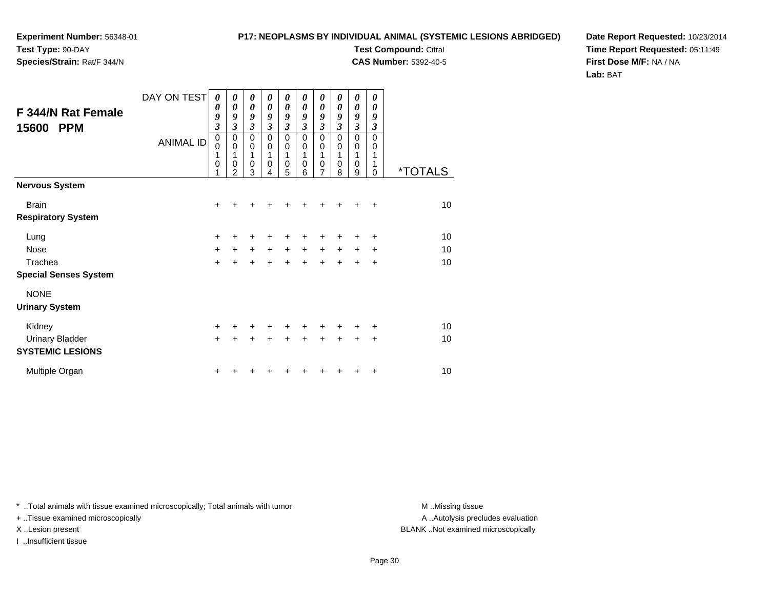## **Species/Strain:** Rat/F 344/N

### **P17: NEOPLASMS BY INDIVIDUAL ANIMAL (SYSTEMIC LESIONS ABRIDGED)**

**Test Compound:** Citral **CAS Number:** 5392-40-5

**Date Report Requested:** 10/23/2014**Time Report Requested:** 05:11:49**First Dose M/F:** NA / NA**Lab:** BAT

| F 344/N Rat Female<br>15600<br><b>PPM</b> | DAY ON TEST<br><b>ANIMAL ID</b> | 0<br>0<br>9<br>$\mathfrak{z}$<br>$\mathbf 0$<br>0<br>1<br>0<br>1 | 0<br>0<br>9<br>3<br>0<br>0<br>1<br>0<br>$\mathfrak{p}$ | 0<br>$\boldsymbol{\theta}$<br>9<br>$\mathfrak{z}$<br>0<br>$\mathbf 0$<br>1<br>$\pmb{0}$<br>3 | 0<br>$\theta$<br>9<br>$\mathfrak{z}$<br>$\Omega$<br>$\Omega$<br>1<br>0<br>4 | 0<br>0<br>9<br>$\mathfrak{z}$<br>$\mathbf 0$<br>0<br>1<br>$\pmb{0}$<br>5 | 0<br>$\theta$<br>9<br>$\mathfrak{z}$<br>$\Omega$<br>$\mathbf 0$<br>1<br>0<br>6 | 0<br>0<br>9<br>$\mathfrak{z}$<br>0<br>0<br>1<br>$\pmb{0}$<br>7 | 0<br>0<br>9<br>3<br>0<br>0<br>1<br>0<br>8 | 0<br>0<br>9<br>$\overline{\mathbf{3}}$<br>0<br>0<br>1<br>$\boldsymbol{0}$<br>9 | 0<br>0<br>9<br>$\mathfrak{z}$<br>$\mathbf 0$<br>0<br>1<br>1<br>$\Omega$ | <i><b>*TOTALS</b></i> |
|-------------------------------------------|---------------------------------|------------------------------------------------------------------|--------------------------------------------------------|----------------------------------------------------------------------------------------------|-----------------------------------------------------------------------------|--------------------------------------------------------------------------|--------------------------------------------------------------------------------|----------------------------------------------------------------|-------------------------------------------|--------------------------------------------------------------------------------|-------------------------------------------------------------------------|-----------------------|
| <b>Nervous System</b>                     |                                 |                                                                  |                                                        |                                                                                              |                                                                             |                                                                          |                                                                                |                                                                |                                           |                                                                                |                                                                         |                       |
| <b>Brain</b>                              |                                 | $\ddot{}$                                                        |                                                        |                                                                                              |                                                                             |                                                                          |                                                                                | +                                                              |                                           |                                                                                | $\div$                                                                  | 10                    |
| <b>Respiratory System</b>                 |                                 |                                                                  |                                                        |                                                                                              |                                                                             |                                                                          |                                                                                |                                                                |                                           |                                                                                |                                                                         |                       |
| Lung                                      |                                 | +                                                                |                                                        | ٠                                                                                            |                                                                             |                                                                          |                                                                                |                                                                |                                           |                                                                                | ÷                                                                       | 10                    |
| <b>Nose</b>                               |                                 | $\ddot{}$                                                        | $\ddot{}$                                              | $\ddot{}$                                                                                    | $+$                                                                         | $+$                                                                      | $\ddot{}$                                                                      | $\ddot{}$                                                      | $\ddot{}$                                 | $\ddot{}$                                                                      | $\ddot{}$                                                               | 10                    |
| Trachea                                   |                                 | $+$                                                              | $\ddot{}$                                              | $\ddot{}$                                                                                    | $\ddot{}$                                                                   | $\ddot{}$                                                                | $\ddot{}$                                                                      | $\ddot{}$                                                      | $\ddot{}$                                 | $\ddot{}$                                                                      | $\ddot{}$                                                               | 10                    |
| <b>Special Senses System</b>              |                                 |                                                                  |                                                        |                                                                                              |                                                                             |                                                                          |                                                                                |                                                                |                                           |                                                                                |                                                                         |                       |
| <b>NONE</b>                               |                                 |                                                                  |                                                        |                                                                                              |                                                                             |                                                                          |                                                                                |                                                                |                                           |                                                                                |                                                                         |                       |
| <b>Urinary System</b>                     |                                 |                                                                  |                                                        |                                                                                              |                                                                             |                                                                          |                                                                                |                                                                |                                           |                                                                                |                                                                         |                       |
| Kidney                                    |                                 | $\ddot{}$                                                        |                                                        | +                                                                                            | +                                                                           | +                                                                        | +                                                                              | +                                                              |                                           | ٠                                                                              | $\pm$                                                                   | 10                    |
| <b>Urinary Bladder</b>                    |                                 | $+$                                                              | $\ddot{}$                                              | $\ddot{}$                                                                                    | $\ddot{}$                                                                   | $+$                                                                      | $+$                                                                            | $+$                                                            | $+$                                       | $+$                                                                            | $\ddot{}$                                                               | 10                    |
| <b>SYSTEMIC LESIONS</b>                   |                                 |                                                                  |                                                        |                                                                                              |                                                                             |                                                                          |                                                                                |                                                                |                                           |                                                                                |                                                                         |                       |
| Multiple Organ                            |                                 | ٠                                                                |                                                        |                                                                                              |                                                                             |                                                                          |                                                                                |                                                                |                                           |                                                                                | ÷                                                                       | 10                    |

\* ..Total animals with tissue examined microscopically; Total animals with tumor **M** . Missing tissue M ..Missing tissue

+ ..Tissue examined microscopically

I ..Insufficient tissue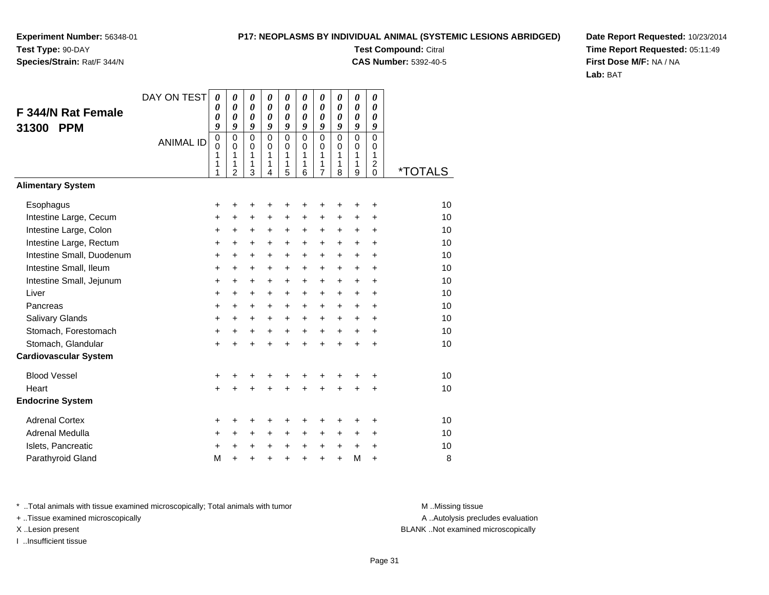## **Species/Strain:** Rat/F 344/N

### **P17: NEOPLASMS BY INDIVIDUAL ANIMAL (SYSTEMIC LESIONS ABRIDGED)**

**Test Compound:** Citral **CAS Number:** 5392-40-5

**Date Report Requested:** 10/23/2014**Time Report Requested:** 05:11:49**First Dose M/F:** NA / NA**Lab:** BAT

| F 344/N Rat Female<br><b>PPM</b><br>31300 | DAY ON TEST<br><b>ANIMAL ID</b> | 0<br>0<br>0<br>9<br>0<br>0<br>1<br>1<br>1 | 0<br>$\boldsymbol{\theta}$<br>$\boldsymbol{\theta}$<br>9<br>$\mathbf 0$<br>$\Omega$<br>1<br>1<br>$\overline{2}$ | $\boldsymbol{\theta}$<br>$\boldsymbol{\theta}$<br>$\boldsymbol{\theta}$<br>9<br>$\mathbf 0$<br>$\mathbf 0$<br>1<br>1<br>3 | 0<br>$\boldsymbol{\theta}$<br>$\boldsymbol{\theta}$<br>9<br>$\Omega$<br>$\Omega$<br>1<br>1<br>4 | $\boldsymbol{\theta}$<br>0<br>0<br>9<br>$\mathbf 0$<br>$\mathbf 0$<br>1<br>1<br>5 | 0<br>0<br>$\boldsymbol{\theta}$<br>9<br>$\Omega$<br>$\Omega$<br>1<br>1<br>6 | 0<br>0<br>0<br>9<br>$\mathbf 0$<br>$\mathbf 0$<br>1<br>1<br>$\overline{7}$ | 0<br>0<br>0<br>9<br>$\mathbf 0$<br>$\Omega$<br>$\mathbf{1}$<br>1<br>8 | 0<br>0<br>0<br>9<br>0<br>0<br>1<br>1<br>9 | 0<br>0<br>0<br>9<br>0<br>$\Omega$<br>1<br>2<br>$\Omega$ | <i><b>*TOTALS</b></i> |
|-------------------------------------------|---------------------------------|-------------------------------------------|-----------------------------------------------------------------------------------------------------------------|---------------------------------------------------------------------------------------------------------------------------|-------------------------------------------------------------------------------------------------|-----------------------------------------------------------------------------------|-----------------------------------------------------------------------------|----------------------------------------------------------------------------|-----------------------------------------------------------------------|-------------------------------------------|---------------------------------------------------------|-----------------------|
| <b>Alimentary System</b>                  |                                 |                                           |                                                                                                                 |                                                                                                                           |                                                                                                 |                                                                                   |                                                                             |                                                                            |                                                                       |                                           |                                                         |                       |
| Esophagus                                 |                                 | +                                         | +                                                                                                               | +                                                                                                                         | +                                                                                               | +                                                                                 | +                                                                           | +                                                                          |                                                                       | +                                         | +                                                       | 10                    |
| Intestine Large, Cecum                    |                                 | +                                         | +                                                                                                               | +                                                                                                                         | +                                                                                               | $\ddot{}$                                                                         | +                                                                           | +                                                                          | +                                                                     | +                                         | +                                                       | 10                    |
| Intestine Large, Colon                    |                                 | $\ddot{}$                                 | $\ddot{}$                                                                                                       | $\ddot{}$                                                                                                                 | $\ddot{}$                                                                                       | $\ddot{}$                                                                         | $\ddot{}$                                                                   | $\ddot{}$                                                                  | $\ddot{}$                                                             | $\ddot{}$                                 | $\ddot{}$                                               | 10                    |
| Intestine Large, Rectum                   |                                 | +                                         | $\ddot{}$                                                                                                       | $\ddot{}$                                                                                                                 | $\ddot{}$                                                                                       | $\ddot{}$                                                                         | $\ddot{}$                                                                   | $\ddot{}$                                                                  | $\ddot{}$                                                             | $\ddot{}$                                 | $\ddot{}$                                               | 10                    |
| Intestine Small, Duodenum                 |                                 | +                                         | +                                                                                                               | $\ddot{}$                                                                                                                 | +                                                                                               | $\ddot{}$                                                                         | $\ddot{}$                                                                   | $\ddot{}$                                                                  | $\ddot{}$                                                             | $+$                                       | $\ddot{}$                                               | 10                    |
| Intestine Small, Ileum                    |                                 | +                                         | +                                                                                                               | $\ddot{}$                                                                                                                 | $\ddot{}$                                                                                       | $\pm$                                                                             | +                                                                           | $\ddot{}$                                                                  | $\pm$                                                                 | $\pm$                                     | +                                                       | 10                    |
| Intestine Small, Jejunum                  |                                 | $\ddot{}$                                 | $\ddot{}$                                                                                                       | $\ddot{}$                                                                                                                 | $\ddot{}$                                                                                       | $\ddot{}$                                                                         | $\ddot{}$                                                                   | $\ddot{}$                                                                  | $\ddot{}$                                                             | $\ddot{}$                                 | $\ddot{}$                                               | 10                    |
| Liver                                     |                                 | +                                         | $\ddot{}$                                                                                                       | $\ddot{}$                                                                                                                 | $\ddot{}$                                                                                       | $\ddot{}$                                                                         | $\ddot{}$                                                                   | $\ddot{}$                                                                  | $\ddot{}$                                                             | $\ddot{}$                                 | $\ddot{}$                                               | 10                    |
| Pancreas                                  |                                 | +                                         | +                                                                                                               | +                                                                                                                         | +                                                                                               | +                                                                                 | +                                                                           | +                                                                          | $\ddot{}$                                                             | +                                         | +                                                       | 10                    |
| Salivary Glands                           |                                 | +                                         | $\ddot{}$                                                                                                       | $\ddot{}$                                                                                                                 | $\ddot{}$                                                                                       | $\ddot{}$                                                                         | $\ddot{}$                                                                   | $\ddot{}$                                                                  | $\ddot{}$                                                             | $\ddot{}$                                 | $\ddot{}$                                               | 10                    |
| Stomach, Forestomach                      |                                 | $\ddot{}$                                 | $\ddot{}$                                                                                                       | $\ddot{}$                                                                                                                 | $\ddot{}$                                                                                       | $\ddot{}$                                                                         | $\ddot{}$                                                                   | $\ddot{}$                                                                  | $+$                                                                   | $\ddot{}$                                 | $\ddot{}$                                               | 10                    |
| Stomach, Glandular                        |                                 | $\ddot{}$                                 | $\ddot{}$                                                                                                       | $\ddot{}$                                                                                                                 |                                                                                                 | $\ddot{}$                                                                         | $\ddot{}$                                                                   | $\ddot{}$                                                                  | $\ddot{}$                                                             | $\ddot{}$                                 | $\ddot{}$                                               | 10                    |
| <b>Cardiovascular System</b>              |                                 |                                           |                                                                                                                 |                                                                                                                           |                                                                                                 |                                                                                   |                                                                             |                                                                            |                                                                       |                                           |                                                         |                       |
| <b>Blood Vessel</b>                       |                                 | +                                         | +                                                                                                               | +                                                                                                                         | +                                                                                               | +                                                                                 | +                                                                           | +                                                                          | +                                                                     | ٠                                         | +                                                       | 10                    |
| Heart                                     |                                 | $\ddot{}$                                 |                                                                                                                 | $\ddot{}$                                                                                                                 |                                                                                                 | $\ddot{}$                                                                         | ÷                                                                           | $\ddot{}$                                                                  | $\ddot{}$                                                             | $\ddot{}$                                 | $\ddot{}$                                               | 10                    |
| <b>Endocrine System</b>                   |                                 |                                           |                                                                                                                 |                                                                                                                           |                                                                                                 |                                                                                   |                                                                             |                                                                            |                                                                       |                                           |                                                         |                       |
| <b>Adrenal Cortex</b>                     |                                 | +                                         | +                                                                                                               | +                                                                                                                         | +                                                                                               | +                                                                                 | +                                                                           | +                                                                          | +                                                                     | ٠                                         | +                                                       | 10                    |
| Adrenal Medulla                           |                                 | $\ddot{}$                                 | +                                                                                                               | $\ddot{}$                                                                                                                 | $\ddot{}$                                                                                       | +                                                                                 | $\ddot{}$                                                                   | +                                                                          | $\ddot{}$                                                             | $\pm$                                     | $\ddot{}$                                               | 10                    |
| Islets, Pancreatic                        |                                 | +                                         | $\ddot{}$                                                                                                       | +                                                                                                                         | $\ddot{}$                                                                                       | +                                                                                 | +                                                                           | +                                                                          | +                                                                     | $\ddot{}$                                 | +                                                       | 10                    |
| Parathyroid Gland                         |                                 | M                                         | $\ddot{}$                                                                                                       | +                                                                                                                         | $\ddot{}$                                                                                       | $\ddot{}$                                                                         | $\ddot{}$                                                                   | $\ddot{}$                                                                  | $\ddot{}$                                                             | M                                         | $\ddot{}$                                               | 8                     |

\* ..Total animals with tissue examined microscopically; Total animals with tumor **M** . Missing tissue M ..Missing tissue

+ ..Tissue examined microscopically

I ..Insufficient tissue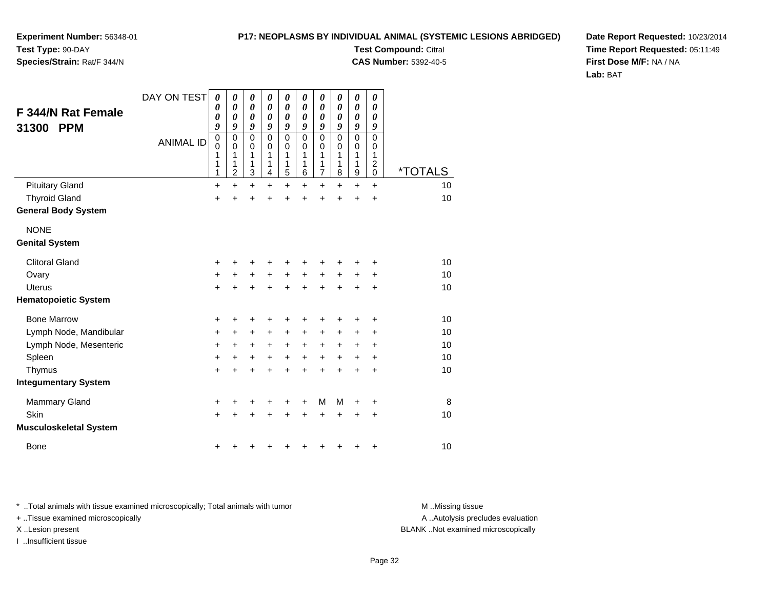**Experiment Number:** 56348-01**Test Type:** 90-DAY

# **Species/Strain:** Rat/F 344/N

**Test Compound:** Citral **CAS Number:** 5392-40-5

**Date Report Requested:** 10/23/2014**Time Report Requested:** 05:11:49**First Dose M/F:** NA / NA**Lab:** BAT

| F 344/N Rat Female<br><b>PPM</b><br>31300 | DAY ON TEST<br><b>ANIMAL ID</b> | $\boldsymbol{\theta}$<br>0<br>0<br>9<br>$\mathbf 0$<br>$\mathbf 0$<br>1<br>1<br>1 | 0<br>$\boldsymbol{\theta}$<br>$\boldsymbol{\theta}$<br>9<br>$\mathbf 0$<br>0<br>1<br>1<br>2 | $\boldsymbol{\theta}$<br>$\pmb{\theta}$<br>$\boldsymbol{\theta}$<br>9<br>$\mathbf 0$<br>0<br>1<br>1<br>$\mathbf{3}$ | 0<br>0<br>0<br>9<br>$\mathbf 0$<br>0<br>1<br>1<br>4 | 0<br>0<br>0<br>9<br>$\mathbf 0$<br>0<br>1<br>1<br>$\overline{5}$ | 0<br>0<br>0<br>9<br>$\mathbf 0$<br>$\Omega$<br>1<br>1<br>6 | 0<br>0<br>0<br>9<br>$\mathbf 0$<br>0<br>1<br>1<br>$\overline{7}$ | 0<br>0<br>0<br>9<br>$\mathbf 0$<br>0<br>1<br>1<br>8 | $\pmb{\theta}$<br>$\boldsymbol{\theta}$<br>0<br>9<br>0<br>0<br>1<br>1<br>9 | 0<br>0<br>0<br>9<br>0<br>0<br>1<br>2<br>0 | <i><b>*TOTALS</b></i> |
|-------------------------------------------|---------------------------------|-----------------------------------------------------------------------------------|---------------------------------------------------------------------------------------------|---------------------------------------------------------------------------------------------------------------------|-----------------------------------------------------|------------------------------------------------------------------|------------------------------------------------------------|------------------------------------------------------------------|-----------------------------------------------------|----------------------------------------------------------------------------|-------------------------------------------|-----------------------|
| <b>Pituitary Gland</b>                    |                                 | $\ddot{}$                                                                         | $\ddot{}$                                                                                   | $+$                                                                                                                 | $+$                                                 | $\ddot{}$                                                        | $\ddot{}$                                                  | $\ddot{}$                                                        | $\ddot{}$                                           | $\ddot{}$                                                                  | $\ddot{}$                                 | 10                    |
| <b>Thyroid Gland</b>                      |                                 | $\ddot{}$                                                                         | +                                                                                           | $\ddot{}$                                                                                                           |                                                     | $\ddot{}$                                                        | $\ddot{}$                                                  | $\ddot{}$                                                        | $\ddot{}$                                           | $\ddot{}$                                                                  | $\ddot{}$                                 | 10                    |
| <b>General Body System</b>                |                                 |                                                                                   |                                                                                             |                                                                                                                     |                                                     |                                                                  |                                                            |                                                                  |                                                     |                                                                            |                                           |                       |
| <b>NONE</b><br><b>Genital System</b>      |                                 |                                                                                   |                                                                                             |                                                                                                                     |                                                     |                                                                  |                                                            |                                                                  |                                                     |                                                                            |                                           |                       |
|                                           |                                 |                                                                                   |                                                                                             |                                                                                                                     |                                                     |                                                                  |                                                            |                                                                  |                                                     |                                                                            |                                           |                       |
| <b>Clitoral Gland</b>                     |                                 | +                                                                                 | +                                                                                           | +                                                                                                                   | +                                                   | +                                                                | +                                                          | +                                                                |                                                     | +                                                                          | +                                         | 10                    |
| Ovary                                     |                                 | +                                                                                 | $\ddot{}$                                                                                   | $\ddot{}$                                                                                                           | $\ddot{}$                                           | $+$                                                              | $+$                                                        | $\ddot{}$                                                        | $\ddot{}$                                           | $\ddot{}$                                                                  | +                                         | 10                    |
| <b>Uterus</b>                             |                                 | $\ddot{}$                                                                         | $\ddot{}$                                                                                   | $+$                                                                                                                 | $+$                                                 | $+$                                                              | $\ddot{}$                                                  | $\ddot{}$                                                        | $+$                                                 | $\ddot{}$                                                                  | $\ddot{}$                                 | 10                    |
| <b>Hematopoietic System</b>               |                                 |                                                                                   |                                                                                             |                                                                                                                     |                                                     |                                                                  |                                                            |                                                                  |                                                     |                                                                            |                                           |                       |
| <b>Bone Marrow</b>                        |                                 | +                                                                                 | +                                                                                           | +                                                                                                                   |                                                     | +                                                                | +                                                          | +                                                                |                                                     | +                                                                          | +                                         | 10                    |
| Lymph Node, Mandibular                    |                                 | +                                                                                 | +                                                                                           | +                                                                                                                   | +                                                   | +                                                                | +                                                          | +                                                                | +                                                   | ٠                                                                          | +                                         | 10                    |
| Lymph Node, Mesenteric                    |                                 | +                                                                                 | $\ddot{}$                                                                                   | $\ddot{}$                                                                                                           | $\ddot{}$                                           | $\ddot{}$                                                        | $\ddot{}$                                                  | +                                                                | $\ddot{}$                                           | +                                                                          | +                                         | 10                    |
| Spleen                                    |                                 | $\ddot{}$                                                                         | $\ddot{}$                                                                                   | $\ddot{}$                                                                                                           | $\ddot{}$                                           | $\ddot{}$                                                        | $\ddot{}$                                                  | $\ddot{}$                                                        | $\ddot{}$                                           | $\ddot{}$                                                                  | $\ddot{}$                                 | 10                    |
| Thymus                                    |                                 | $\ddot{}$                                                                         | $\ddot{}$                                                                                   | $\ddot{}$                                                                                                           | $\ddot{}$                                           | $\ddot{}$                                                        | $\ddot{}$                                                  | $\ddot{}$                                                        | $\ddot{}$                                           | $\ddot{}$                                                                  | $\ddot{}$                                 | 10                    |
| <b>Integumentary System</b>               |                                 |                                                                                   |                                                                                             |                                                                                                                     |                                                     |                                                                  |                                                            |                                                                  |                                                     |                                                                            |                                           |                       |
| <b>Mammary Gland</b>                      |                                 | +                                                                                 | +                                                                                           |                                                                                                                     |                                                     | +                                                                | +                                                          | M                                                                | M                                                   | +                                                                          | +                                         | 8                     |
| Skin                                      |                                 | $\ddot{}$                                                                         |                                                                                             | $\ddot{}$                                                                                                           |                                                     | $\ddot{}$                                                        | $\ddot{}$                                                  | $\ddot{}$                                                        | $\ddot{}$                                           | +                                                                          | +                                         | 10                    |
| <b>Musculoskeletal System</b>             |                                 |                                                                                   |                                                                                             |                                                                                                                     |                                                     |                                                                  |                                                            |                                                                  |                                                     |                                                                            |                                           |                       |
| <b>Bone</b>                               |                                 | +                                                                                 |                                                                                             |                                                                                                                     |                                                     | +                                                                | +                                                          | +                                                                | ÷                                                   | +                                                                          | +                                         | 10                    |

\* ..Total animals with tissue examined microscopically; Total animals with tumor **M** . Missing tissue M ..Missing tissue

+ ..Tissue examined microscopically

I ..Insufficient tissue